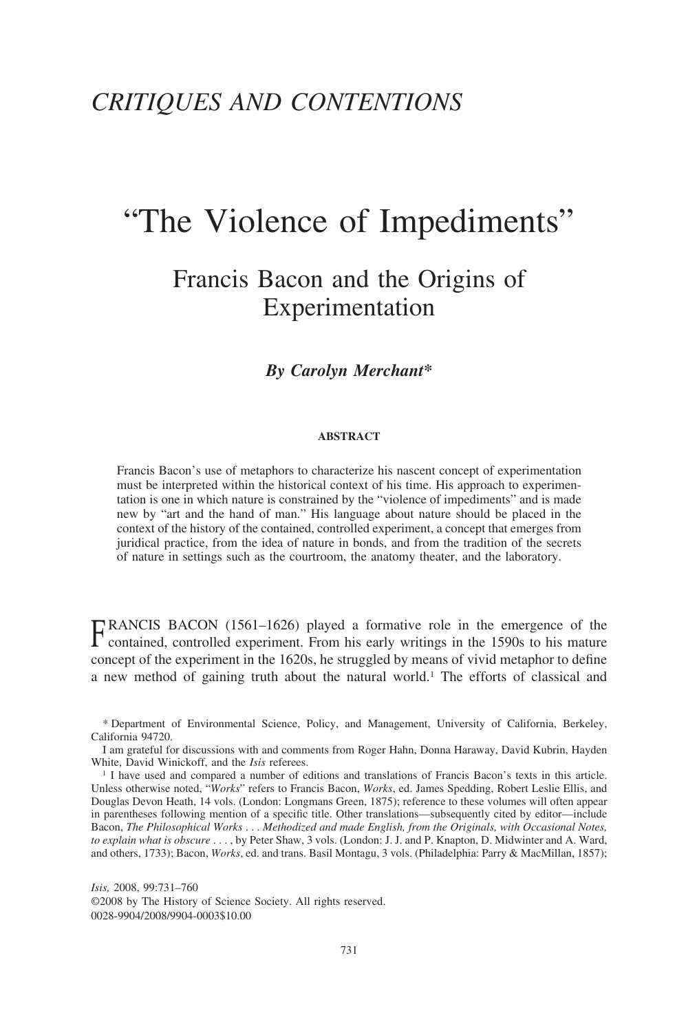## *CRITIQUES AND CONTENTIONS*

# "The Violence of Impediments"

## Francis Bacon and the Origins of Experimentation

## *By Carolyn Merchant\**

### **ABSTRACT**

Francis Bacon's use of metaphors to characterize his nascent concept of experimentation must be interpreted within the historical context of his time. His approach to experimentation is one in which nature is constrained by the "violence of impediments" and is made new by "art and the hand of man." His language about nature should be placed in the context of the history of the contained, controlled experiment, a concept that emerges from juridical practice, from the idea of nature in bonds, and from the tradition of the secrets of nature in settings such as the courtroom, the anatomy theater, and the laboratory.

F RANCIS BACON (1561–1626) played a formative role in the emergence of the contained, controlled experiment. From his early writings in the 1590s to his mature concept of the experiment in the 1620s, he struggled by means of vivid metaphor to define a new method of gaining truth about the natural world.<sup>1</sup> The efforts of classical and

\* Department of Environmental Science, Policy, and Management, University of California, Berkeley, California 94720.

I am grateful for discussions with and comments from Roger Hahn, Donna Haraway, David Kubrin, Hayden White, David Winickoff, and the *Isis* referees.

<sup>1</sup> I have used and compared a number of editions and translations of Francis Bacon's texts in this article. Unless otherwise noted, "*Works*" refers to Francis Bacon, *Works*, ed. James Spedding, Robert Leslie Ellis, and Douglas Devon Heath, 14 vols. (London: Longmans Green, 1875); reference to these volumes will often appear in parentheses following mention of a specific title. Other translations—subsequently cited by editor—include Bacon, *The Philosophical Works* ... *Methodized and made English, from the Originals, with Occasional Notes, to explain what is obscure* . . . , by Peter Shaw, 3 vols. (London: J. J. and P. Knapton, D. Midwinter and A. Ward, and others, 1733); Bacon, *Works*, ed. and trans. Basil Montagu, 3 vols. (Philadelphia: Parry & MacMillan, 1857);

*Isis,* 2008, 99:731–760 ©2008 by The History of Science Society. All rights reserved. 0028-9904/2008/9904-0003\$10.00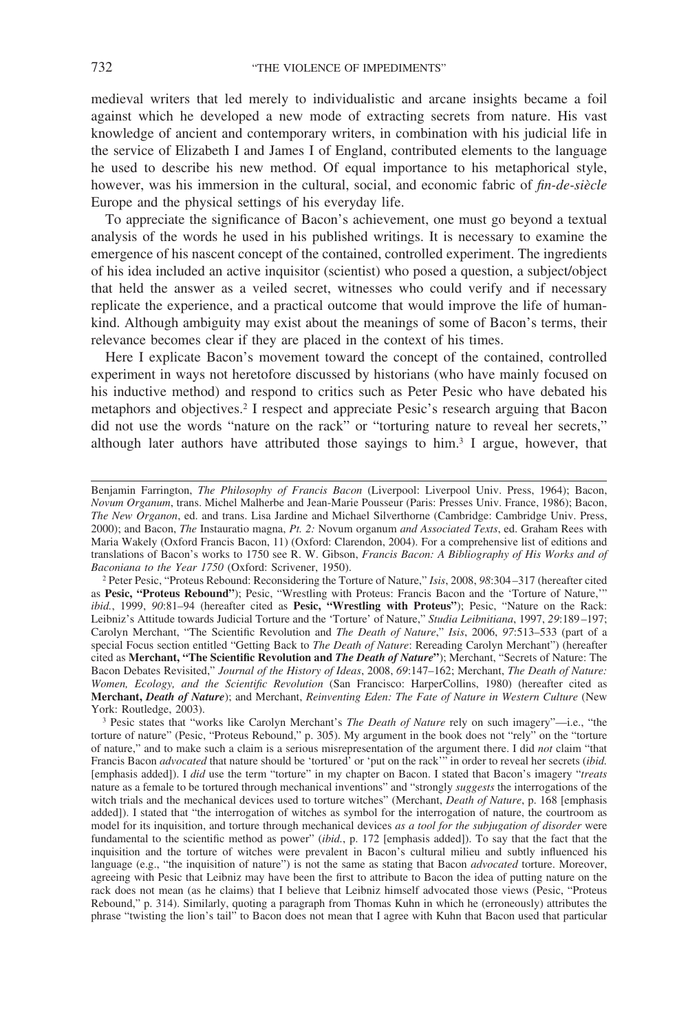medieval writers that led merely to individualistic and arcane insights became a foil against which he developed a new mode of extracting secrets from nature. His vast knowledge of ancient and contemporary writers, in combination with his judicial life in the service of Elizabeth I and James I of England, contributed elements to the language he used to describe his new method. Of equal importance to his metaphorical style, however, was his immersion in the cultural, social, and economic fabric of *fin-de-siècle* Europe and the physical settings of his everyday life.

To appreciate the significance of Bacon's achievement, one must go beyond a textual analysis of the words he used in his published writings. It is necessary to examine the emergence of his nascent concept of the contained, controlled experiment. The ingredients of his idea included an active inquisitor (scientist) who posed a question, a subject/object that held the answer as a veiled secret, witnesses who could verify and if necessary replicate the experience, and a practical outcome that would improve the life of humankind. Although ambiguity may exist about the meanings of some of Bacon's terms, their relevance becomes clear if they are placed in the context of his times.

Here I explicate Bacon's movement toward the concept of the contained, controlled experiment in ways not heretofore discussed by historians (who have mainly focused on his inductive method) and respond to critics such as Peter Pesic who have debated his metaphors and objectives.2 I respect and appreciate Pesic's research arguing that Bacon did not use the words "nature on the rack" or "torturing nature to reveal her secrets," although later authors have attributed those sayings to him.3 I argue, however, that

<sup>2</sup> Peter Pesic, "Proteus Rebound: Reconsidering the Torture of Nature," *Isis*, 2008, *98*:304 –317 (hereafter cited as **Pesic, "Proteus Rebound"**); Pesic, "Wrestling with Proteus: Francis Bacon and the 'Torture of Nature,'" *ibid.*, 1999, *90*:81–94 (hereafter cited as **Pesic, "Wrestling with Proteus"**); Pesic, "Nature on the Rack: Leibniz's Attitude towards Judicial Torture and the 'Torture' of Nature," *Studia Leibnitiana*, 1997, *29*:189 –197; Carolyn Merchant, "The Scientific Revolution and *The Death of Nature*," *Isis*, 2006, *97*:513–533 (part of a special Focus section entitled "Getting Back to *The Death of Nature*: Rereading Carolyn Merchant") (hereafter cited as **Merchant, "The Scientific Revolution and** *The Death of Nature***"**); Merchant, "Secrets of Nature: The Bacon Debates Revisited," *Journal of the History of Ideas*, 2008, *69*:147–162; Merchant, *The Death of Nature: Women, Ecology, and the Scientific Revolution* (San Francisco: HarperCollins, 1980) (hereafter cited as **Merchant,** *Death of Nature*); and Merchant, *Reinventing Eden: The Fate of Nature in Western Culture* (New York: Routledge, 2003).

<sup>3</sup> Pesic states that "works like Carolyn Merchant's *The Death of Nature* rely on such imagery"—i.e., "the torture of nature" (Pesic, "Proteus Rebound," p. 305). My argument in the book does not "rely" on the "torture of nature," and to make such a claim is a serious misrepresentation of the argument there. I did *not* claim "that Francis Bacon *advocated* that nature should be 'tortured' or 'put on the rack'" in order to reveal her secrets (*ibid.* [emphasis added]). I *did* use the term "torture" in my chapter on Bacon. I stated that Bacon's imagery "*treats* nature as a female to be tortured through mechanical inventions" and "strongly *suggests* the interrogations of the witch trials and the mechanical devices used to torture witches" (Merchant, *Death of Nature*, p. 168 [emphasis added]). I stated that "the interrogation of witches as symbol for the interrogation of nature, the courtroom as model for its inquisition, and torture through mechanical devices *as a tool for the subjugation of disorder* were fundamental to the scientific method as power" (*ibid.*, p. 172 [emphasis added]). To say that the fact that the inquisition and the torture of witches were prevalent in Bacon's cultural milieu and subtly influenced his language (e.g., "the inquisition of nature") is not the same as stating that Bacon *advocated* torture. Moreover, agreeing with Pesic that Leibniz may have been the first to attribute to Bacon the idea of putting nature on the rack does not mean (as he claims) that I believe that Leibniz himself advocated those views (Pesic, "Proteus Rebound," p. 314). Similarly, quoting a paragraph from Thomas Kuhn in which he (erroneously) attributes the phrase "twisting the lion's tail" to Bacon does not mean that I agree with Kuhn that Bacon used that particular

Benjamin Farrington, *The Philosophy of Francis Bacon* (Liverpool: Liverpool Univ. Press, 1964); Bacon, *Novum Organum*, trans. Michel Malherbe and Jean-Marie Pousseur (Paris: Presses Univ. France, 1986); Bacon, *The New Organon*, ed. and trans. Lisa Jardine and Michael Silverthorne (Cambridge: Cambridge Univ. Press, 2000); and Bacon, *The* Instauratio magna, *Pt. 2:* Novum organum *and Associated Texts*, ed. Graham Rees with Maria Wakely (Oxford Francis Bacon, 11) (Oxford: Clarendon, 2004). For a comprehensive list of editions and translations of Bacon's works to 1750 see R. W. Gibson, *Francis Bacon: A Bibliography of His Works and of Baconiana to the Year 1750* (Oxford: Scrivener, 1950).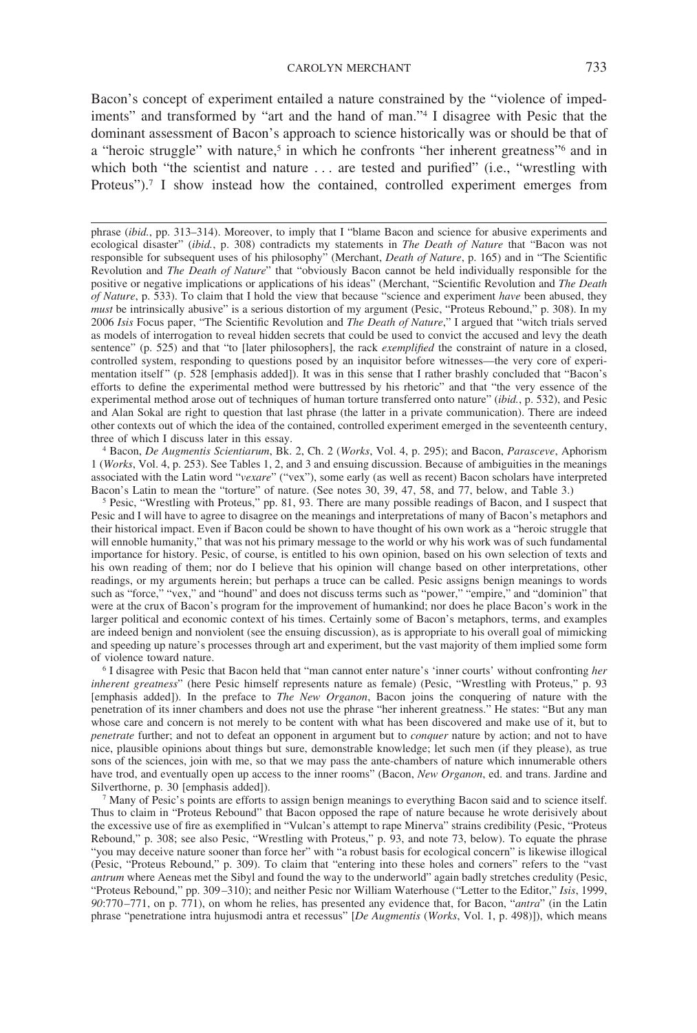Bacon's concept of experiment entailed a nature constrained by the "violence of impediments" and transformed by "art and the hand of man."4 I disagree with Pesic that the dominant assessment of Bacon's approach to science historically was or should be that of a "heroic struggle" with nature,<sup>5</sup> in which he confronts "her inherent greatness"<sup>6</sup> and in which both "the scientist and nature ... are tested and purified" (i.e., "wrestling with Proteus").<sup>7</sup> I show instead how the contained, controlled experiment emerges from

phrase (*ibid.*, pp. 313–314). Moreover, to imply that I "blame Bacon and science for abusive experiments and ecological disaster" (*ibid.*, p. 308) contradicts my statements in *The Death of Nature* that "Bacon was not responsible for subsequent uses of his philosophy" (Merchant, *Death of Nature*, p. 165) and in "The Scientific Revolution and *The Death of Nature*" that "obviously Bacon cannot be held individually responsible for the positive or negative implications or applications of his ideas" (Merchant, "Scientific Revolution and *The Death of Nature*, p. 533). To claim that I hold the view that because "science and experiment *have* been abused, they *must* be intrinsically abusive" is a serious distortion of my argument (Pesic, "Proteus Rebound," p. 308). In my 2006 *Isis* Focus paper, "The Scientific Revolution and *The Death of Nature*," I argued that "witch trials served as models of interrogation to reveal hidden secrets that could be used to convict the accused and levy the death sentence" (p. 525) and that "to [later philosophers], the rack *exemplified* the constraint of nature in a closed, controlled system, responding to questions posed by an inquisitor before witnesses—the very core of experimentation itself" (p. 528 [emphasis added]). It was in this sense that I rather brashly concluded that "Bacon's efforts to define the experimental method were buttressed by his rhetoric" and that "the very essence of the experimental method arose out of techniques of human torture transferred onto nature" (*ibid.*, p. 532), and Pesic and Alan Sokal are right to question that last phrase (the latter in a private communication). There are indeed other contexts out of which the idea of the contained, controlled experiment emerged in the seventeenth century, three of which I discuss later in this essay.

<sup>4</sup> Bacon, *De Augmentis Scientiarum*, Bk. 2, Ch. 2 (*Works*, Vol. 4, p. 295); and Bacon, *Parasceve*, Aphorism 1 (*Works*, Vol. 4, p. 253). See Tables 1, 2, and 3 and ensuing discussion. Because of ambiguities in the meanings associated with the Latin word "*vexare*" ("vex"), some early (as well as recent) Bacon scholars have interpreted Bacon's Latin to mean the "torture" of nature. (See notes 30, 39, 47, 58, and 77, below, and Table 3.)

<sup>5</sup> Pesic, "Wrestling with Proteus," pp. 81, 93. There are many possible readings of Bacon, and I suspect that Pesic and I will have to agree to disagree on the meanings and interpretations of many of Bacon's metaphors and their historical impact. Even if Bacon could be shown to have thought of his own work as a "heroic struggle that will ennoble humanity," that was not his primary message to the world or why his work was of such fundamental importance for history. Pesic, of course, is entitled to his own opinion, based on his own selection of texts and his own reading of them; nor do I believe that his opinion will change based on other interpretations, other readings, or my arguments herein; but perhaps a truce can be called. Pesic assigns benign meanings to words such as "force," "vex," and "hound" and does not discuss terms such as "power," "empire," and "dominion" that were at the crux of Bacon's program for the improvement of humankind; nor does he place Bacon's work in the larger political and economic context of his times. Certainly some of Bacon's metaphors, terms, and examples are indeed benign and nonviolent (see the ensuing discussion), as is appropriate to his overall goal of mimicking and speeding up nature's processes through art and experiment, but the vast majority of them implied some form of violence toward nature.

<sup>6</sup> I disagree with Pesic that Bacon held that "man cannot enter nature's 'inner courts' without confronting *her inherent greatness*" (here Pesic himself represents nature as female) (Pesic, "Wrestling with Proteus," p. 93 [emphasis added]). In the preface to *The New Organon*, Bacon joins the conquering of nature with the penetration of its inner chambers and does not use the phrase "her inherent greatness." He states: "But any man whose care and concern is not merely to be content with what has been discovered and make use of it, but to *penetrate* further; and not to defeat an opponent in argument but to *conquer* nature by action; and not to have nice, plausible opinions about things but sure, demonstrable knowledge; let such men (if they please), as true sons of the sciences, join with me, so that we may pass the ante-chambers of nature which innumerable others have trod, and eventually open up access to the inner rooms" (Bacon, *New Organon*, ed. and trans. Jardine and Silverthorne, p. 30 [emphasis added]).

<sup>7</sup> Many of Pesic's points are efforts to assign benign meanings to everything Bacon said and to science itself. Thus to claim in "Proteus Rebound" that Bacon opposed the rape of nature because he wrote derisively about the excessive use of fire as exemplified in "Vulcan's attempt to rape Minerva" strains credibility (Pesic, "Proteus Rebound," p. 308; see also Pesic, "Wrestling with Proteus," p. 93, and note 73, below). To equate the phrase "you may deceive nature sooner than force her" with "a robust basis for ecological concern" is likewise illogical (Pesic, "Proteus Rebound," p. 309). To claim that "entering into these holes and corners" refers to the "vast *antrum* where Aeneas met the Sibyl and found the way to the underworld" again badly stretches credulity (Pesic, "Proteus Rebound," pp. 309 –310); and neither Pesic nor William Waterhouse ("Letter to the Editor," *Isis*, 1999, *90*:770 –771, on p. 771), on whom he relies, has presented any evidence that, for Bacon, "*antra*" (in the Latin phrase "penetratione intra hujusmodi antra et recessus" [*De Augmentis* (*Works*, Vol. 1, p. 498)]), which means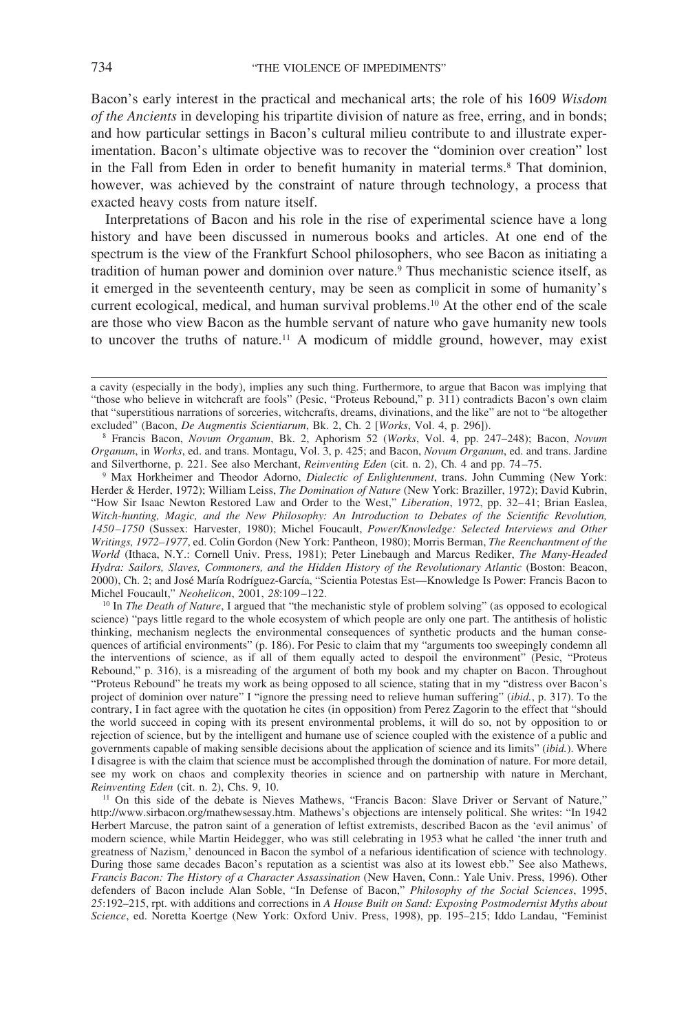Bacon's early interest in the practical and mechanical arts; the role of his 1609 *Wisdom of the Ancients* in developing his tripartite division of nature as free, erring, and in bonds; and how particular settings in Bacon's cultural milieu contribute to and illustrate experimentation. Bacon's ultimate objective was to recover the "dominion over creation" lost in the Fall from Eden in order to benefit humanity in material terms.<sup>8</sup> That dominion, however, was achieved by the constraint of nature through technology, a process that exacted heavy costs from nature itself.

Interpretations of Bacon and his role in the rise of experimental science have a long history and have been discussed in numerous books and articles. At one end of the spectrum is the view of the Frankfurt School philosophers, who see Bacon as initiating a tradition of human power and dominion over nature.<sup>9</sup> Thus mechanistic science itself, as it emerged in the seventeenth century, may be seen as complicit in some of humanity's current ecological, medical, and human survival problems.10 At the other end of the scale are those who view Bacon as the humble servant of nature who gave humanity new tools to uncover the truths of nature.<sup>11</sup> A modicum of middle ground, however, may exist

<sup>10</sup> In *The Death of Nature*, I argued that "the mechanistic style of problem solving" (as opposed to ecological science) "pays little regard to the whole ecosystem of which people are only one part. The antithesis of holistic thinking, mechanism neglects the environmental consequences of synthetic products and the human consequences of artificial environments" (p. 186). For Pesic to claim that my "arguments too sweepingly condemn all the interventions of science, as if all of them equally acted to despoil the environment" (Pesic, "Proteus Rebound," p. 316), is a misreading of the argument of both my book and my chapter on Bacon. Throughout "Proteus Rebound" he treats my work as being opposed to all science, stating that in my "distress over Bacon's project of dominion over nature" I "ignore the pressing need to relieve human suffering" (*ibid.*, p. 317). To the contrary, I in fact agree with the quotation he cites (in opposition) from Perez Zagorin to the effect that "should the world succeed in coping with its present environmental problems, it will do so, not by opposition to or rejection of science, but by the intelligent and humane use of science coupled with the existence of a public and governments capable of making sensible decisions about the application of science and its limits" (*ibid.*). Where I disagree is with the claim that science must be accomplished through the domination of nature. For more detail, see my work on chaos and complexity theories in science and on partnership with nature in Merchant, *Reinventing Eden* (cit. n. 2), Chs. 9, 10.

<sup>11</sup> On this side of the debate is Nieves Mathews, "Francis Bacon: Slave Driver or Servant of Nature," http://www.sirbacon.org/mathewsessay.htm. Mathews's objections are intensely political. She writes: "In 1942 Herbert Marcuse, the patron saint of a generation of leftist extremists, described Bacon as the 'evil animus' of modern science, while Martin Heidegger, who was still celebrating in 1953 what he called 'the inner truth and greatness of Nazism,' denounced in Bacon the symbol of a nefarious identification of science with technology. During those same decades Bacon's reputation as a scientist was also at its lowest ebb." See also Mathews, *Francis Bacon: The History of a Character Assassination* (New Haven, Conn.: Yale Univ. Press, 1996). Other defenders of Bacon include Alan Soble, "In Defense of Bacon," *Philosophy of the Social Sciences*, 1995, *25*:192–215, rpt. with additions and corrections in *A House Built on Sand: Exposing Postmodernist Myths about Science*, ed. Noretta Koertge (New York: Oxford Univ. Press, 1998), pp. 195–215; Iddo Landau, "Feminist

a cavity (especially in the body), implies any such thing. Furthermore, to argue that Bacon was implying that "those who believe in witchcraft are fools" (Pesic, "Proteus Rebound," p. 311) contradicts Bacon's own claim that "superstitious narrations of sorceries, witchcrafts, dreams, divinations, and the like" are not to "be altogether excluded" (Bacon, *De Augmentis Scientiarum*, Bk. 2, Ch. 2 [*Works*, Vol. 4, p. 296]).

<sup>8</sup> Francis Bacon, *Novum Organum*, Bk. 2, Aphorism 52 (*Works*, Vol. 4, pp. 247–248); Bacon, *Novum Organum*, in *Works*, ed. and trans. Montagu, Vol. 3, p. 425; and Bacon, *Novum Organum*, ed. and trans. Jardine and Silverthorne, p. 221. See also Merchant, *Reinventing Eden* (cit. n. 2), Ch. 4 and pp. 74 –75.

<sup>9</sup> Max Horkheimer and Theodor Adorno, *Dialectic of Enlightenment*, trans. John Cumming (New York: Herder & Herder, 1972); William Leiss, *The Domination of Nature* (New York: Braziller, 1972); David Kubrin, "How Sir Isaac Newton Restored Law and Order to the West," *Liberation*, 1972, pp. 32-41; Brian Easlea, *Witch-hunting, Magic, and the New Philosophy: An Introduction to Debates of the Scientific Revolution, 1450 –1750* (Sussex: Harvester, 1980); Michel Foucault, *Power/Knowledge: Selected Interviews and Other Writings, 1972–1977*, ed. Colin Gordon (New York: Pantheon, 1980); Morris Berman, *The Reenchantment of the World* (Ithaca, N.Y.: Cornell Univ. Press, 1981); Peter Linebaugh and Marcus Rediker, *The Many-Headed Hydra: Sailors, Slaves, Commoners, and the Hidden History of the Revolutionary Atlantic* (Boston: Beacon, 2000), Ch. 2; and Jose´ Marı´a Rodrı´guez-Garcı´a, "Scientia Potestas Est—Knowledge Is Power: Francis Bacon to Michel Foucault," *Neohelicon*, 2001, *28*:109 –122.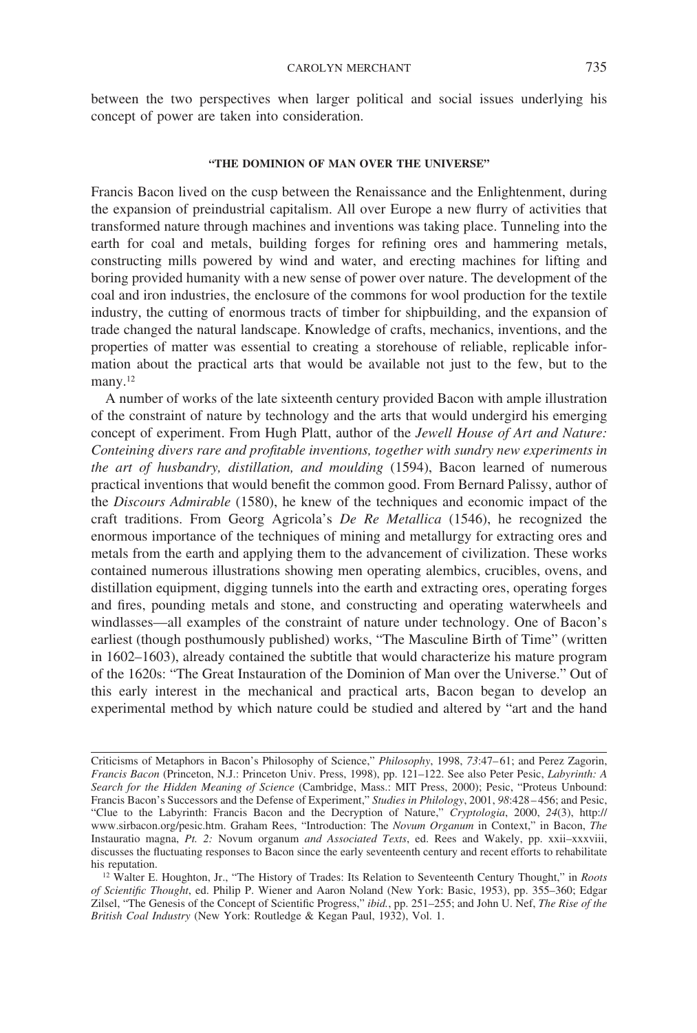between the two perspectives when larger political and social issues underlying his concept of power are taken into consideration.

## **"THE DOMINION OF MAN OVER THE UNIVERSE"**

Francis Bacon lived on the cusp between the Renaissance and the Enlightenment, during the expansion of preindustrial capitalism. All over Europe a new flurry of activities that transformed nature through machines and inventions was taking place. Tunneling into the earth for coal and metals, building forges for refining ores and hammering metals, constructing mills powered by wind and water, and erecting machines for lifting and boring provided humanity with a new sense of power over nature. The development of the coal and iron industries, the enclosure of the commons for wool production for the textile industry, the cutting of enormous tracts of timber for shipbuilding, and the expansion of trade changed the natural landscape. Knowledge of crafts, mechanics, inventions, and the properties of matter was essential to creating a storehouse of reliable, replicable information about the practical arts that would be available not just to the few, but to the many.<sup>12</sup>

A number of works of the late sixteenth century provided Bacon with ample illustration of the constraint of nature by technology and the arts that would undergird his emerging concept of experiment. From Hugh Platt, author of the *Jewell House of Art and Nature: Conteining divers rare and profitable inventions, together with sundry new experiments in the art of husbandry, distillation, and moulding* (1594), Bacon learned of numerous practical inventions that would benefit the common good. From Bernard Palissy, author of the *Discours Admirable* (1580), he knew of the techniques and economic impact of the craft traditions. From Georg Agricola's *De Re Metallica* (1546), he recognized the enormous importance of the techniques of mining and metallurgy for extracting ores and metals from the earth and applying them to the advancement of civilization. These works contained numerous illustrations showing men operating alembics, crucibles, ovens, and distillation equipment, digging tunnels into the earth and extracting ores, operating forges and fires, pounding metals and stone, and constructing and operating waterwheels and windlasses—all examples of the constraint of nature under technology. One of Bacon's earliest (though posthumously published) works, "The Masculine Birth of Time" (written in 1602–1603), already contained the subtitle that would characterize his mature program of the 1620s: "The Great Instauration of the Dominion of Man over the Universe." Out of this early interest in the mechanical and practical arts, Bacon began to develop an experimental method by which nature could be studied and altered by "art and the hand

Criticisms of Metaphors in Bacon's Philosophy of Science," *Philosophy*, 1998, *73*:47– 61; and Perez Zagorin, *Francis Bacon* (Princeton, N.J.: Princeton Univ. Press, 1998), pp. 121–122. See also Peter Pesic, *Labyrinth: A Search for the Hidden Meaning of Science* (Cambridge, Mass.: MIT Press, 2000); Pesic, "Proteus Unbound: Francis Bacon's Successors and the Defense of Experiment," *Studies in Philology*, 2001, *98*:428 – 456; and Pesic, "Clue to the Labyrinth: Francis Bacon and the Decryption of Nature," *Cryptologia*, 2000, *24*(3), http:// www.sirbacon.org/pesic.htm. Graham Rees, "Introduction: The *Novum Organum* in Context," in Bacon, *The* Instauratio magna, *Pt. 2:* Novum organum *and Associated Texts*, ed. Rees and Wakely, pp. xxii–xxxviii, discusses the fluctuating responses to Bacon since the early seventeenth century and recent efforts to rehabilitate his reputation.

<sup>12</sup> Walter E. Houghton, Jr., "The History of Trades: Its Relation to Seventeenth Century Thought," in *Roots of Scientific Thought*, ed. Philip P. Wiener and Aaron Noland (New York: Basic, 1953), pp. 355–360; Edgar Zilsel, "The Genesis of the Concept of Scientific Progress," *ibid.*, pp. 251–255; and John U. Nef, *The Rise of the British Coal Industry* (New York: Routledge & Kegan Paul, 1932), Vol. 1.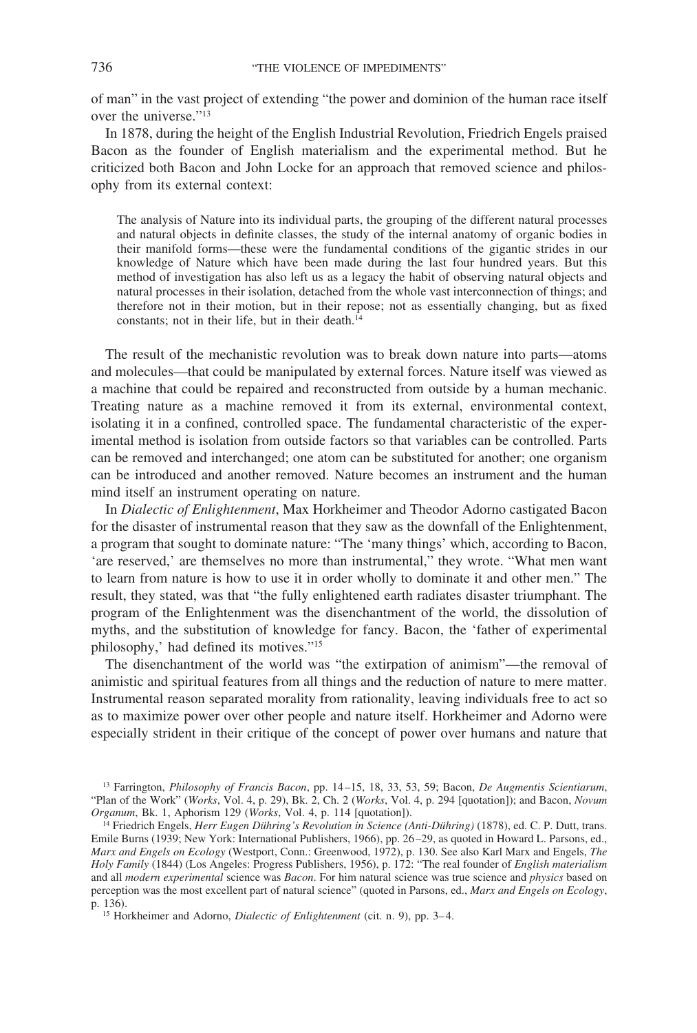of man" in the vast project of extending "the power and dominion of the human race itself over the universe."<sup>13</sup>

In 1878, during the height of the English Industrial Revolution, Friedrich Engels praised Bacon as the founder of English materialism and the experimental method. But he criticized both Bacon and John Locke for an approach that removed science and philosophy from its external context:

The analysis of Nature into its individual parts, the grouping of the different natural processes and natural objects in definite classes, the study of the internal anatomy of organic bodies in their manifold forms—these were the fundamental conditions of the gigantic strides in our knowledge of Nature which have been made during the last four hundred years. But this method of investigation has also left us as a legacy the habit of observing natural objects and natural processes in their isolation, detached from the whole vast interconnection of things; and therefore not in their motion, but in their repose; not as essentially changing, but as fixed constants; not in their life, but in their death.<sup>14</sup>

The result of the mechanistic revolution was to break down nature into parts—atoms and molecules—that could be manipulated by external forces. Nature itself was viewed as a machine that could be repaired and reconstructed from outside by a human mechanic. Treating nature as a machine removed it from its external, environmental context, isolating it in a confined, controlled space. The fundamental characteristic of the experimental method is isolation from outside factors so that variables can be controlled. Parts can be removed and interchanged; one atom can be substituted for another; one organism can be introduced and another removed. Nature becomes an instrument and the human mind itself an instrument operating on nature.

In *Dialectic of Enlightenment*, Max Horkheimer and Theodor Adorno castigated Bacon for the disaster of instrumental reason that they saw as the downfall of the Enlightenment, a program that sought to dominate nature: "The 'many things' which, according to Bacon, 'are reserved,' are themselves no more than instrumental," they wrote. "What men want to learn from nature is how to use it in order wholly to dominate it and other men." The result, they stated, was that "the fully enlightened earth radiates disaster triumphant. The program of the Enlightenment was the disenchantment of the world, the dissolution of myths, and the substitution of knowledge for fancy. Bacon, the 'father of experimental philosophy,' had defined its motives."15

The disenchantment of the world was "the extirpation of animism"—the removal of animistic and spiritual features from all things and the reduction of nature to mere matter. Instrumental reason separated morality from rationality, leaving individuals free to act so as to maximize power over other people and nature itself. Horkheimer and Adorno were especially strident in their critique of the concept of power over humans and nature that

<sup>13</sup> Farrington, *Philosophy of Francis Bacon*, pp. 14 –15, 18, 33, 53, 59; Bacon, *De Augmentis Scientiarum*, "Plan of the Work" (*Works*, Vol. 4, p. 29), Bk. 2, Ch. 2 (*Works*, Vol. 4, p. 294 [quotation]); and Bacon, *Novum Organum*, Bk. 1, Aphorism 129 (*Works*, Vol. 4, p. 114 [quotation]).

<sup>&</sup>lt;sup>14</sup> Friedrich Engels, *Herr Eugen Dühring's Revolution in Science (Anti-Dühring)* (1878), ed. C. P. Dutt, trans. Emile Burns (1939; New York: International Publishers, 1966), pp. 26 –29, as quoted in Howard L. Parsons, ed., *Marx and Engels on Ecology* (Westport, Conn.: Greenwood, 1972), p. 130. See also Karl Marx and Engels, *The Holy Family* (1844) (Los Angeles: Progress Publishers, 1956), p. 172: "The real founder of *English materialism* and all *modern experimental* science was *Bacon*. For him natural science was true science and *physics* based on perception was the most excellent part of natural science" (quoted in Parsons, ed., *Marx and Engels on Ecology*, p. 136).

<sup>&</sup>lt;sup>15</sup> Horkheimer and Adorno, *Dialectic of Enlightenment* (cit. n. 9), pp. 3–4.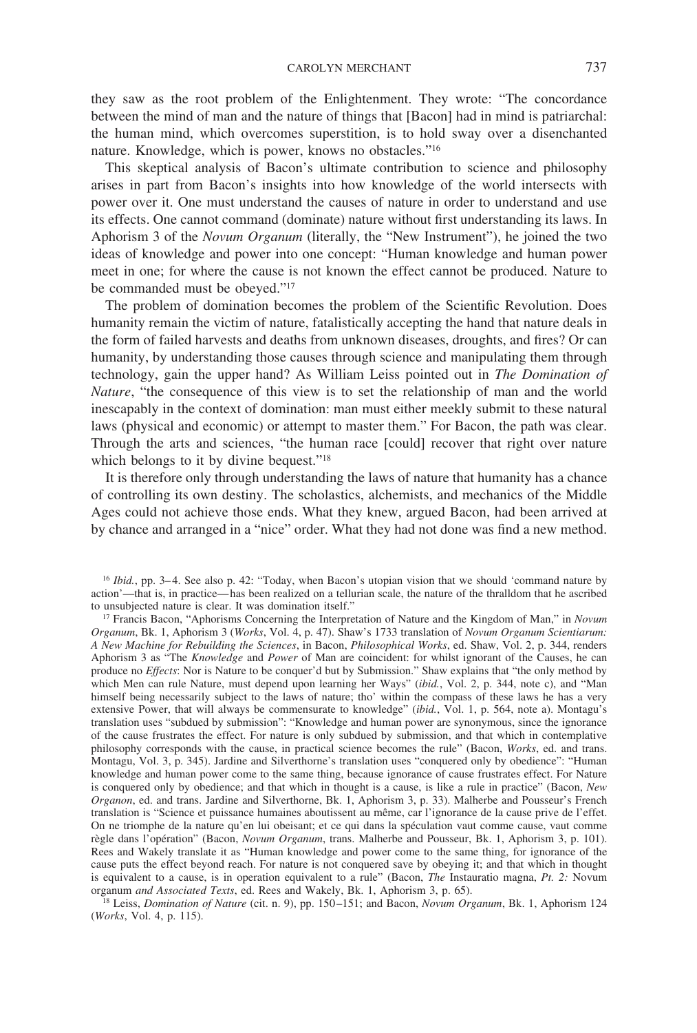they saw as the root problem of the Enlightenment. They wrote: "The concordance between the mind of man and the nature of things that [Bacon] had in mind is patriarchal: the human mind, which overcomes superstition, is to hold sway over a disenchanted nature. Knowledge, which is power, knows no obstacles."16

This skeptical analysis of Bacon's ultimate contribution to science and philosophy arises in part from Bacon's insights into how knowledge of the world intersects with power over it. One must understand the causes of nature in order to understand and use its effects. One cannot command (dominate) nature without first understanding its laws. In Aphorism 3 of the *Novum Organum* (literally, the "New Instrument"), he joined the two ideas of knowledge and power into one concept: "Human knowledge and human power meet in one; for where the cause is not known the effect cannot be produced. Nature to be commanded must be obeyed."17

The problem of domination becomes the problem of the Scientific Revolution. Does humanity remain the victim of nature, fatalistically accepting the hand that nature deals in the form of failed harvests and deaths from unknown diseases, droughts, and fires? Or can humanity, by understanding those causes through science and manipulating them through technology, gain the upper hand? As William Leiss pointed out in *The Domination of Nature*, "the consequence of this view is to set the relationship of man and the world inescapably in the context of domination: man must either meekly submit to these natural laws (physical and economic) or attempt to master them." For Bacon, the path was clear. Through the arts and sciences, "the human race [could] recover that right over nature which belongs to it by divine bequest."<sup>18</sup>

It is therefore only through understanding the laws of nature that humanity has a chance of controlling its own destiny. The scholastics, alchemists, and mechanics of the Middle Ages could not achieve those ends. What they knew, argued Bacon, had been arrived at by chance and arranged in a "nice" order. What they had not done was find a new method.

<sup>18</sup> Leiss, *Domination of Nature* (cit. n. 9), pp. 150 –151; and Bacon, *Novum Organum*, Bk. 1, Aphorism 124 (*Works*, Vol. 4, p. 115).

<sup>&</sup>lt;sup>16</sup> *Ibid.*, pp. 3–4. See also p. 42: "Today, when Bacon's utopian vision that we should 'command nature by action'—that is, in practice— has been realized on a tellurian scale, the nature of the thralldom that he ascribed to unsubjected nature is clear. It was domination itself."

<sup>17</sup> Francis Bacon, "Aphorisms Concerning the Interpretation of Nature and the Kingdom of Man," in *Novum Organum*, Bk. 1, Aphorism 3 (*Works*, Vol. 4, p. 47). Shaw's 1733 translation of *Novum Organum Scientiarum: A New Machine for Rebuilding the Sciences*, in Bacon, *Philosophical Works*, ed. Shaw, Vol. 2, p. 344, renders Aphorism 3 as "The *Knowledge* and *Power* of Man are coincident: for whilst ignorant of the Causes, he can produce no *Effects*: Nor is Nature to be conquer'd but by Submission." Shaw explains that "the only method by which Men can rule Nature, must depend upon learning her Ways" (*ibid.*, Vol. 2, p. 344, note c), and "Man himself being necessarily subject to the laws of nature; tho' within the compass of these laws he has a very extensive Power, that will always be commensurate to knowledge" (*ibid.*, Vol. 1, p. 564, note a). Montagu's translation uses "subdued by submission": "Knowledge and human power are synonymous, since the ignorance of the cause frustrates the effect. For nature is only subdued by submission, and that which in contemplative philosophy corresponds with the cause, in practical science becomes the rule" (Bacon, *Works*, ed. and trans. Montagu, Vol. 3, p. 345). Jardine and Silverthorne's translation uses "conquered only by obedience": "Human knowledge and human power come to the same thing, because ignorance of cause frustrates effect. For Nature is conquered only by obedience; and that which in thought is a cause, is like a rule in practice" (Bacon, *New Organon*, ed. and trans. Jardine and Silverthorne, Bk. 1, Aphorism 3, p. 33). Malherbe and Pousseur's French translation is "Science et puissance humaines aboutissent au même, car l'ignorance de la cause prive de l'effet. On ne triomphe de la nature qu'en lui obeisant; et ce qui dans la spéculation vaut comme cause, vaut comme règle dans l'opération" (Bacon, *Novum Organum*, trans. Malherbe and Pousseur, Bk. 1, Aphorism 3, p. 101). Rees and Wakely translate it as "Human knowledge and power come to the same thing, for ignorance of the cause puts the effect beyond reach. For nature is not conquered save by obeying it; and that which in thought is equivalent to a cause, is in operation equivalent to a rule" (Bacon, *The* Instauratio magna, *Pt. 2:* Novum organum *and Associated Texts*, ed. Rees and Wakely, Bk. 1, Aphorism 3, p. 65).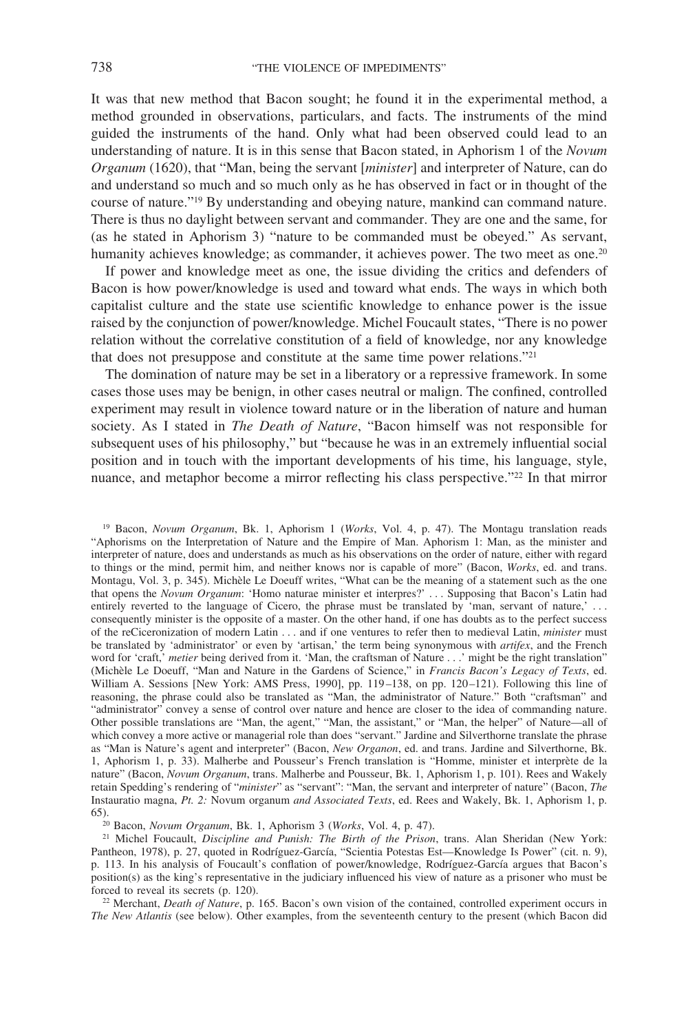It was that new method that Bacon sought; he found it in the experimental method, a method grounded in observations, particulars, and facts. The instruments of the mind guided the instruments of the hand. Only what had been observed could lead to an understanding of nature. It is in this sense that Bacon stated, in Aphorism 1 of the *Novum Organum* (1620), that "Man, being the servant [*minister*] and interpreter of Nature, can do and understand so much and so much only as he has observed in fact or in thought of the course of nature."19 By understanding and obeying nature, mankind can command nature. There is thus no daylight between servant and commander. They are one and the same, for (as he stated in Aphorism 3) "nature to be commanded must be obeyed." As servant, humanity achieves knowledge; as commander, it achieves power. The two meet as one.<sup>20</sup>

If power and knowledge meet as one, the issue dividing the critics and defenders of Bacon is how power/knowledge is used and toward what ends. The ways in which both capitalist culture and the state use scientific knowledge to enhance power is the issue raised by the conjunction of power/knowledge. Michel Foucault states, "There is no power relation without the correlative constitution of a field of knowledge, nor any knowledge that does not presuppose and constitute at the same time power relations."21

The domination of nature may be set in a liberatory or a repressive framework. In some cases those uses may be benign, in other cases neutral or malign. The confined, controlled experiment may result in violence toward nature or in the liberation of nature and human society. As I stated in *The Death of Nature*, "Bacon himself was not responsible for subsequent uses of his philosophy," but "because he was in an extremely influential social position and in touch with the important developments of his time, his language, style, nuance, and metaphor become a mirror reflecting his class perspective."22 In that mirror

<sup>19</sup> Bacon, *Novum Organum*, Bk. 1, Aphorism 1 (*Works*, Vol. 4, p. 47). The Montagu translation reads "Aphorisms on the Interpretation of Nature and the Empire of Man. Aphorism 1: Man, as the minister and interpreter of nature, does and understands as much as his observations on the order of nature, either with regard to things or the mind, permit him, and neither knows nor is capable of more" (Bacon, *Works*, ed. and trans. Montagu, Vol. 3, p. 345). Michèle Le Doeuff writes, "What can be the meaning of a statement such as the one that opens the *Novum Organum*: 'Homo naturae minister et interpres?' . . . Supposing that Bacon's Latin had entirely reverted to the language of Cicero, the phrase must be translated by 'man, servant of nature,' ... consequently minister is the opposite of a master. On the other hand, if one has doubts as to the perfect success of the reCiceronization of modern Latin . . . and if one ventures to refer then to medieval Latin, *minister* must be translated by 'administrator' or even by 'artisan,' the term being synonymous with *artifex*, and the French word for 'craft,' *metier* being derived from it. 'Man, the craftsman of Nature . . .' might be the right translation" (Michèle Le Doeuff, "Man and Nature in the Gardens of Science," in *Francis Bacon's Legacy of Texts*, ed. William A. Sessions [New York: AMS Press, 1990], pp. 119–138, on pp. 120–121). Following this line of reasoning, the phrase could also be translated as "Man, the administrator of Nature." Both "craftsman" and "administrator" convey a sense of control over nature and hence are closer to the idea of commanding nature. Other possible translations are "Man, the agent," "Man, the assistant," or "Man, the helper" of Nature—all of which convey a more active or managerial role than does "servant." Jardine and Silverthorne translate the phrase as "Man is Nature's agent and interpreter" (Bacon, *New Organon*, ed. and trans. Jardine and Silverthorne, Bk. 1, Aphorism 1, p. 33). Malherbe and Pousseur's French translation is "Homme, minister et interprète de la nature" (Bacon, *Novum Organum*, trans. Malherbe and Pousseur, Bk. 1, Aphorism 1, p. 101). Rees and Wakely retain Spedding's rendering of "*minister*" as "servant": "Man, the servant and interpreter of nature" (Bacon, *The* Instauratio magna, *Pt. 2:* Novum organum *and Associated Texts*, ed. Rees and Wakely, Bk. 1, Aphorism 1, p. 65).

<sup>20</sup> Bacon, *Novum Organum*, Bk. 1, Aphorism 3 (*Works*, Vol. 4, p. 47).

<sup>21</sup> Michel Foucault, *Discipline and Punish: The Birth of the Prison*, trans. Alan Sheridan (New York: Pantheon, 1978), p. 27, quoted in Rodríguez-García, "Scientia Potestas Est—Knowledge Is Power" (cit. n. 9), p. 113. In his analysis of Foucault's conflation of power/knowledge, Rodríguez-García argues that Bacon's position(s) as the king's representative in the judiciary influenced his view of nature as a prisoner who must be forced to reveal its secrets (p. 120).

<sup>22</sup> Merchant, *Death of Nature*, p. 165. Bacon's own vision of the contained, controlled experiment occurs in *The New Atlantis* (see below). Other examples, from the seventeenth century to the present (which Bacon did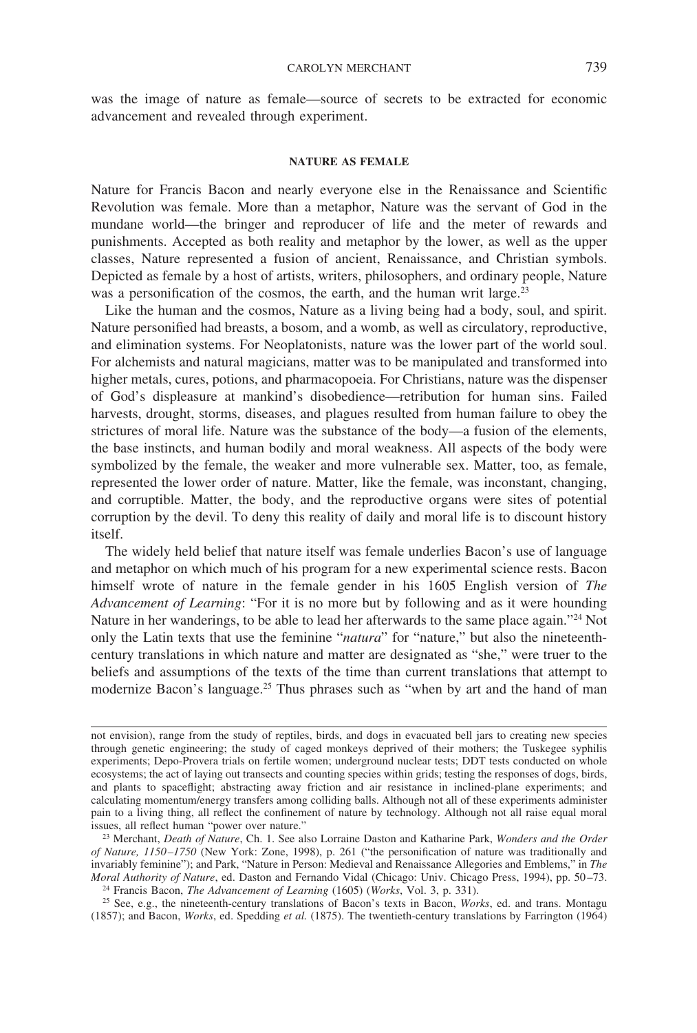was the image of nature as female—source of secrets to be extracted for economic advancement and revealed through experiment.

#### **NATURE AS FEMALE**

Nature for Francis Bacon and nearly everyone else in the Renaissance and Scientific Revolution was female. More than a metaphor, Nature was the servant of God in the mundane world—the bringer and reproducer of life and the meter of rewards and punishments. Accepted as both reality and metaphor by the lower, as well as the upper classes, Nature represented a fusion of ancient, Renaissance, and Christian symbols. Depicted as female by a host of artists, writers, philosophers, and ordinary people, Nature was a personification of the cosmos, the earth, and the human writ large.<sup>23</sup>

Like the human and the cosmos, Nature as a living being had a body, soul, and spirit. Nature personified had breasts, a bosom, and a womb, as well as circulatory, reproductive, and elimination systems. For Neoplatonists, nature was the lower part of the world soul. For alchemists and natural magicians, matter was to be manipulated and transformed into higher metals, cures, potions, and pharmacopoeia. For Christians, nature was the dispenser of God's displeasure at mankind's disobedience—retribution for human sins. Failed harvests, drought, storms, diseases, and plagues resulted from human failure to obey the strictures of moral life. Nature was the substance of the body—a fusion of the elements, the base instincts, and human bodily and moral weakness. All aspects of the body were symbolized by the female, the weaker and more vulnerable sex. Matter, too, as female, represented the lower order of nature. Matter, like the female, was inconstant, changing, and corruptible. Matter, the body, and the reproductive organs were sites of potential corruption by the devil. To deny this reality of daily and moral life is to discount history itself.

The widely held belief that nature itself was female underlies Bacon's use of language and metaphor on which much of his program for a new experimental science rests. Bacon himself wrote of nature in the female gender in his 1605 English version of *The Advancement of Learning*: "For it is no more but by following and as it were hounding Nature in her wanderings, to be able to lead her afterwards to the same place again."24 Not only the Latin texts that use the feminine "*natura*" for "nature," but also the nineteenthcentury translations in which nature and matter are designated as "she," were truer to the beliefs and assumptions of the texts of the time than current translations that attempt to modernize Bacon's language.<sup>25</sup> Thus phrases such as "when by art and the hand of man

not envision), range from the study of reptiles, birds, and dogs in evacuated bell jars to creating new species through genetic engineering; the study of caged monkeys deprived of their mothers; the Tuskegee syphilis experiments; Depo-Provera trials on fertile women; underground nuclear tests; DDT tests conducted on whole ecosystems; the act of laying out transects and counting species within grids; testing the responses of dogs, birds, and plants to spaceflight; abstracting away friction and air resistance in inclined-plane experiments; and calculating momentum/energy transfers among colliding balls. Although not all of these experiments administer pain to a living thing, all reflect the confinement of nature by technology. Although not all raise equal moral issues, all reflect human "power over nature."

<sup>23</sup> Merchant, *Death of Nature*, Ch. 1. See also Lorraine Daston and Katharine Park, *Wonders and the Order of Nature, 1150 –1750* (New York: Zone, 1998), p. 261 ("the personification of nature was traditionally and invariably feminine"); and Park, "Nature in Person: Medieval and Renaissance Allegories and Emblems," in *The Moral Authority of Nature*, ed. Daston and Fernando Vidal (Chicago: Univ. Chicago Press, 1994), pp. 50–73. <sup>24</sup> Francis Bacon, *The Advancement of Learning* (1605) (*Works*, Vol. 3, p. 331).

<sup>25</sup> See, e.g., the nineteenth-century translations of Bacon's texts in Bacon, *Works*, ed. and trans. Montagu (1857); and Bacon, *Works*, ed. Spedding *et al.* (1875). The twentieth-century translations by Farrington (1964)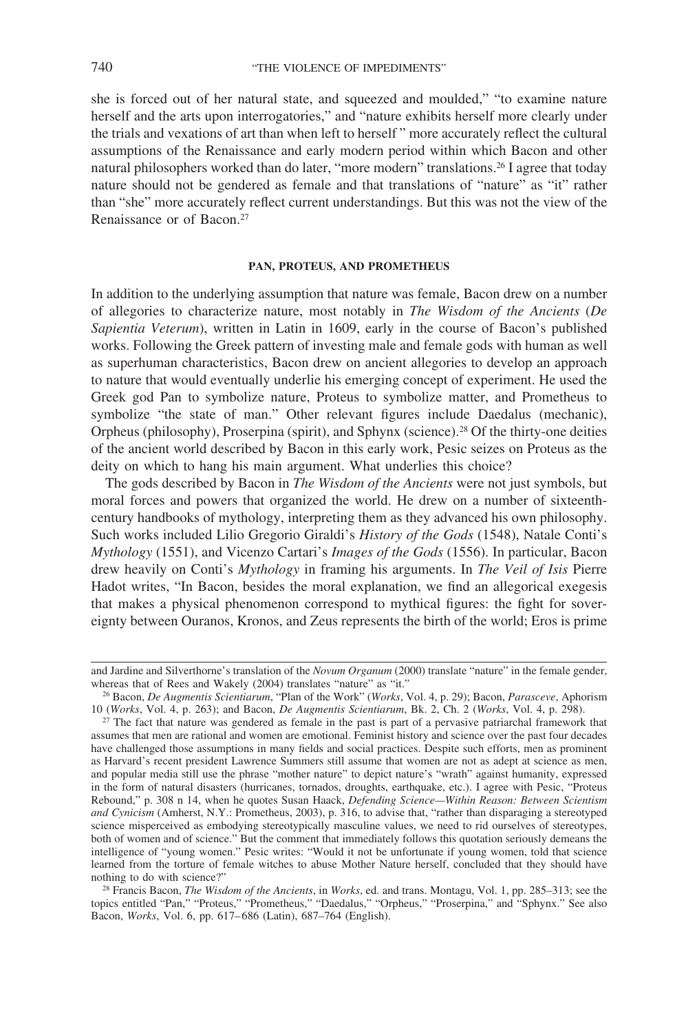she is forced out of her natural state, and squeezed and moulded," "to examine nature herself and the arts upon interrogatories," and "nature exhibits herself more clearly under the trials and vexations of art than when left to herself " more accurately reflect the cultural assumptions of the Renaissance and early modern period within which Bacon and other natural philosophers worked than do later, "more modern" translations.26 I agree that today nature should not be gendered as female and that translations of "nature" as "it" rather than "she" more accurately reflect current understandings. But this was not the view of the Renaissance or of Bacon.27

#### **PAN, PROTEUS, AND PROMETHEUS**

In addition to the underlying assumption that nature was female, Bacon drew on a number of allegories to characterize nature, most notably in *The Wisdom of the Ancients* (*De Sapientia Veterum*), written in Latin in 1609, early in the course of Bacon's published works. Following the Greek pattern of investing male and female gods with human as well as superhuman characteristics, Bacon drew on ancient allegories to develop an approach to nature that would eventually underlie his emerging concept of experiment. He used the Greek god Pan to symbolize nature, Proteus to symbolize matter, and Prometheus to symbolize "the state of man." Other relevant figures include Daedalus (mechanic), Orpheus (philosophy), Proserpina (spirit), and Sphynx (science).28 Of the thirty-one deities of the ancient world described by Bacon in this early work, Pesic seizes on Proteus as the deity on which to hang his main argument. What underlies this choice?

The gods described by Bacon in *The Wisdom of the Ancients* were not just symbols, but moral forces and powers that organized the world. He drew on a number of sixteenthcentury handbooks of mythology, interpreting them as they advanced his own philosophy. Such works included Lilio Gregorio Giraldi's *History of the Gods* (1548), Natale Conti's *Mythology* (1551), and Vicenzo Cartari's *Images of the Gods* (1556). In particular, Bacon drew heavily on Conti's *Mythology* in framing his arguments. In *The Veil of Isis* Pierre Hadot writes, "In Bacon, besides the moral explanation, we find an allegorical exegesis that makes a physical phenomenon correspond to mythical figures: the fight for sovereignty between Ouranos, Kronos, and Zeus represents the birth of the world; Eros is prime

and Jardine and Silverthorne's translation of the *Novum Organum* (2000) translate "nature" in the female gender, whereas that of Rees and Wakely (2004) translates "nature" as "it."

<sup>26</sup> Bacon, *De Augmentis Scientiarum*, "Plan of the Work" (*Works*, Vol. 4, p. 29); Bacon, *Parasceve*, Aphorism 10 (*Works*, Vol. 4, p. 263); and Bacon, *De Augmentis Scientiarum*, Bk. 2, Ch. 2 (*Works*, Vol. 4, p. 298).

<sup>&</sup>lt;sup>27</sup> The fact that nature was gendered as female in the past is part of a pervasive patriarchal framework that assumes that men are rational and women are emotional. Feminist history and science over the past four decades have challenged those assumptions in many fields and social practices. Despite such efforts, men as prominent as Harvard's recent president Lawrence Summers still assume that women are not as adept at science as men, and popular media still use the phrase "mother nature" to depict nature's "wrath" against humanity, expressed in the form of natural disasters (hurricanes, tornados, droughts, earthquake, etc.). I agree with Pesic, "Proteus Rebound," p. 308 n 14, when he quotes Susan Haack, *Defending Science—Within Reason: Between Scientism and Cynicism* (Amherst, N.Y.: Prometheus, 2003), p. 316, to advise that, "rather than disparaging a stereotyped science misperceived as embodying stereotypically masculine values, we need to rid ourselves of stereotypes, both of women and of science." But the comment that immediately follows this quotation seriously demeans the intelligence of "young women." Pesic writes: "Would it not be unfortunate if young women, told that science learned from the torture of female witches to abuse Mother Nature herself, concluded that they should have nothing to do with science?"

<sup>28</sup> Francis Bacon, *The Wisdom of the Ancients*, in *Works*, ed. and trans. Montagu, Vol. 1, pp. 285–313; see the topics entitled "Pan," "Proteus," "Prometheus," "Daedalus," "Orpheus," "Proserpina," and "Sphynx." See also Bacon, *Works*, Vol. 6, pp. 617– 686 (Latin), 687–764 (English).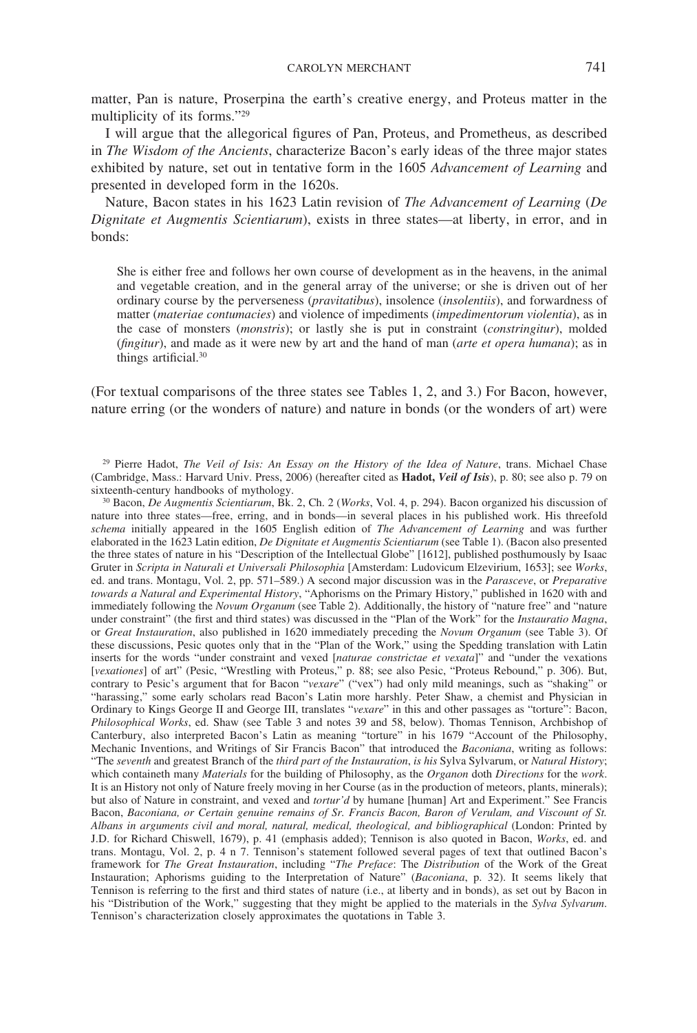matter, Pan is nature, Proserpina the earth's creative energy, and Proteus matter in the multiplicity of its forms."29

I will argue that the allegorical figures of Pan, Proteus, and Prometheus, as described in *The Wisdom of the Ancients*, characterize Bacon's early ideas of the three major states exhibited by nature, set out in tentative form in the 1605 *Advancement of Learning* and presented in developed form in the 1620s.

Nature, Bacon states in his 1623 Latin revision of *The Advancement of Learning* (*De Dignitate et Augmentis Scientiarum*), exists in three states—at liberty, in error, and in bonds:

She is either free and follows her own course of development as in the heavens, in the animal and vegetable creation, and in the general array of the universe; or she is driven out of her ordinary course by the perverseness (*pravitatibus*), insolence (*insolentiis*), and forwardness of matter (*materiae contumacies*) and violence of impediments (*impedimentorum violentia*), as in the case of monsters (*monstris*); or lastly she is put in constraint (*constringitur*), molded (*fingitur*), and made as it were new by art and the hand of man (*arte et opera humana*); as in things artificial.30

(For textual comparisons of the three states see Tables 1, 2, and 3.) For Bacon, however, nature erring (or the wonders of nature) and nature in bonds (or the wonders of art) were

<sup>29</sup> Pierre Hadot, *The Veil of Isis: An Essay on the History of the Idea of Nature*, trans. Michael Chase (Cambridge, Mass.: Harvard Univ. Press, 2006) (hereafter cited as **Hadot,** *Veil of Isis*), p. 80; see also p. 79 on sixteenth-century handbooks of mythology.

<sup>30</sup> Bacon, *De Augmentis Scientiarum*, Bk. 2, Ch. 2 (*Works*, Vol. 4, p. 294). Bacon organized his discussion of nature into three states—free, erring, and in bonds—in several places in his published work. His threefold *schema* initially appeared in the 1605 English edition of *The Advancement of Learning* and was further elaborated in the 1623 Latin edition, *De Dignitate et Augmentis Scientiarum* (see Table 1). (Bacon also presented the three states of nature in his "Description of the Intellectual Globe" [1612], published posthumously by Isaac Gruter in *Scripta in Naturali et Universali Philosophia* [Amsterdam: Ludovicum Elzevirium, 1653]; see *Works*, ed. and trans. Montagu, Vol. 2, pp. 571–589.) A second major discussion was in the *Parasceve*, or *Preparative towards a Natural and Experimental History*, "Aphorisms on the Primary History," published in 1620 with and immediately following the *Novum Organum* (see Table 2). Additionally, the history of "nature free" and "nature under constraint" (the first and third states) was discussed in the "Plan of the Work" for the *Instauratio Magna*, or *Great Instauration*, also published in 1620 immediately preceding the *Novum Organum* (see Table 3). Of these discussions, Pesic quotes only that in the "Plan of the Work," using the Spedding translation with Latin inserts for the words "under constraint and vexed [*naturae constrictae et vexata*]" and "under the vexations [*vexationes*] of art" (Pesic, "Wrestling with Proteus," p. 88; see also Pesic, "Proteus Rebound," p. 306). But, contrary to Pesic's argument that for Bacon "*vexare*" ("vex") had only mild meanings, such as "shaking" or "harassing," some early scholars read Bacon's Latin more harshly. Peter Shaw, a chemist and Physician in Ordinary to Kings George II and George III, translates "*vexare*" in this and other passages as "torture": Bacon, *Philosophical Works*, ed. Shaw (see Table 3 and notes 39 and 58, below). Thomas Tennison, Archbishop of Canterbury, also interpreted Bacon's Latin as meaning "torture" in his 1679 "Account of the Philosophy, Mechanic Inventions, and Writings of Sir Francis Bacon" that introduced the *Baconiana*, writing as follows: "The *seventh* and greatest Branch of the *third part of the Instauration*, *is his* Sylva Sylvarum, or *Natural History*; which containeth many *Materials* for the building of Philosophy, as the *Organon* doth *Directions* for the *work*. It is an History not only of Nature freely moving in her Course (as in the production of meteors, plants, minerals); but also of Nature in constraint, and vexed and *tortur'd* by humane [human] Art and Experiment." See Francis Bacon, *Baconiana, or Certain genuine remains of Sr. Francis Bacon, Baron of Verulam, and Viscount of St. Albans in arguments civil and moral, natural, medical, theological, and bibliographical* (London: Printed by J.D. for Richard Chiswell, 1679), p. 41 (emphasis added); Tennison is also quoted in Bacon, *Works*, ed. and trans. Montagu, Vol. 2, p. 4 n 7. Tennison's statement followed several pages of text that outlined Bacon's framework for *The Great Instauration*, including "*The Preface*: The *Distribution* of the Work of the Great Instauration; Aphorisms guiding to the Interpretation of Nature" (*Baconiana*, p. 32). It seems likely that Tennison is referring to the first and third states of nature (i.e., at liberty and in bonds), as set out by Bacon in his "Distribution of the Work," suggesting that they might be applied to the materials in the *Sylva Sylvarum*. Tennison's characterization closely approximates the quotations in Table 3.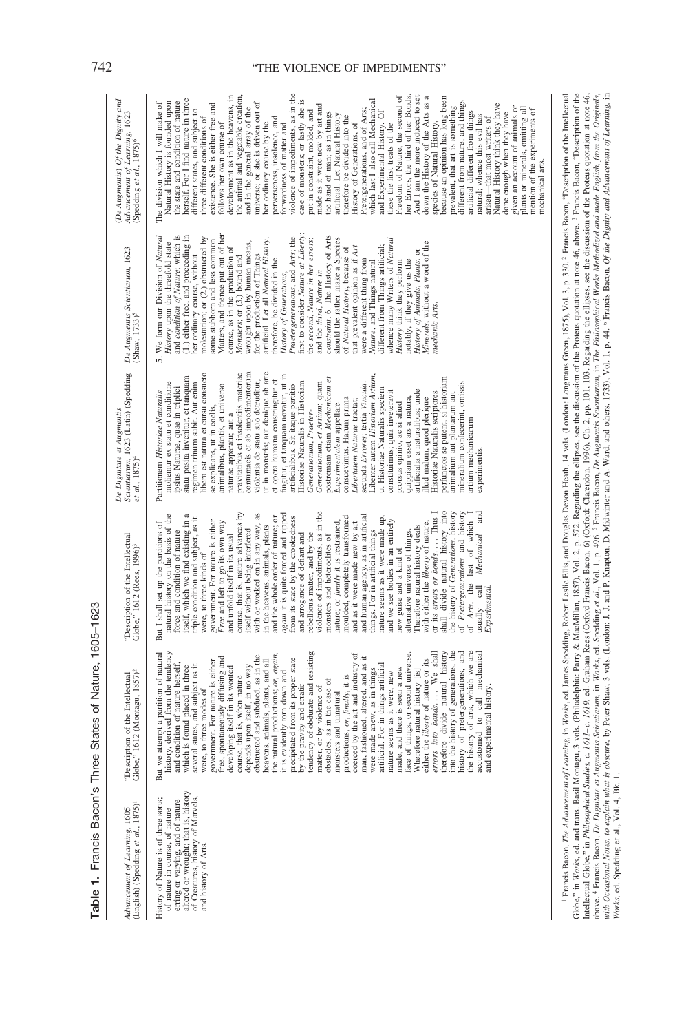Table 1. Francis Bacon's Three States of Nature, 1605-1623 **Table 1.** Francis Bacon's Three States of Nature, 1605–1623

| (English) (Spedding et al., 1875) <sup>1</sup><br>Advancement of Learning, 1605                                                                                                                                 | Globe," 1612 (Montagu, 1857) <sup>2</sup><br>"Description of the Intellectual                                                                                                                                                                                                                                                                                                                                                                                                                                                                                                                                                                                                                                                                                                                                                                                                                                                                                                                                                                                                                                                                                                                                                                                                 | "Description of the Intellectual<br>Globe," 1612 (Rees, 1996) <sup>3</sup>                                                                                                                                                                                                                                                                                                                                                                                                                                                                                                                                                                                                                                                                                                                                                                                                                                                                                                                                                                                                                                                                                                                                                                                                                           | Scientiarum, 1623 (Latin) (Spedding<br>et al., 1875) <sup>4</sup><br>De Dignitate et Augmentis                                                                                                                                                                                                                                                                                                                                                                                                                                                                                                                                                                                                                                                                                                                                                                                                                                                                                                                                                                                                                                                                                                                                            | De Augmentis Scientiarum, 1623<br>(Shaw, 1733) <sup>5</sup>                                                                                                                                                                                                                                                                                                                                                                                                                                                                                                                                                                                                                                                                                                                                                                                                                                                                                                                                                                                                                                                                | (De Augmentis) Of the Dignity and<br>Advancement of Learning, 1623<br>(Spedding et al., 1875) <sup>6</sup>                                                                                                                                                                                                                                                                                                                                                                                                                                                                                                                                                                                                                                                                                                                                                                                                                                                                                                                                                                                                                                                                                                                                                        |
|-----------------------------------------------------------------------------------------------------------------------------------------------------------------------------------------------------------------|-------------------------------------------------------------------------------------------------------------------------------------------------------------------------------------------------------------------------------------------------------------------------------------------------------------------------------------------------------------------------------------------------------------------------------------------------------------------------------------------------------------------------------------------------------------------------------------------------------------------------------------------------------------------------------------------------------------------------------------------------------------------------------------------------------------------------------------------------------------------------------------------------------------------------------------------------------------------------------------------------------------------------------------------------------------------------------------------------------------------------------------------------------------------------------------------------------------------------------------------------------------------------------|------------------------------------------------------------------------------------------------------------------------------------------------------------------------------------------------------------------------------------------------------------------------------------------------------------------------------------------------------------------------------------------------------------------------------------------------------------------------------------------------------------------------------------------------------------------------------------------------------------------------------------------------------------------------------------------------------------------------------------------------------------------------------------------------------------------------------------------------------------------------------------------------------------------------------------------------------------------------------------------------------------------------------------------------------------------------------------------------------------------------------------------------------------------------------------------------------------------------------------------------------------------------------------------------------|-------------------------------------------------------------------------------------------------------------------------------------------------------------------------------------------------------------------------------------------------------------------------------------------------------------------------------------------------------------------------------------------------------------------------------------------------------------------------------------------------------------------------------------------------------------------------------------------------------------------------------------------------------------------------------------------------------------------------------------------------------------------------------------------------------------------------------------------------------------------------------------------------------------------------------------------------------------------------------------------------------------------------------------------------------------------------------------------------------------------------------------------------------------------------------------------------------------------------------------------|----------------------------------------------------------------------------------------------------------------------------------------------------------------------------------------------------------------------------------------------------------------------------------------------------------------------------------------------------------------------------------------------------------------------------------------------------------------------------------------------------------------------------------------------------------------------------------------------------------------------------------------------------------------------------------------------------------------------------------------------------------------------------------------------------------------------------------------------------------------------------------------------------------------------------------------------------------------------------------------------------------------------------------------------------------------------------------------------------------------------------|-------------------------------------------------------------------------------------------------------------------------------------------------------------------------------------------------------------------------------------------------------------------------------------------------------------------------------------------------------------------------------------------------------------------------------------------------------------------------------------------------------------------------------------------------------------------------------------------------------------------------------------------------------------------------------------------------------------------------------------------------------------------------------------------------------------------------------------------------------------------------------------------------------------------------------------------------------------------------------------------------------------------------------------------------------------------------------------------------------------------------------------------------------------------------------------------------------------------------------------------------------------------|
| altered or wrought; that is, history<br>of Creatures, history of Marvels,<br>History of Nature is of three sorts;<br>erring or varying, and of nature<br>of nature in course, of nature<br>and history of Arts. | errors into bonds We shall<br>herefore divide natural history<br>into the history of generations, the<br>But we attempt a partition of natural<br>tendency of obdurate and resisting<br>coerced by the art and industry of<br>pretergenerations, and<br>history, derived from the tendency<br>face of things, or second universe.<br>productions; or, again<br>man, fashioned, altered, and as it<br>obstructed and subdued, as in the<br>government. For nature is either<br>free, spontaneously diffusing and<br>precipitated from its proper state<br>either the liberty of nature or its<br>heavens, animals, plants, and all<br>and condition of nature herself,<br>depends upon itself, in no way<br>artificial. For in things artificial<br>several states, and subject as it<br>which is found placed in three<br>developing itself in its wonted<br>made, and there is seen a new<br>were made anew, as in things<br>Wherefore natural history [is]<br>nature seems as it were, new<br>it is evidently torn down and<br>productions; or, finally, it is<br>course, that is, when nature<br>obstacles, as in the case of<br>by the pravity and erratic<br>matter, or by violence of<br>were, to three modes of<br>monsters and unnatural<br>the natural<br>history of | shall divide natural history into<br>or its errors or bonds Thus I<br>the history of Generations, history<br>violence of impediments, as in the<br>course, that is, nature advances by<br>of Pretergenerations and history<br>with or worked on in any way, as<br><i>again</i> it is quite forced and ripped<br>from its state by the crookedness<br>tself, which we find existing in a<br>natural history on the basis of the<br>and the whole order of nature; or<br>and human agency, as in artificial<br>nature seems as it were made up,<br>triple condition and subject, as it<br>moulded, completely transformed<br>government. For nature is either<br>and we see bodies in an entirely<br>Free and left to go its own way<br>and unfold itself in its usual<br>with either the liberty of nature,<br>But I shall set up the partitions of<br>nature; or finally it is restrained,<br>and as it were made new by art<br>in the heavens, animals, plants<br>Therefore natural history deals<br>itself without being interfered<br>things. For in artificial things<br>force and condition of nature<br>rebellious matter, and by the<br>alternative universe of things.<br>and arrogance of defiant and<br>monsters and heteroclites of<br>new guise and a kind of<br>were, to three kinds of | libera est natura et cursu consueto<br>pravitatibus et insolentis materiae<br>contumacis et ab impedimentorum<br>ut in monstris; aut denique ab arte<br>fingitur, et tanquam novatur, ut in<br>Libenter autem Historiam Artium,<br>perfunctos se putent, si historiam<br>statu posita invenitur, et tanquam<br>postremam etiam Mechanicam et<br>et opera humana constringitur et<br>violentia de statu suo detruditur,<br>Historiae Naturalis in Historiam<br>Generationum, et Artium; quam<br>moliemur ex statu et conditione<br>regimen trinum subit. Aut enim<br>mineralium confecerint, omissis<br>secunda Errores; tertia Vincula.<br>animalibus, plantis, et universo<br>artificialibus. Sit itaque partitio<br>ipsius Naturae, quae in triplici<br>at Historiae Naturalis speciem<br>constituimus; quia inveteravit<br>artificialia a naturalibus; unde<br>Partitionem Historiae Naturalis<br>Historiae Naturalis scriptores<br>animalium aut plantarum aut<br>consuevimus. Harum prima<br>quippiam esset ars a natura,<br>Ilud malum, quod plerique<br>Libertatem Naturae tractat;<br>prorsus opinio, ac si aliud<br>Experimentalem appellare<br>se explicans, ut in coelis,<br>Generationum, Praeter-<br>naturae apparatu; aut a | Matters, and thence put out of her<br>and condition of Nature; which is<br>first to consider Nature at Liberty;<br>(1.) either free, and proceeding in<br>constraint. 6. The History of Arts<br>We form our Division of Natural<br>Praetergenerations, and Arts; the<br>molestation; or (2.) obstructed by<br>should the rather make a Species<br>the second, Nature in her errors;<br>artificial. Let all Natural History,<br>some stubborn and less common<br>whence many Writers of Natural<br>History upon the threefold state<br>wrought upon by human means,<br>for the production of Things<br>Minerals, without a word of the<br>that prevalent opinion as if Art<br>of Natural History, because of<br>different from Things artificial;<br>course, as in the production of $M$ onsters; or $(3.)$ bound and<br>History of Animals, Plants, or<br>her ordinary course, without<br>therefore, be divided in the<br>were a different thing from<br>notably, if they give us the<br>Nature, and Things natural<br>History think they perform<br>and the third, Nature in<br>History of Generations,<br>mechanic Arts. | violence of impediments, as in the<br>development as in the heavens, in<br>the animal and vegetable creation,<br>her Errors, the third of her Bonds.<br>And I am the more induced to set<br>down the History of the Arts as a<br>Freedom of Nature, the second of<br>because an opinion has long been<br>case of monsters; or lastly she is<br>Pretergenerations, and of Arts;<br>which last I also call Mechanical<br>herself. For I find nature in three<br>the state and condition of nature<br>different from nature, and things<br>Natural History is founded upon<br>universe; or she is driven out of<br>The division which I will make of<br>existence. She is either free and<br>made as it were new by art and<br>prevalent, that art is something<br>and in the general array of the<br>different states, and subject to<br>put in constraint, molded, and<br>the hand of man; as in things<br>and Experimental History. Of<br>artificial. Let Natural History<br>therefore be divided into the<br>three different conditions of<br>perverseness, insolence, and<br>species of Natural History,<br>follows her own course of<br>her ordinary course by the<br>History of Generations, of<br>these the first treats of the<br>forwardness of matter and |
|                                                                                                                                                                                                                 | the history of arts, which we are<br>to call mechanical<br>and experimental history.<br>accustomed                                                                                                                                                                                                                                                                                                                                                                                                                                                                                                                                                                                                                                                                                                                                                                                                                                                                                                                                                                                                                                                                                                                                                                            | Mechanical and<br>of Arts, the last of which<br>usually call<br>Experimental                                                                                                                                                                                                                                                                                                                                                                                                                                                                                                                                                                                                                                                                                                                                                                                                                                                                                                                                                                                                                                                                                                                                                                                                                         | artium mechanicarum<br>experimentis                                                                                                                                                                                                                                                                                                                                                                                                                                                                                                                                                                                                                                                                                                                                                                                                                                                                                                                                                                                                                                                                                                                                                                                                       |                                                                                                                                                                                                                                                                                                                                                                                                                                                                                                                                                                                                                                                                                                                                                                                                                                                                                                                                                                                                                                                                                                                            | Natural History think they have<br>given an account of animals or<br>plants or minerals, omitting all<br>mention of the experiments of<br>done enough when they have<br>artificial different from things<br>natural; whence this evil has<br>arisen-that most writers of<br>mechanical arts.                                                                                                                                                                                                                                                                                                                                                                                                                                                                                                                                                                                                                                                                                                                                                                                                                                                                                                                                                                      |

<sup>1</sup> Francis Bacon, *The Advancement of Learning*, in Works, ed. James Speding, Robert Leslie Ellis, and Douglas Devon Heath, 14 vols. (London: Longmans Green, 1875), Vol. 3, p. 330.<sup>2</sup> Francis Bacon, "Description of the I Francis Bacon, The Advancement of Learning, in Works, ed. James Spedding, Robert Leslie Ellis, and Douglas Devon Heath, 14 vols. (London: Longmans Green, 1875), Vol. 3, p. 330. <sup>2</sup> Francis Bacon, "Description of the Intell Globe," in Works, ed. and trans. Basil Montagu, 3 vols. (Philadelphia: Parry & MacMillan, 1857), Vol. 2, p. 572. Regarding the ellipses, see the discussion of the Prote as quotation at note 46, above. <sup>3</sup> Francis Bacon, "D Intellectual Globe," in Philosophical Studies, c. 1611-c. 1619, ed. Graham Rees (Oxford Francis Bacon, 6) (Oxford: Clarendon, 1996), Ch. 2, pp. 101, 103. Regarding the ellipses, see the discussion of the Proteus quotation above. 4 Francis Bacon, De Dignitate et Augmentis Scientiarum, in Works, ed. Speeding et al., Vol. 1, p. 496. 5 Francis Bacon, De Augmentis Scientiarum, in The Philosophical Works Methodized and made English, from the Orig with Occasional Notes, to explain what is obscure, by Peter Shaw, 3 vols. (London: J. J. and P. Knapton, D. Midwinter and A. Ward, and others, 1733), Vol. 1, p. 44. 6 Francis Bacon, Of the Dignity and Advancement of Learni *Works,* ed. Spedding et al., Vol. 4, Bk. 1.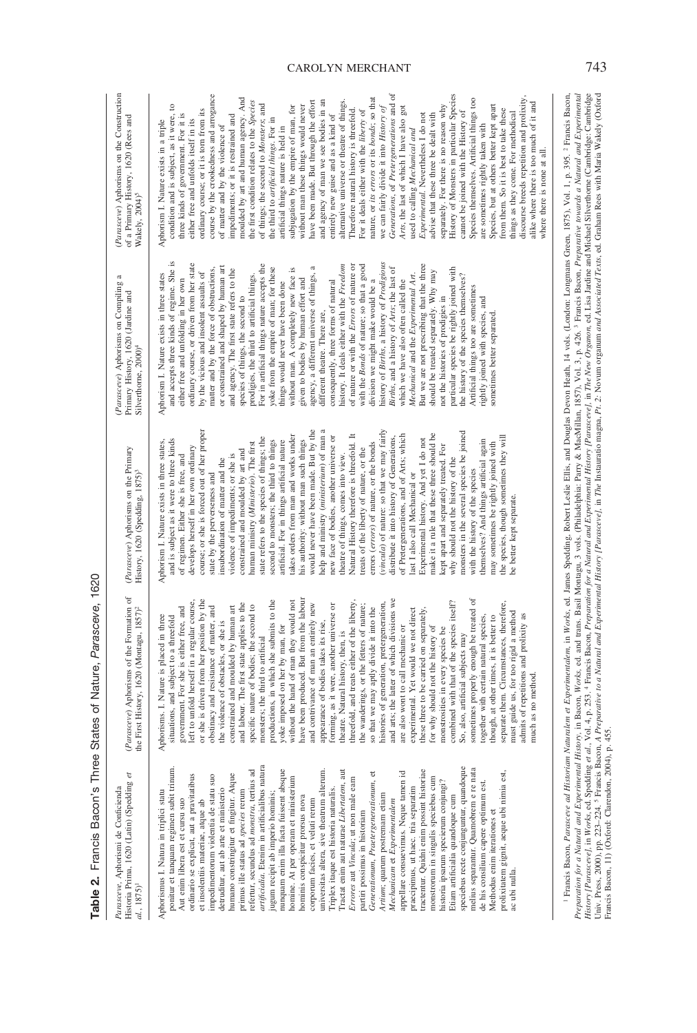Parasceve) Aphorisms on the Construction (*Parasceve*) Aphorisms on the Construction course by the crookedness and arrogance *Generations*, of *Pretergenerations* and of History of Monsters in particular Species course by the crookedness and arrogance moulded by art and human agency. And Generations, of Pretergenerations and of History of Monsters in particular Species Species themselves. Artificial things too discourse breeds repetition and prolixity, moulded by art and human agency. And nature, or its errors or its bonds; so that nature, or *its errors* or its *bonds*; so that discourse breeds repetition and prolixity, the first condition relates to the Species have been made. But through the effort and agency of man we see bodies in an and agency of man we see bodies in an alternative universe or theatre of things. alternative universe or theatre of things. Species themselves. Artificial things too alike where there is too much of it and the first condition relates to the *Species* subjugation by the empire of man, for have been made. But through the effort alike where there is too much of it and condition and is subject, as it were, to of things; the second to Monsters; and without man these things would never Arts, the last of which I have also got Species, but at others better kept apart condition and is subject, as it were, to of things; the second to *Monsters*; and subjugation by the empire of man, for without man these things would never we can fairly divide it into History of separately. For there is no reason why separately. For there is no reason why Species, but at others better kept apart ordinary course; or it is tom from its Therefore natural history is threefold. For it deals either with the liberty of we can fairly divide it into *History of Arts*, the last of which I have also got cannot be joined with the History of rom them. So it is best to take these Therefore natural history is threefold. from them. So it is best to take these three kinds of government. For it is ordinary course; or it is torn from its For it deals either with the *liberty* of Experimental. Nevertheless I do not advise that these three be dealt with cannot be joined with the History of hings as they come. For methodical of a Primary History, 1620 (Rees and impediments; or it is restrained and entirely new guise and as a kind of things as they come. For methodical three kinds of government. For it is *Experimental*. Nevertheless I do not advise that these three be dealt with of a Primary History, 1620 (Rees and impediments; or it is restrained and the third to artificial things. For in entirely new guise and as a kind of sphorism I. Nature exists in a triple either free and unfolds itself in its the third to *artificial things*. For in either free and unfolds itself in its Aphorism I. Nature exists in a triple of matter and by the violence of are sometimes rightly taken with of matter and by the violence of artificial things nature is held in are sometimes rightly taken with used to calling Mechanical and artificial things nature is held in used to calling *Mechanical and* Vakely, 2004)<sup>5</sup> Wakely, 2004)<sup>5</sup> and accepts three kinds of regime. She is and accepts three kinds of regime. She is ordinary course, or driven from her state history. It deals either with the Freedom of nature or with the Errors of nature or with the Bonds of nature; so that a good history of Births, a history of Prodigious history of *Births*, a history of *Prodigious* But we are not prescribing that the three ordinary course, or driven from her state For in artificial things nature accepts the For in artificial things nature accepts the history. It deals either with the *Freedom* of nature or with the *Errors* of nature or with the *Bonds* of nature; so that a good But we are not prescribing that the three or constrained and shaped by human art or constrained and shaped by human art agency, a different universe of things, a Births, and a history of Arts; the last of particular species be rightly joined with matter and by the force of obstructions, matter and by the force of obstructions, and agency. The first state refers to the yoke from the empire of man; for these yoke from the empire of man; for these without man. A completely new face is without man. A completely new face is agency, a different universe of things, a *Births*, and a history of *Arts*; the last of should be treated separately. Why may particular species be rightly joined with by the vicious and insolent assaults of and agency. The first state refers to the should be treated separately. Why may phorism I. Nature exists in three states by the vicious and insolent assaults of Mechanical and the Experimental Art. the history of the species themselves? Aphorism I. Nature exists in three states *Mechanical* and the *Experimental Art*. Parasceve) Aphorisms on Compiling a prodigies, the third to artificial things prodigies, the third to artificial things. the history of the species themselves? (*Parasceve*) Aphorisms on Compiling a either free and unfolding in her own given to bodies by human effort and either free and unfolding in her own things would never have been done given to bodies by human effort and consequently, three forms of natural division we might make would be a which we have also often called the consequently, three forms of natural division we might make would be a which we have also often called the things would never have been done Artificial things too are sometimes Artificial things too are sometimes Primary History, 1620 (Jardine and Primary History, 1620 (Jardine and species of things, the second to not the histories of prodigies in rightly joined with species, and species of things, the second to not the histories of prodigies in rightly joined with species, and different theatre. There are, different theatre. There are, sometimes better separated. sometimes better separated. Silverthorne, 2000)<sup>4</sup> Silverthorne, 2000)<sup>4</sup> course; or she is forced out of her proper course; or she is forced out of her proper would never have been made. But by the help and ministry (ministerium) of man a help and ministry (*ministerium*) of man a (*vincula*) of nature: so that we may fairly would never have been made. But by the (vincula) of nature: so that we may fairly monsters in the several species be joined monsters in the several species be joined Natural History therefore is threefold. It of Pretergenerations, and of Arts; which make it a rule that these three should be make it a rule that these three should be takes orders from man and works under takes orders from man and works under new face of bodies, another universe or Natural History therefore is threefold. It of Pretergenerations, and of Arts; which the species, though sometimes they will<br>be better kept separate. the species, though sometimes they will state refers to the species of things; the new face of bodies, another universe or distribute it into history of Generations, Experimental history. And yet I do not state refers to the species of things; the his authority: without man such things distribute it into history of Generations Experimental history. And yet I do not themselves? And things artificial again Aphorism I. Nature exists in three states, Aphorism I. Nature exists in three states, and is subject as it were to three kinds and is subject as it were to three kinds human ministry (Ministerio). The first second to monsters; the third to things second to monsters; the third to things artificial. For in things artificial nature his authority: without man such things kept apart and separately treated. For themselves? And things artificial again may sometimes be rightly joined with human ministry (*Ministerio*). The first artificial. For in things artificial nature errors (errors) of nature, or the bonds errors (*errors*) of nature, or the bonds may sometimes be rightly joined with develops herself in her own ordinary (Parasceve) Aphorisms on the Primary develops herself in her own ordinary treats of the liberty of nature, or the kept apart and separately treated. For (*Parasceve*) Aphorisms on the Primary constrained and moulded by art and constrained and moulded by art and treats of the liberty of nature, or the of regimen. Either she is free, and violence of impediments; or she is theatre of things, comes into view. of regimen. Either she is free, and violence of impediments; or she is theatre of things, comes into view. why should not the history of the insubordination of matter and the insubordination of matter and the why should not the history of the History, 1620 (Spedding, 1875)<sup>3</sup> with the history of the species last I also call Mechanical or History, 1620 (Spedding, 1875)3 state by the perverseness and with the history of the species last I also call Mechanical or state by the perverseness and be better kept separate. (Parasceve) Aphorisms of the Formation of (*Parasceve*) Aphorisms of the Formation of have been produced. But from the labour have been produced. But from the labour or she is driven from her position by the or she is driven from her position by the productions, in which she submits to the without the hand of man they would not threefold, and treats either of the liberty, and arts; the latter of which divisions we and arts; the latter of which divisions we combined with that of the species itself? sometimes properly enough be treated of sometimes properly enough be treated of left to unfold herself in a regular course, left to unfold herself in a regular course, and labour. The first state applies to the productions, in which she submits to the without the hand of man they would not forming, as it were, another universe or threefold, and treats either of the liberty, the wanderings, or the fetters of nature; histories of generation, pretergeneration, histories of generation, pretergeneration, combined with that of the species itself? separate them. Circumstances, therefore, separate them. Circumstances, therefore, and labour. The first state applies to the specific nature of bodies; the second to and contrivance of man an entirely new and contrivance of man an entirely new forming, as it were, another universe or government. For she is either free, and obstinacy and resistance of matter, and constrained and moulded by human art specific nature of bodies; the second to the wanderings, or the fetters of nature; experimental. Yet would we not direct the First History, 1620 (Montagu, 1857)<sup>2</sup> the First History, 1620 (Montagu, 1857)<sup>2</sup> government. For she is either free, and obstinacy and resistance of matter, and constrained and moulded by human art so that we may aptly divide it into the these three to be carried on separately, so that we may aptly divide it into the experimental. Yet would we not direct these three to be carried on separately, must guide us, for too rigid a method must guide us, for too rigid a method admits of repetitions and prolixity as Aphorisms. I. Nature is placed in three situations, and subject to a threefold together with certain natural species, hough, at other times, it is better to admits of repetitions and prolixity as Aphorisms. I. Nature is placed in three situations, and subject to a threefold the violence of obstacles, or she is together with certain natural species, though, at other times, it is better to appearance of bodies takes its rise, the violence of obstacles, or she is yoke imposed on her by man, for appearance of bodies takes its rise, are also wont to call mechanic or for why should not the history of monstrosities in every species be yoke imposed on her by man, for theatre. Natural history, then, is are also wont to call mechanic or for why should not the history of monstrosities in every species be So, also, artificial subjects may monsters; the third to artificial theatre. Natural history, then, is So, also, artificial subjects may monsters; the third to artificial nuch as no method. much as no method. ponitur et tanquam regimen subit trinum. artificialia. Etenim in artificialibus natura *artificialia*. Etenim in artificialibus natura speciebus recte conjunguntur, quandoque ponitur et tanquam regimen subit trinum. refertur, secundus ad monstra, tertius ad nunquam enim illa facta fuissent absque universitas altera, sive theatrum alterum. Tractat enim aut naturae Libertatem, aut speciebus recte conjunguntur, quandoque melius separantur. Quamobrem e re nata melius separantur. Quamobrem e re nata refertur, secundus ad *monstra*, tertius ad nunquam enim illa facta fuissent absque universitas altera, sive theatrum alterum. Tractat enim aut naturae *Libertatem*, aut Generationum, Praetergenerationum, et appellare consuevimus. Neque tamen id tractentur. Quidni enim possint historiae tractentur. Quidni enim possint historiae Historia Prima, 1620 (Latin) (Spedding et impedimentorum violentia de statu suo humano constringitur et fingitur. Atque *Generationum*, *Praetergenerationum*, et appellare consuevimus. Neque tamen id prolixitatem gignit, aeque ubi nimia est, prolixitatem gignit, aeque ubi nimia est, Historia Prima, 1620 (Latin) (Spedding *et* ordinario se explicat, aut a pravitatibus humano constringitur et fingitur. Atque homine. At per operam et ministerium ordinario se explicat, aut a pravitatibus impedimentorum violentia de statu suo Errores aut Vincula; ut non male eam monstrorum in singulis speciebus cum homine. At per operam et ministerium *Errores* aut *Vincula*; ut non male eam monstrorum in singulis speciebus cum historia ipsarum specierum conjungi? de his consilium capere optimum est. historia ipsarum specierum conjungi? de his consilium capere optimum est. detruditur, aut ab arte et ministerio Triplex itaque est historia naturalis. praecipimus, ut haec. tria separatim praecipimus, ut haec. tria separatim Parasceve, Aphorismi de Conficienda *Parasceve,* Aphorismi de Conficienda Aphorismus I. Natura in triplici statu primus ille status ad species rerum jugum recipit ab imperio hominis; Triplex itaque est historia naturalis. Aphorismus I. Natura in triplici statu detruditur, aut ab arte et ministerio primus ille status ad *species* rerum Artium; quarum postremam etiam jugum recipit ab imperio hominis; hominis conspicitur prorsus nova *Artium*; quarum postremam etiam Aut enim libera est et cursu suo et insolentiis materiae, atque ab hominis conspicitur prorsus nova Mechanicam et Experimentalem Etiam artificialia quandoque cum Etiam artificialia quandoque cum corporum facies, et veluti rerum Aut enim libera est et cursu suo corporum facies, et veluti rerum *Mechanicam* et *Experimentalem* et insolentiis materiae, atque ab partiri possimus in historiam Methodus enim iterationes et Methodus enim iterationes et partiri possimus in historiam ac ubi nulla. ac ubi nulla *al.*, 1875)1

**Table 2.** Francis Bacon's Three States of Nature, *Parasceve*, 1620

Table 2. Francis Bacon's Three States of Nature, Parasceve, 1620

History [Paracewe], in Works, ed. Spedding et al., Vol. 4, p. 253. 4 Francis Bacon, Pereparation for a Mand and History [Paracewe], in The New Organon, ed. Lisa Jardine and Michael Silverthorne (Cambridge: Cambridge)<br>Univ. 1 Francis Bacon, Paraxeve ad Historiam Naturalem et Experimentalem, in Works, ed. James Spedding, Robert Leslie Ellis, and Douglas Devon Heath, 14 vols. (London: Longmans Green, 1875), Vol. 1, p. 395. <sup>2</sup> Francis Bacon, <sup>1</sup> Francis Bacon, Parasceve ad Historiam Naturalem et Experimentalem, in Works, ed. James Spedding, Robert Leslie Ellis, and Douglas Devon Heath, 14 vols. (London: Longmans Green, 1875), Vol. 1, p. 395. <sup>2</sup> Francis Bacon, Peparation for a Natural and Experimental History, in Bacon, Works, ed. and trans. Basil Montagu, 3 vols. (Philadelphia: Parry & MacMillan, 1857), Vol. 3, p. 426. 3 Francis Bacon, Preparative towards a Natural and Experime Preparation for a Natural and Experimental History, in Bacon, Works, ed. and trans. Bassil Montagen, 3 vols. (Philadelphia: Parry & MacMillan, 1857), Vol. 3, p. 426. <sup>3</sup> Francis Bacon, *Preparative towards a Natural and Ex* History [Parasceve], in Works, ed. Spedding et al., Vol. 4, p. 253.4 Francis Bacon, Pepperatural and Experimental History [Parasceve], in The New Organon, ed. Lisa Jardine and Michael Silverthorne (Cambridge: Cambridge Univ. Press, 2000), pp. 223-224. <sup>5</sup> Francis Bacon, *A Preparative to a Naural and Experimental History [Parasceve], in The Instauratio magna, Pt. 2: Novum organum <i>and Associated Texts*, ed. Graham Rees with Maria Wakely Francis Bacon, 11) (Oxford: Clarendon, 2004), p. 455. Francis Bacon, 11) (Oxford: Clarendon, 2004), p. 455.

## CAROLYN MERCHANT 743

where there is none at all.

where there is none at all.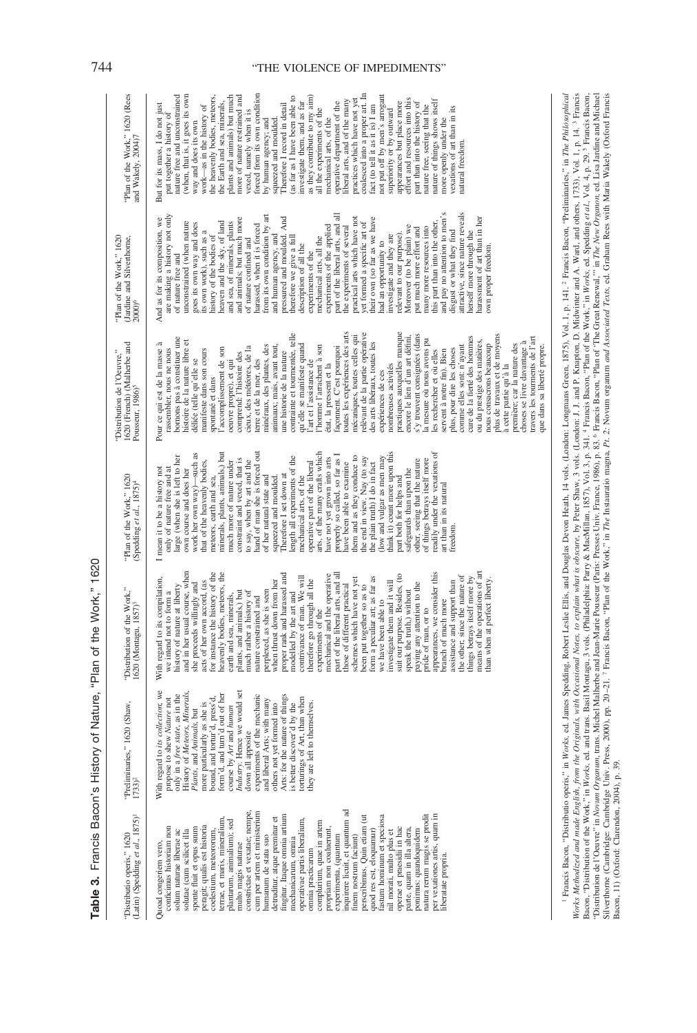| ころこ<br>i                              |
|---------------------------------------|
|                                       |
|                                       |
|                                       |
|                                       |
|                                       |
|                                       |
|                                       |
|                                       |
|                                       |
| "Plan of the Work,"                   |
|                                       |
|                                       |
|                                       |
|                                       |
|                                       |
|                                       |
|                                       |
|                                       |
|                                       |
|                                       |
|                                       |
|                                       |
|                                       |
|                                       |
|                                       |
|                                       |
|                                       |
|                                       |
|                                       |
|                                       |
| , of Noting                           |
|                                       |
|                                       |
|                                       |
|                                       |
| )<br>)<br>:                           |
|                                       |
|                                       |
|                                       |
|                                       |
|                                       |
|                                       |
|                                       |
|                                       |
| )<br>5<br> <br> <br> <br>.<br>המה הוא |
|                                       |
|                                       |
|                                       |
|                                       |
|                                       |
|                                       |
| $\frac{1}{2}$                         |
|                                       |
|                                       |
|                                       |
|                                       |
|                                       |
|                                       |
|                                       |
|                                       |
| Table 3. I                            |

 $\circ$ 

| (Latin) (Spedding et al., 1875) <sup>1</sup><br>"Distributio operis," 1620 | (Shaw,<br>"Preliminaries," 1620<br>$1733)^2$                             | "Distribution of the Work,"<br>1620 (Montagu, 1857) <sup>3</sup> | Plan of the Work," 1620<br>Spedding et al., 1875) <sup>4</sup>  | 1620 (French) (Malherbe and<br>"Distribution de l'Oeuvre."<br>$P$ ousseur, $1986$ <sup>5</sup> | "Plan of the Work," 1620<br>Jardine and Silverthorne,<br>2000) <sup>6</sup> | "Plan of the Work," 1620 (Rees<br>and Wakely, 2004)7             |
|----------------------------------------------------------------------------|--------------------------------------------------------------------------|------------------------------------------------------------------|-----------------------------------------------------------------|------------------------------------------------------------------------------------------------|-----------------------------------------------------------------------------|------------------------------------------------------------------|
| Quoad congeriem vero.                                                      | With regard to its collection; we                                        | With regard to its compilation,                                  | I mean it to be a history not                                   | Pour ce qui est de la masse à                                                                  | And as for its composition, we                                              | But for its mass, I do not just                                  |
| conficimus historiam non<br>solum naturae liberae ac                       | as in the<br>propose to shew Nature not<br>only in a <i>free state</i> , | history of nature at liberty<br>we intend not to form a          | large (when she is left to her<br>only of nature free and at    | bornons pas à constituer une<br>rassembler, nous ne nous                                       | are making a history not only<br>of nature free and                         | nature free and unconstrained<br>put together a history of       |
| solutae (cum scilicet illa                                                 | Minerals,<br>History of Meteors,                                         | and in her usual course, when                                    | own course and does her                                         | histoire de la nature libre et                                                                 | unconstrained (when nature                                                  | (when, that is, it goes its own<br>way and does its own          |
| sponte fluit et opus suum                                                  | Plants, and Animals, but                                                 | she proceeds willingly and                                       | work her own way)-such as                                       | déliée (telle qu'elle se                                                                       | goes its own way and does                                                   |                                                                  |
| peragit; qualis est historia<br>coelestium, meteororum,                    | , press'd,<br>more particularly as she is<br>bound, and tortur'd,        | for instance the history of the<br>acts of her own accord, (as   | that of the heavenly bodies,                                    | manifeste dans son cours<br>spontané et dans                                                   | its own work), such as a<br>history of the bodies of                        | he heavenly bodies, meteors,<br>work-as in the history of        |
| terrae, et maris, mineralium,                                              | form'd, and turn'd out of her                                            | heavenly bodies, meteors, the                                    | meteors, earth and sea,<br>minerals, plants, animals,) but      | l'accomplissement de son                                                                       | heaven and the sky, of land                                                 | the Earth and sea, minerals,                                     |
| plantarum, animalium); sed                                                 | course by Art and human                                                  | earth and sea, minerals,                                         | much more of nature under                                       | betwee propre), et qui                                                                         | and sea, of minerals, plants                                                | plants and animals) but much                                     |
| multo magis naturae                                                        | Industry. Hence we would set                                             | plants, and animals,) but                                        | constraint and vexed, that is                                   | comprend: l'histoire des                                                                       | and animals; but much more                                                  | more of nature restrained and                                    |
| constrictae et vexatae; nempe<br>cum per artem et ministerium              | experiments of the mechanic<br>down all apposite                         | much rather a history of<br>nature constrained and               | hand of man she is forced out<br>to say, when by art and the    | cieux, des météores, de la<br>terre et de la mer, des                                          | harassed, when it is forced<br>of nature confined and                       | forced from its own condition<br>vexed, namely when it is        |
| humanum de statu suo                                                       | and liberal Arts; with many                                              | perplexed, as she is seen                                        | of her natural state and                                        | minéraux, des plantes, des                                                                     | from its own condition by art                                               | by human agency; and                                             |
| detruditur, atque premitur et                                              | others not yet formed into                                               | when thrust down from her                                        | squeezed and moulded.                                           | animaux; mais, avant tout,                                                                     | and human agency, and                                                       | squeezed and moulded.                                            |
| fingitur. Itaque omnia artium                                              | Arts: for the nature of things                                           | proper rank and harassed and                                     | Therefore I set down at                                         | une historie de la nature                                                                      | pressured and moulded. And                                                  | Therefore I record in detail                                     |
| mechanicarum, omnia                                                        | by the<br>s better discover'd                                            | modelled by the art and                                          | length all experiments of the                                   | contrainte et tourmentée, telle                                                                | therefore we give a full                                                    | as far as I have been able to                                    |
| operativae partis liberalium,                                              | torturings of Art, than when                                             | contrivance of man. We will                                      | mechanical arts, of the                                         | qu'elle se manifeste quand                                                                     | description of all the                                                      | nvestigate them, and as far                                      |
| omnia practicarum                                                          | hey are left to themselves.                                              | therefore go through all the<br>experiments of the               | operative part of the liberal                                   | 'homme l'arrachent à son<br>'art et l'assistance de                                            | mechanical arts, all the<br>experiments of the                              | as they contribute to my aim)<br>all the experiments of the      |
| complurium, quae in artem<br>propriam non coaluerunt,                      |                                                                          | mechanical and the operative                                     | arts, of the many crafts which<br>have not yet grown into arts  | état, la pressent et la                                                                        | experiments of the applied                                                  | mechanical arts, of the                                          |
| experimenta, (quantum                                                      |                                                                          | part of the liberal arts, and all                                | properly so called, so far as I                                 | façonnent. C'est pourquoi                                                                      | part of the liberal arts, and all                                           | operative department of the                                      |
| inquirere licuit, et quantum ad                                            |                                                                          | hose of different practical                                      | have been able to examine                                       | toutes les expériences des arts                                                                | the experiments of several                                                  | liberal arts, and of the many                                    |
| finem nostrum faciunt)                                                     |                                                                          | schemes which have not yet                                       | them and as they conduce to                                     | mécaniques, toutes celles qui                                                                  | practical arts which have not                                               | practices which have not yet                                     |
| perscribimus. Quin etiam (ut                                               |                                                                          | been put together so as to                                       | the end in view. Nay (to say                                    | relèvant de la partie opérative                                                                | yet formed a specific art of                                                | coalesced into a proper art. In                                  |
| quod res est, eloquamur)                                                   |                                                                          | form a peculiar art; as far as                                   | the plain truth) I do in fact                                   | des arts libéraux, toutes les                                                                  | their own (so far as we have                                                | fact (to tell it as it is) I am<br>not put off by men's arrogant |
| astum hominum et speciosa                                                  |                                                                          | we have been able to                                             | (low and vulgar as men may                                      | expériences de ces                                                                             | had an opportunity to                                                       |                                                                  |
| nil morati, multo plus et                                                  |                                                                          | investigate them and it will                                     | think it) count more upon this                                  | nombreuses activités                                                                           | investigate and they are                                                    | superiority or by outward                                        |
| operae et praesidii in hac                                                 |                                                                          | suit our purpose. Besides, (to                                   | part both for helps and                                         | practiques auxquelles manque                                                                   | relevant to our purpose).<br>Moreover (to be plain) we                      | appearances but place more                                       |
| parte, quam in illa altera,                                                |                                                                          | speak the truth,) without                                        | safeguards than upon the                                        | encore le lien d'un art défini,                                                                |                                                                             | effort and resources into this                                   |
| ponimus: quandoquidem                                                      |                                                                          | paying any attention to the                                      | other, seeing that the nature                                   | s'y trouvent consignées (dans                                                                  | put much more effort and                                                    | part than into the history of                                    |
| per vexationes artis, quam in<br>natura rerum magis se prodit              |                                                                          | appearances, we consider this<br>pride of man, or to             | readily under the vexations of<br>of things betrays itself more | la mesure où nous avons pu<br>les rechercher et où elles                                       | this part than into the other,<br>many more resources into                  | nature of things shows itself<br>nature free, seeing that the    |
| iberatate propria.                                                         |                                                                          | branch of much more                                              | art than in its natural                                         | servent à notre fin). Bien                                                                     | and pay no attention to men'                                                | nore openly under the                                            |
|                                                                            |                                                                          | assistance and support than                                      | freedom                                                         | plus, pour dire les choses                                                                     | disgust or what they find                                                   | vexations of art than in its                                     |
|                                                                            |                                                                          | the other; since the nature of                                   |                                                                 | comme elles sont: n'avant                                                                      | attractive, since nature reveals                                            | natural freedom                                                  |
|                                                                            |                                                                          | things betrays itself more by                                    |                                                                 | cure de la fierté des hommes                                                                   | herself more through the                                                    |                                                                  |
|                                                                            |                                                                          | means of the operations of art                                   |                                                                 | ou du prestige des matières,                                                                   | harassment of art than in her                                               |                                                                  |
|                                                                            |                                                                          | than when at perfect liberty.                                    |                                                                 | nous consacrons beaucoup                                                                       | own proper freedom.                                                         |                                                                  |
|                                                                            |                                                                          |                                                                  |                                                                 | plus de travaux et de moyens                                                                   |                                                                             |                                                                  |
|                                                                            |                                                                          |                                                                  |                                                                 | $\hat{a}$ cette partie qu' $\hat{a}$ la<br>première; car la nature des                         |                                                                             |                                                                  |
|                                                                            |                                                                          |                                                                  |                                                                 | travers les tourments de l'art<br>choses se livre davantage à                                  |                                                                             |                                                                  |
|                                                                            |                                                                          |                                                                  |                                                                 | que dans sa liberté propre.                                                                    |                                                                             |                                                                  |

<sup>&</sup>lt;sup>1</sup> Francis Bacon, "Distributio operis," in Work, ed. James Spedding, Robert Leslie Ellis, and Douglas Devon Heath, 14 vols. (London: Longmans Green, 1875), Vol. 1, p. 141. <sup>2</sup> Francis Bacon, "Prellimiaries," in The Philo Francis Bacon, "Distributio operis," in Works, ed. James Spedding, Robert Leslie Ellis, and Douglas Devon Heath, 14 vols. (London: Longmans Green, 1875), Vol. 1, p. 141. 2 Francis Bacon, "Preliminaries," in The Philosophic Works Methodized and made English, from the Originals, with Occasional Notes, to explain what is obscure, by Peter Shaw, 3 vols. (London: J. J. and P. Knapton, D. Midwinter and A. Ward, and others, 1733), Vol. 1, p. 14. 3 Bacon, "Distribution of the Work," in Works, ed. and trans. Basil Montagu, 3 vols. (Philadelphia: Parry & MacMillan, 1857), Vol. 3, p. 341. 4 Francis Bacon, "Plan of the Work," in Works, ed. Spedding et al., Vol. 4, p. 29. "Distribution de l'Oeuvre" in Novum Organum, trans. Michel Malherbe and Jean'e Pousseur (Paris: Presses Univ. France, 1986), p. 83.6 Francis Bacon, "Plan of The Great Renewal,"" in The New Organon, ed. Lisa Jardine and Mic Silverthorne (Cambridge Univ. Press, 2000), pp. 20-21. 7 Francis Bacon, "Plan of the Work," in The Instauratio magna, Pt. 2: Novum organum and Associated Texts, ed. Graham Rees with Maria Wakely (Oxford Francis Bacon, 11) (Oxford: Clarendon, 2004), p. 39.

## 744 "THE VIOLENCE OF IMPEDIMENTS"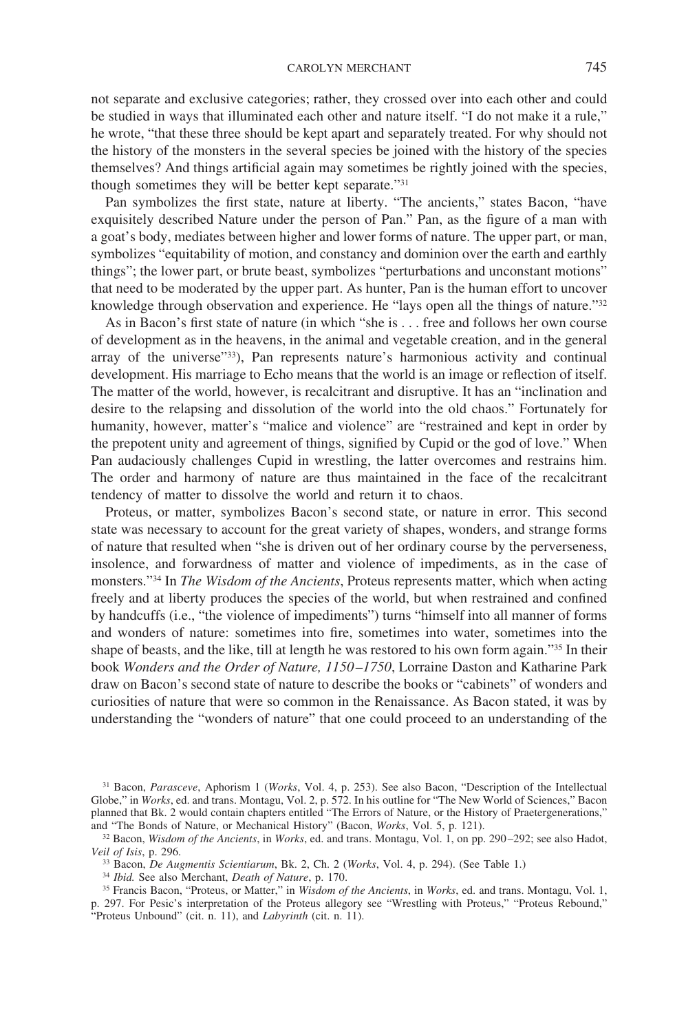not separate and exclusive categories; rather, they crossed over into each other and could be studied in ways that illuminated each other and nature itself. "I do not make it a rule," he wrote, "that these three should be kept apart and separately treated. For why should not the history of the monsters in the several species be joined with the history of the species themselves? And things artificial again may sometimes be rightly joined with the species, though sometimes they will be better kept separate."31

Pan symbolizes the first state, nature at liberty. "The ancients," states Bacon, "have exquisitely described Nature under the person of Pan." Pan, as the figure of a man with a goat's body, mediates between higher and lower forms of nature. The upper part, or man, symbolizes "equitability of motion, and constancy and dominion over the earth and earthly things"; the lower part, or brute beast, symbolizes "perturbations and unconstant motions" that need to be moderated by the upper part. As hunter, Pan is the human effort to uncover knowledge through observation and experience. He "lays open all the things of nature."32

As in Bacon's first state of nature (in which "she is . . . free and follows her own course of development as in the heavens, in the animal and vegetable creation, and in the general array of the universe"33), Pan represents nature's harmonious activity and continual development. His marriage to Echo means that the world is an image or reflection of itself. The matter of the world, however, is recalcitrant and disruptive. It has an "inclination and desire to the relapsing and dissolution of the world into the old chaos." Fortunately for humanity, however, matter's "malice and violence" are "restrained and kept in order by the prepotent unity and agreement of things, signified by Cupid or the god of love." When Pan audaciously challenges Cupid in wrestling, the latter overcomes and restrains him. The order and harmony of nature are thus maintained in the face of the recalcitrant tendency of matter to dissolve the world and return it to chaos.

Proteus, or matter, symbolizes Bacon's second state, or nature in error. This second state was necessary to account for the great variety of shapes, wonders, and strange forms of nature that resulted when "she is driven out of her ordinary course by the perverseness, insolence, and forwardness of matter and violence of impediments, as in the case of monsters."34 In *The Wisdom of the Ancients*, Proteus represents matter, which when acting freely and at liberty produces the species of the world, but when restrained and confined by handcuffs (i.e., "the violence of impediments") turns "himself into all manner of forms and wonders of nature: sometimes into fire, sometimes into water, sometimes into the shape of beasts, and the like, till at length he was restored to his own form again."35 In their book *Wonders and the Order of Nature, 1150 –1750*, Lorraine Daston and Katharine Park draw on Bacon's second state of nature to describe the books or "cabinets" of wonders and curiosities of nature that were so common in the Renaissance. As Bacon stated, it was by understanding the "wonders of nature" that one could proceed to an understanding of the

<sup>31</sup> Bacon, *Parasceve*, Aphorism 1 (*Works*, Vol. 4, p. 253). See also Bacon, "Description of the Intellectual Globe," in *Works*, ed. and trans. Montagu, Vol. 2, p. 572. In his outline for "The New World of Sciences," Bacon planned that Bk. 2 would contain chapters entitled "The Errors of Nature, or the History of Praetergenerations," and "The Bonds of Nature, or Mechanical History" (Bacon, *Works*, Vol. 5, p. 121).

<sup>&</sup>lt;sup>32</sup> Bacon, *Wisdom of the Ancients*, in *Works*, ed. and trans. Montagu, Vol. 1, on pp. 290–292; see also Hadot, *Veil of Isis*, p. 296.

<sup>33</sup> Bacon, *De Augmentis Scientiarum*, Bk. 2, Ch. 2 (*Works*, Vol. 4, p. 294). (See Table 1.)

<sup>34</sup> *Ibid.* See also Merchant, *Death of Nature*, p. 170.

<sup>35</sup> Francis Bacon, "Proteus, or Matter," in *Wisdom of the Ancients*, in *Works*, ed. and trans. Montagu, Vol. 1, p. 297. For Pesic's interpretation of the Proteus allegory see "Wrestling with Proteus," "Proteus Rebound," "Proteus Unbound" (cit. n. 11), and *Labyrinth* (cit. n. 11).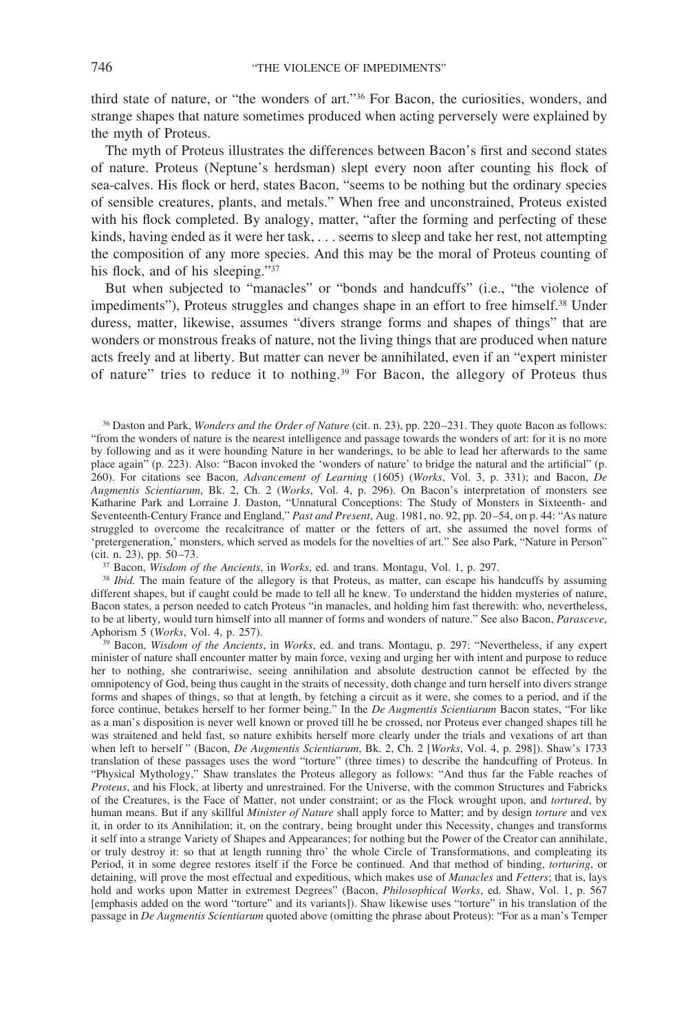third state of nature, or "the wonders of art."36 For Bacon, the curiosities, wonders, and strange shapes that nature sometimes produced when acting perversely were explained by the myth of Proteus.

The myth of Proteus illustrates the differences between Bacon's first and second states of nature. Proteus (Neptune's herdsman) slept every noon after counting his flock of sea-calves. His flock or herd, states Bacon, "seems to be nothing but the ordinary species of sensible creatures, plants, and metals." When free and unconstrained, Proteus existed with his flock completed. By analogy, matter, "after the forming and perfecting of these kinds, having ended as it were her task, . . . seems to sleep and take her rest, not attempting the composition of any more species. And this may be the moral of Proteus counting of his flock, and of his sleeping."37

But when subjected to "manacles" or "bonds and handcuffs" (i.e., "the violence of impediments"), Proteus struggles and changes shape in an effort to free himself.38 Under duress, matter, likewise, assumes "divers strange forms and shapes of things" that are wonders or monstrous freaks of nature, not the living things that are produced when nature acts freely and at liberty. But matter can never be annihilated, even if an "expert minister of nature" tries to reduce it to nothing.<sup>39</sup> For Bacon, the allegory of Proteus thus

<sup>38</sup> *Ibid.* The main feature of the allegory is that Proteus, as matter, can escape his handcuffs by assuming different shapes, but if caught could be made to tell all he knew. To understand the hidden mysteries of nature, Bacon states, a person needed to catch Proteus "in manacles, and holding him fast therewith: who, nevertheless, to be at liberty, would turn himself into all manner of forms and wonders of nature." See also Bacon, *Parasceve*, Aphorism 5 (*Works*, Vol. 4, p. 257).

<sup>39</sup> Bacon, *Wisdom of the Ancients*, in *Works*, ed. and trans. Montagu, p. 297: "Nevertheless, if any expert minister of nature shall encounter matter by main force, vexing and urging her with intent and purpose to reduce her to nothing, she contrariwise, seeing annihilation and absolute destruction cannot be effected by the omnipotency of God, being thus caught in the straits of necessity, doth change and turn herself into divers strange forms and shapes of things, so that at length, by fetching a circuit as it were, she comes to a period, and if the force continue, betakes herself to her former being." In the *De Augmentis Scientiarum* Bacon states, "For like as a man's disposition is never well known or proved till he be crossed, nor Proteus ever changed shapes till he was straitened and held fast, so nature exhibits herself more clearly under the trials and vexations of art than when left to herself " (Bacon, *De Augmentis Scientiarum*, Bk. 2, Ch. 2 [*Works*, Vol. 4, p. 298]). Shaw's 1733 translation of these passages uses the word "torture" (three times) to describe the handcuffing of Proteus. In "Physical Mythology," Shaw translates the Proteus allegory as follows: "And thus far the Fable reaches of *Proteus*, and his Flock, at liberty and unrestrained. For the Universe, with the common Structures and Fabricks of the Creatures, is the Face of Matter, not under constraint; or as the Flock wrought upon, and *tortured*, by human means. But if any skillful *Minister of Nature* shall apply force to Matter; and by design *torture* and vex it, in order to its Annihilation; it, on the contrary, being brought under this Necessity, changes and transforms it self into a strange Variety of Shapes and Appearances; for nothing but the Power of the Creator can annihilate, or truly destroy it: so that at length running thro' the whole Circle of Transformations, and compleating its Period, it in some degree restores itself if the Force be continued. And that method of binding, *torturing*, or detaining, will prove the most effectual and expeditious, which makes use of *Manacles* and *Fetters*; that is, lays hold and works upon Matter in extremest Degrees" (Bacon, *Philosophical Works*, ed. Shaw, Vol. 1, p. 567 [emphasis added on the word "torture" and its variants]). Shaw likewise uses "torture" in his translation of the passage in *De Augmentis Scientiarum* quoted above (omitting the phrase about Proteus): "For as a man's Temper

<sup>&</sup>lt;sup>36</sup> Daston and Park, *Wonders and the Order of Nature* (cit. n. 23), pp. 220–231. They quote Bacon as follows: "from the wonders of nature is the nearest intelligence and passage towards the wonders of art: for it is no more by following and as it were hounding Nature in her wanderings, to be able to lead her afterwards to the same place again" (p. 223). Also: "Bacon invoked the 'wonders of nature' to bridge the natural and the artificial" (p. 260). For citations see Bacon, *Advancement of Learning* (1605) (*Works*, Vol. 3, p. 331); and Bacon, *De Augmentis Scientiarum*, Bk. 2, Ch. 2 (*Works*, Vol. 4, p. 296). On Bacon's interpretation of monsters see Katharine Park and Lorraine J. Daston, "Unnatural Conceptions: The Study of Monsters in Sixteenth- and Seventeenth-Century France and England," *Past and Present*, Aug. 1981, no. 92, pp. 20 –54, on p. 44: "As nature struggled to overcome the recalcitrance of matter or the fetters of art, she assumed the novel forms of 'pretergeneration,' monsters, which served as models for the novelties of art." See also Park, "Nature in Person" (cit. n. 23), pp.  $50-73$ .

<sup>37</sup> Bacon, *Wisdom of the Ancients*, in *Works*, ed. and trans. Montagu, Vol. 1, p. 297.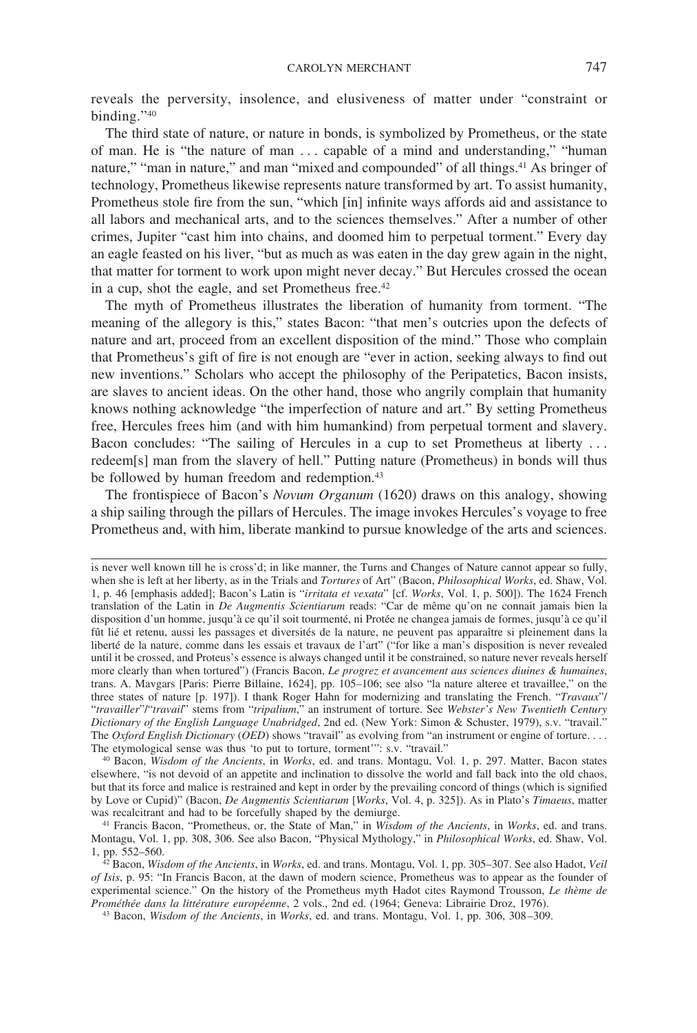reveals the perversity, insolence, and elusiveness of matter under "constraint or binding."40

The third state of nature, or nature in bonds, is symbolized by Prometheus, or the state of man. He is "the nature of man . . . capable of a mind and understanding," "human nature," "man in nature," and man "mixed and compounded" of all things.41 As bringer of technology, Prometheus likewise represents nature transformed by art. To assist humanity, Prometheus stole fire from the sun, "which [in] infinite ways affords aid and assistance to all labors and mechanical arts, and to the sciences themselves." After a number of other crimes, Jupiter "cast him into chains, and doomed him to perpetual torment." Every day an eagle feasted on his liver, "but as much as was eaten in the day grew again in the night, that matter for torment to work upon might never decay." But Hercules crossed the ocean in a cup, shot the eagle, and set Prometheus free.<sup>42</sup>

The myth of Prometheus illustrates the liberation of humanity from torment. "The meaning of the allegory is this," states Bacon: "that men's outcries upon the defects of nature and art, proceed from an excellent disposition of the mind." Those who complain that Prometheus's gift of fire is not enough are "ever in action, seeking always to find out new inventions." Scholars who accept the philosophy of the Peripatetics, Bacon insists, are slaves to ancient ideas. On the other hand, those who angrily complain that humanity knows nothing acknowledge "the imperfection of nature and art." By setting Prometheus free, Hercules frees him (and with him humankind) from perpetual torment and slavery. Bacon concludes: "The sailing of Hercules in a cup to set Prometheus at liberty . . . redeem[s] man from the slavery of hell." Putting nature (Prometheus) in bonds will thus be followed by human freedom and redemption.<sup>43</sup>

The frontispiece of Bacon's *Novum Organum* (1620) draws on this analogy, showing a ship sailing through the pillars of Hercules. The image invokes Hercules's voyage to free Prometheus and, with him, liberate mankind to pursue knowledge of the arts and sciences.

<sup>40</sup> Bacon, *Wisdom of the Ancients*, in *Works*, ed. and trans. Montagu, Vol. 1, p. 297. Matter, Bacon states elsewhere, "is not devoid of an appetite and inclination to dissolve the world and fall back into the old chaos, but that its force and malice is restrained and kept in order by the prevailing concord of things (which is signified by Love or Cupid)" (Bacon, *De Augmentis Scientiarum* [*Works*, Vol. 4, p. 325]). As in Plato's *Timaeus*, matter was recalcitrant and had to be forcefully shaped by the demiurge.

<sup>41</sup> Francis Bacon, "Prometheus, or, the State of Man," in *Wisdom of the Ancients*, in *Works*, ed. and trans. Montagu, Vol. 1, pp. 308, 306. See also Bacon, "Physical Mythology," in *Philosophical Works*, ed. Shaw, Vol. 1, pp. 552–560.

<sup>43</sup> Bacon, *Wisdom of the Ancients*, in *Works*, ed. and trans. Montagu, Vol. 1, pp. 306, 308 –309.

is never well known till he is cross'd; in like manner, the Turns and Changes of Nature cannot appear so fully, when she is left at her liberty, as in the Trials and *Tortures* of Art" (Bacon, *Philosophical Works*, ed. Shaw, Vol. 1, p. 46 [emphasis added]; Bacon's Latin is "*irritata et vexata*" [cf. *Works*, Vol. 1, p. 500]). The 1624 French translation of the Latin in *De Augmentis Scientiarum* reads: "Car de même qu'on ne connait jamais bien la disposition d'un homme, jusqu'à ce qu'il soit tourmenté, ni Protée ne changea jamais de formes, jusqu'à ce qu'il fût lié et retenu, aussi les passages et diversités de la nature, ne peuvent pas apparaître si pleinement dans la liberté de la nature, comme dans les essais et travaux de l'art" ("for like a man's disposition is never revealed until it be crossed, and Proteus's essence is always changed until it be constrained, so nature never reveals herself more clearly than when tortured") (Francis Bacon, *Le progrez et avancement aus sciences diuines & humaines*, trans. A. Mavgars [Paris: Pierre Billaine, 1624], pp. 105–106; see also "la nature alteree et travaillee," on the three states of nature [p. 197]). I thank Roger Hahn for modernizing and translating the French. "*Travaux*"/ "*travailler*"/"*travail*" stems from "*tripalium*," an instrument of torture. See *Webster's New Twentieth Century Dictionary of the English Language Unabridged*, 2nd ed. (New York: Simon & Schuster, 1979), s.v. "travail." The *Oxford English Dictionary* (*OED*) shows "travail" as evolving from "an instrument or engine of torture. . . . The etymological sense was thus 'to put to torture, torment'": s.v. "travail."

<sup>42</sup> Bacon, *Wisdom of the Ancients*, in *Works*, ed. and trans. Montagu, Vol. 1, pp. 305–307. See also Hadot, *Veil of Isis*, p. 95: "In Francis Bacon, at the dawn of modern science, Prometheus was to appear as the founder of experimental science." On the history of the Prometheus myth Hadot cites Raymond Trousson, *Le thème de Prome´the´e dans la litte´rature europe´enne*, 2 vols., 2nd ed. (1964; Geneva: Librairie Droz, 1976).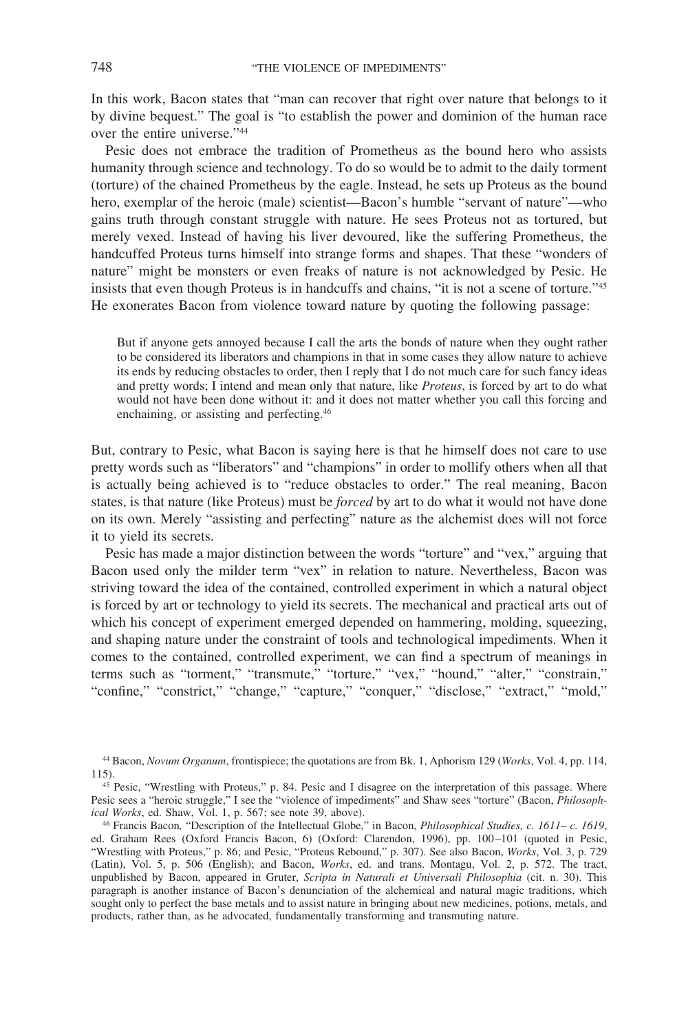In this work, Bacon states that "man can recover that right over nature that belongs to it by divine bequest." The goal is "to establish the power and dominion of the human race over the entire universe."44

Pesic does not embrace the tradition of Prometheus as the bound hero who assists humanity through science and technology. To do so would be to admit to the daily torment (torture) of the chained Prometheus by the eagle. Instead, he sets up Proteus as the bound hero, exemplar of the heroic (male) scientist—Bacon's humble "servant of nature"—who gains truth through constant struggle with nature. He sees Proteus not as tortured, but merely vexed. Instead of having his liver devoured, like the suffering Prometheus, the handcuffed Proteus turns himself into strange forms and shapes. That these "wonders of nature" might be monsters or even freaks of nature is not acknowledged by Pesic. He insists that even though Proteus is in handcuffs and chains, "it is not a scene of torture."45 He exonerates Bacon from violence toward nature by quoting the following passage:

But if anyone gets annoyed because I call the arts the bonds of nature when they ought rather to be considered its liberators and champions in that in some cases they allow nature to achieve its ends by reducing obstacles to order, then I reply that I do not much care for such fancy ideas and pretty words; I intend and mean only that nature, like *Proteus*, is forced by art to do what would not have been done without it: and it does not matter whether you call this forcing and enchaining, or assisting and perfecting.46

But, contrary to Pesic, what Bacon is saying here is that he himself does not care to use pretty words such as "liberators" and "champions" in order to mollify others when all that is actually being achieved is to "reduce obstacles to order." The real meaning, Bacon states, is that nature (like Proteus) must be *forced* by art to do what it would not have done on its own. Merely "assisting and perfecting" nature as the alchemist does will not force it to yield its secrets.

Pesic has made a major distinction between the words "torture" and "vex," arguing that Bacon used only the milder term "vex" in relation to nature. Nevertheless, Bacon was striving toward the idea of the contained, controlled experiment in which a natural object is forced by art or technology to yield its secrets. The mechanical and practical arts out of which his concept of experiment emerged depended on hammering, molding, squeezing, and shaping nature under the constraint of tools and technological impediments. When it comes to the contained, controlled experiment, we can find a spectrum of meanings in terms such as "torment," "transmute," "torture," "vex," "hound," "alter," "constrain," "confine," "constrict," "change," "capture," "conquer," "disclose," "extract," "mold,"

<sup>44</sup> Bacon, *Novum Organum*, frontispiece; the quotations are from Bk. 1, Aphorism 129 (*Works*, Vol. 4, pp. 114, 115).

<sup>45</sup> Pesic, "Wrestling with Proteus," p. 84. Pesic and I disagree on the interpretation of this passage. Where Pesic sees a "heroic struggle," I see the "violence of impediments" and Shaw sees "torture" (Bacon, *Philosophical Works*, ed. Shaw, Vol. 1, p. 567; see note 39, above).

<sup>46</sup> Francis Bacon*,* "Description of the Intellectual Globe," in Bacon, *Philosophical Studies, c. 1611– c. 1619*, ed. Graham Rees (Oxford Francis Bacon, 6) (Oxford: Clarendon, 1996), pp. 100 –101 (quoted in Pesic, "Wrestling with Proteus," p. 86; and Pesic, "Proteus Rebound," p. 307). See also Bacon, *Works*, Vol. 3, p. 729 (Latin), Vol. 5, p. 506 (English); and Bacon, *Works*, ed. and trans. Montagu, Vol. 2, p. 572. The tract, unpublished by Bacon, appeared in Gruter, *Scripta in Naturali et Universali Philosophia* (cit. n. 30). This paragraph is another instance of Bacon's denunciation of the alchemical and natural magic traditions, which sought only to perfect the base metals and to assist nature in bringing about new medicines, potions, metals, and products, rather than, as he advocated, fundamentally transforming and transmuting nature.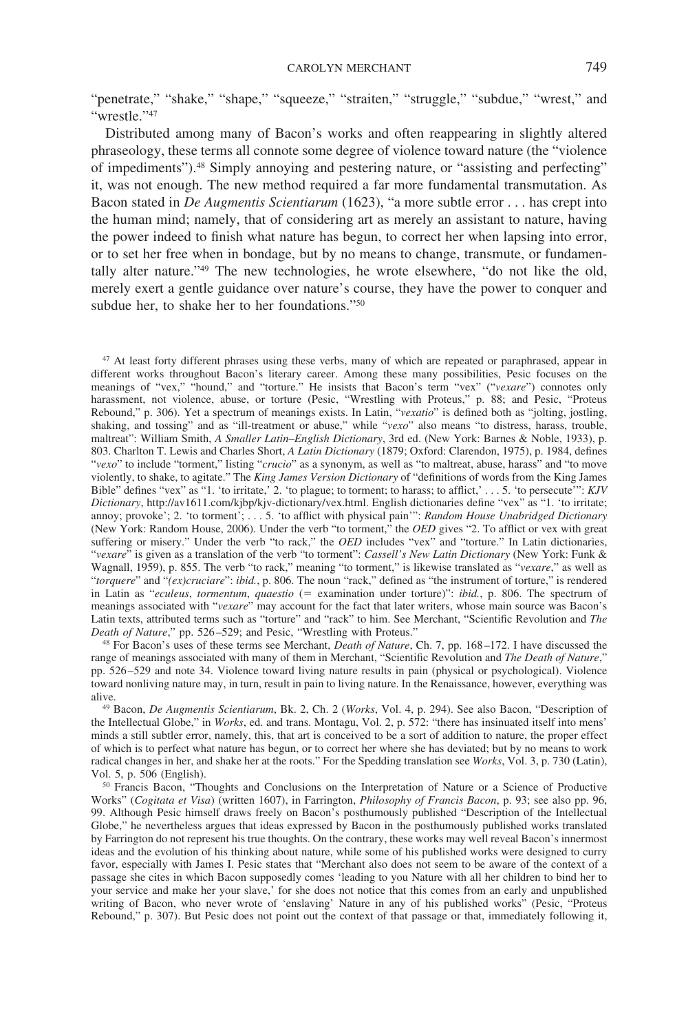"penetrate," "shake," "shape," "squeeze," "straiten," "struggle," "subdue," "wrest," and "wrestle."47

Distributed among many of Bacon's works and often reappearing in slightly altered phraseology, these terms all connote some degree of violence toward nature (the "violence of impediments").48 Simply annoying and pestering nature, or "assisting and perfecting" it, was not enough. The new method required a far more fundamental transmutation. As Bacon stated in *De Augmentis Scientiarum* (1623), "a more subtle error . . . has crept into the human mind; namely, that of considering art as merely an assistant to nature, having the power indeed to finish what nature has begun, to correct her when lapsing into error, or to set her free when in bondage, but by no means to change, transmute, or fundamentally alter nature."49 The new technologies, he wrote elsewhere, "do not like the old, merely exert a gentle guidance over nature's course, they have the power to conquer and subdue her, to shake her to her foundations."50

<sup>47</sup> At least forty different phrases using these verbs, many of which are repeated or paraphrased, appear in different works throughout Bacon's literary career. Among these many possibilities, Pesic focuses on the meanings of "vex," "hound," and "torture." He insists that Bacon's term "vex" ("*vexare*") connotes only harassment, not violence, abuse, or torture (Pesic, "Wrestling with Proteus," p. 88; and Pesic, "Proteus Rebound," p. 306). Yet a spectrum of meanings exists. In Latin, "*vexatio*" is defined both as "jolting, jostling, shaking, and tossing" and as "ill-treatment or abuse," while "*vexo*" also means "to distress, harass, trouble, maltreat": William Smith, *A Smaller Latin–English Dictionary*, 3rd ed. (New York: Barnes & Noble, 1933), p. 803. Charlton T. Lewis and Charles Short, *A Latin Dictionary* (1879; Oxford: Clarendon, 1975), p. 1984, defines "*vexo*" to include "torment," listing "*crucio*" as a synonym, as well as "to maltreat, abuse, harass" and "to move violently, to shake, to agitate." The *King James Version Dictionary* of "definitions of words from the King James Bible" defines "vex" as "1. 'to irritate,' 2. 'to plague; to torment; to harass; to afflict,' . . . 5. 'to persecute'": *KJV Dictionary*, http://av1611.com/kjbp/kjv-dictionary/vex.html. English dictionaries define "vex" as "1. 'to irritate; annoy; provoke'; 2. 'to torment'; . . . 5. 'to afflict with physical pain'": *Random House Unabridged Dictionary* (New York: Random House, 2006). Under the verb "to torment," the *OED* gives "2. To afflict or vex with great suffering or misery." Under the verb "to rack," the *OED* includes "vex" and "torture." In Latin dictionaries, "*vexare*" is given as a translation of the verb "to torment": *Cassell's New Latin Dictionary* (New York: Funk & Wagnall, 1959), p. 855. The verb "to rack," meaning "to torment," is likewise translated as "*vexare*," as well as "*torquere*" and "*(ex)cruciare*": *ibid.*, p. 806. The noun "rack," defined as "the instrument of torture," is rendered in Latin as "*eculeus*, *tormentum*, *quaestio* (= examination under torture)": *ibid.*, p. 806. The spectrum of meanings associated with "*vexare*" may account for the fact that later writers, whose main source was Bacon's Latin texts, attributed terms such as "torture" and "rack" to him. See Merchant, "Scientific Revolution and *The Death of Nature*," pp. 526 –529; and Pesic, "Wrestling with Proteus."

<sup>48</sup> For Bacon's uses of these terms see Merchant, *Death of Nature*, Ch. 7, pp. 168 –172. I have discussed the range of meanings associated with many of them in Merchant, "Scientific Revolution and *The Death of Nature*," pp. 526 –529 and note 34. Violence toward living nature results in pain (physical or psychological). Violence toward nonliving nature may, in turn, result in pain to living nature. In the Renaissance, however, everything was alive.

<sup>49</sup> Bacon, *De Augmentis Scientiarum*, Bk. 2, Ch. 2 (*Works*, Vol. 4, p. 294). See also Bacon, "Description of the Intellectual Globe," in *Works*, ed. and trans. Montagu, Vol. 2, p. 572: "there has insinuated itself into mens' minds a still subtler error, namely, this, that art is conceived to be a sort of addition to nature, the proper effect of which is to perfect what nature has begun, or to correct her where she has deviated; but by no means to work radical changes in her, and shake her at the roots." For the Spedding translation see *Works*, Vol. 3, p. 730 (Latin), Vol. 5, p. 506 (English).

<sup>50</sup> Francis Bacon, "Thoughts and Conclusions on the Interpretation of Nature or a Science of Productive Works" (*Cogitata et Visa*) (written 1607), in Farrington, *Philosophy of Francis Bacon*, p. 93; see also pp. 96, 99. Although Pesic himself draws freely on Bacon's posthumously published "Description of the Intellectual Globe," he nevertheless argues that ideas expressed by Bacon in the posthumously published works translated by Farrington do not represent his true thoughts. On the contrary, these works may well reveal Bacon's innermost ideas and the evolution of his thinking about nature, while some of his published works were designed to curry favor, especially with James I. Pesic states that "Merchant also does not seem to be aware of the context of a passage she cites in which Bacon supposedly comes 'leading to you Nature with all her children to bind her to your service and make her your slave,' for she does not notice that this comes from an early and unpublished writing of Bacon, who never wrote of 'enslaving' Nature in any of his published works" (Pesic, "Proteus Rebound," p. 307). But Pesic does not point out the context of that passage or that, immediately following it,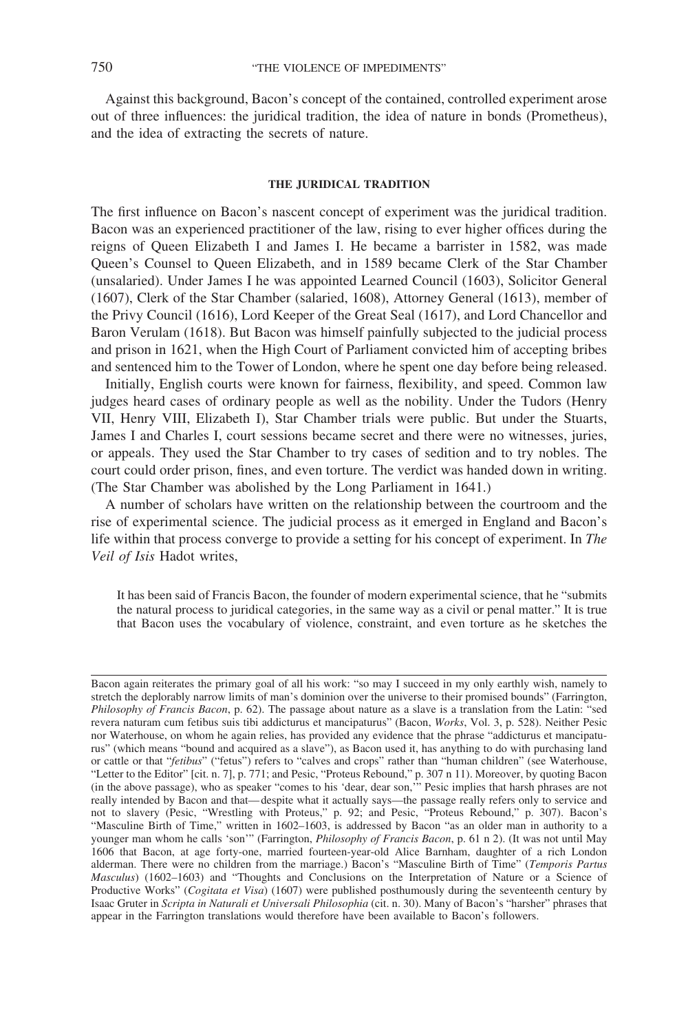Against this background, Bacon's concept of the contained, controlled experiment arose out of three influences: the juridical tradition, the idea of nature in bonds (Prometheus), and the idea of extracting the secrets of nature.

## **THE JURIDICAL TRADITION**

The first influence on Bacon's nascent concept of experiment was the juridical tradition. Bacon was an experienced practitioner of the law, rising to ever higher offices during the reigns of Queen Elizabeth I and James I. He became a barrister in 1582, was made Queen's Counsel to Queen Elizabeth, and in 1589 became Clerk of the Star Chamber (unsalaried). Under James I he was appointed Learned Council (1603), Solicitor General (1607), Clerk of the Star Chamber (salaried, 1608), Attorney General (1613), member of the Privy Council (1616), Lord Keeper of the Great Seal (1617), and Lord Chancellor and Baron Verulam (1618). But Bacon was himself painfully subjected to the judicial process and prison in 1621, when the High Court of Parliament convicted him of accepting bribes and sentenced him to the Tower of London, where he spent one day before being released.

Initially, English courts were known for fairness, flexibility, and speed. Common law judges heard cases of ordinary people as well as the nobility. Under the Tudors (Henry VII, Henry VIII, Elizabeth I), Star Chamber trials were public. But under the Stuarts, James I and Charles I, court sessions became secret and there were no witnesses, juries, or appeals. They used the Star Chamber to try cases of sedition and to try nobles. The court could order prison, fines, and even torture. The verdict was handed down in writing. (The Star Chamber was abolished by the Long Parliament in 1641.)

A number of scholars have written on the relationship between the courtroom and the rise of experimental science. The judicial process as it emerged in England and Bacon's life within that process converge to provide a setting for his concept of experiment. In *The Veil of Isis* Hadot writes,

It has been said of Francis Bacon, the founder of modern experimental science, that he "submits the natural process to juridical categories, in the same way as a civil or penal matter." It is true that Bacon uses the vocabulary of violence, constraint, and even torture as he sketches the

Bacon again reiterates the primary goal of all his work: "so may I succeed in my only earthly wish, namely to stretch the deplorably narrow limits of man's dominion over the universe to their promised bounds" (Farrington, *Philosophy of Francis Bacon*, p. 62). The passage about nature as a slave is a translation from the Latin: "sed revera naturam cum fetibus suis tibi addicturus et mancipaturus" (Bacon, *Works*, Vol. 3, p. 528). Neither Pesic nor Waterhouse, on whom he again relies, has provided any evidence that the phrase "addicturus et mancipaturus" (which means "bound and acquired as a slave"), as Bacon used it, has anything to do with purchasing land or cattle or that "*fetibus*" ("fetus") refers to "calves and crops" rather than "human children" (see Waterhouse, "Letter to the Editor" [cit. n. 7], p. 771; and Pesic, "Proteus Rebound," p. 307 n 11). Moreover, by quoting Bacon (in the above passage), who as speaker "comes to his 'dear, dear son,'" Pesic implies that harsh phrases are not really intended by Bacon and that— despite what it actually says—the passage really refers only to service and not to slavery (Pesic, "Wrestling with Proteus," p. 92; and Pesic, "Proteus Rebound," p. 307). Bacon's "Masculine Birth of Time," written in 1602–1603, is addressed by Bacon "as an older man in authority to a younger man whom he calls 'son'" (Farrington, *Philosophy of Francis Bacon*, p. 61 n 2). (It was not until May 1606 that Bacon, at age forty-one, married fourteen-year-old Alice Barnham, daughter of a rich London alderman. There were no children from the marriage.) Bacon's "Masculine Birth of Time" (*Temporis Partus Masculus*) (1602–1603) and "Thoughts and Conclusions on the Interpretation of Nature or a Science of Productive Works" (*Cogitata et Visa*) (1607) were published posthumously during the seventeenth century by Isaac Gruter in *Scripta in Naturali et Universali Philosophia* (cit. n. 30). Many of Bacon's "harsher" phrases that appear in the Farrington translations would therefore have been available to Bacon's followers.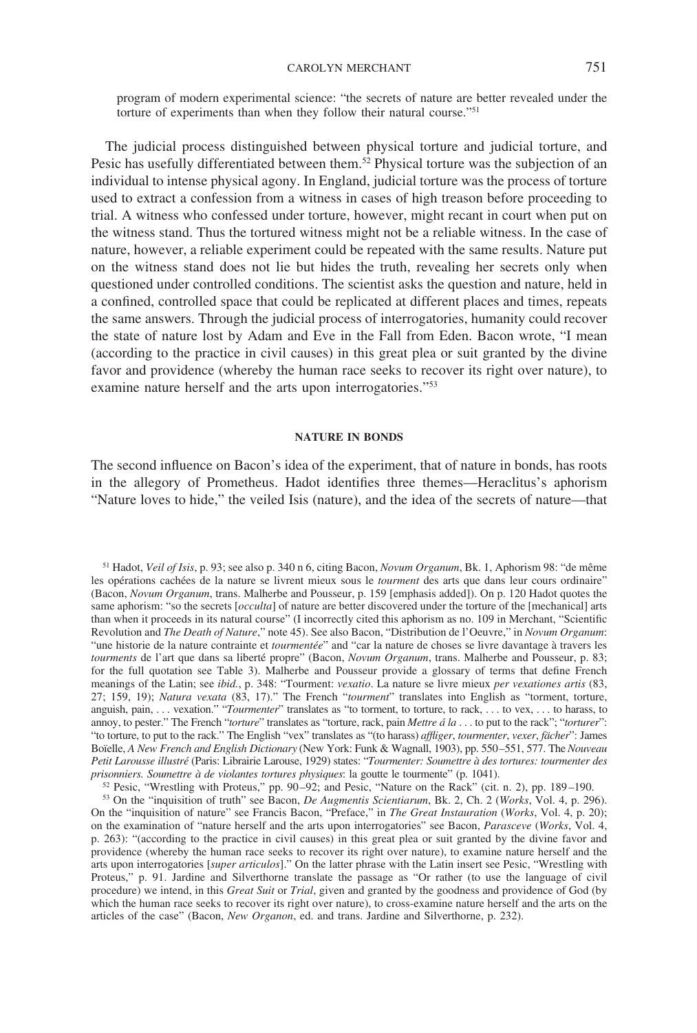## CAROLYN MERCHANT 751

program of modern experimental science: "the secrets of nature are better revealed under the torture of experiments than when they follow their natural course."51

The judicial process distinguished between physical torture and judicial torture, and Pesic has usefully differentiated between them.52 Physical torture was the subjection of an individual to intense physical agony. In England, judicial torture was the process of torture used to extract a confession from a witness in cases of high treason before proceeding to trial. A witness who confessed under torture, however, might recant in court when put on the witness stand. Thus the tortured witness might not be a reliable witness. In the case of nature, however, a reliable experiment could be repeated with the same results. Nature put on the witness stand does not lie but hides the truth, revealing her secrets only when questioned under controlled conditions. The scientist asks the question and nature, held in a confined, controlled space that could be replicated at different places and times, repeats the same answers. Through the judicial process of interrogatories, humanity could recover the state of nature lost by Adam and Eve in the Fall from Eden. Bacon wrote, "I mean (according to the practice in civil causes) in this great plea or suit granted by the divine favor and providence (whereby the human race seeks to recover its right over nature), to examine nature herself and the arts upon interrogatories."53

#### **NATURE IN BONDS**

The second influence on Bacon's idea of the experiment, that of nature in bonds, has roots in the allegory of Prometheus. Hadot identifies three themes—Heraclitus's aphorism "Nature loves to hide," the veiled Isis (nature), and the idea of the secrets of nature—that

<sup>51</sup> Hadot, *Veil of Isis*, p. 93; see also p. 340 n 6, citing Bacon, *Novum Organum*, Bk. 1, Aphorism 98: "de meˆme les opérations cachées de la nature se livrent mieux sous le *tourment* des arts que dans leur cours ordinaire" (Bacon, *Novum Organum*, trans. Malherbe and Pousseur, p. 159 [emphasis added]). On p. 120 Hadot quotes the same aphorism: "so the secrets [*occulta*] of nature are better discovered under the torture of the [mechanical] arts than when it proceeds in its natural course" (I incorrectly cited this aphorism as no. 109 in Merchant, "Scientific Revolution and *The Death of Nature*," note 45). See also Bacon, "Distribution de l'Oeuvre," in *Novum Organum*: "une historie de la nature contrainte et *tourmentée*" and "car la nature de choses se livre davantage à travers les *tourments* de l'art que dans sa liberté propre" (Bacon, *Novum Organum*, trans. Malherbe and Pousseur, p. 83; for the full quotation see Table 3). Malherbe and Pousseur provide a glossary of terms that define French meanings of the Latin; see *ibid.*, p. 348: "Tourment: *vexatio*. La nature se livre mieux *per vexationes artis* (83, 27; 159, 19); *Natura vexata* (83, 17)." The French "*tourment*" translates into English as "torment, torture, anguish, pain, . . . vexation." "*Tourmenter*" translates as "to torment, to torture, to rack, . . . to vex, . . . to harass, to annoy, to pester." The French "*torture*" translates as "torture, rack, pain *Mettre a´ la* . . . to put to the rack"; "*torturer*": "to torture, to put to the rack." The English "vex" translates as "(to harass) *affliger*, *tourmenter*, *vexer*, *fa¨cher*": James Boïelle, *A New French and English Dictionary* (New York: Funk & Wagnall, 1903), pp. 550-551, 577. The *Nouveau Petit Larousse illustre´* (Paris: Librairie Larouse, 1929) states: "*Tourmenter: Soumettre a` des tortures: tourmenter des prisonniers. Soumettre a` de violantes tortures physiques*: la goutte le tourmente" (p. 1041).

<sup>52</sup> Pesic, "Wrestling with Proteus," pp. 90-92; and Pesic, "Nature on the Rack" (cit. n. 2), pp. 189-190. <sup>53</sup> On the "inquisition of truth" see Bacon, *De Augmentis Scientiarum*, Bk. 2, Ch. 2 (*Works*, Vol. 4, p. 296). On the "inquisition of nature" see Francis Bacon, "Preface," in *The Great Instauration* (*Works*, Vol. 4, p. 20); on the examination of "nature herself and the arts upon interrogatories" see Bacon, *Parasceve* (*Works*, Vol. 4, p. 263): "(according to the practice in civil causes) in this great plea or suit granted by the divine favor and providence (whereby the human race seeks to recover its right over nature), to examine nature herself and the arts upon interrogatories [*super articulos*]." On the latter phrase with the Latin insert see Pesic, "Wrestling with Proteus," p. 91. Jardine and Silverthorne translate the passage as "Or rather (to use the language of civil procedure) we intend, in this *Great Suit* or *Trial*, given and granted by the goodness and providence of God (by which the human race seeks to recover its right over nature), to cross-examine nature herself and the arts on the articles of the case" (Bacon, *New Organon*, ed. and trans. Jardine and Silverthorne, p. 232).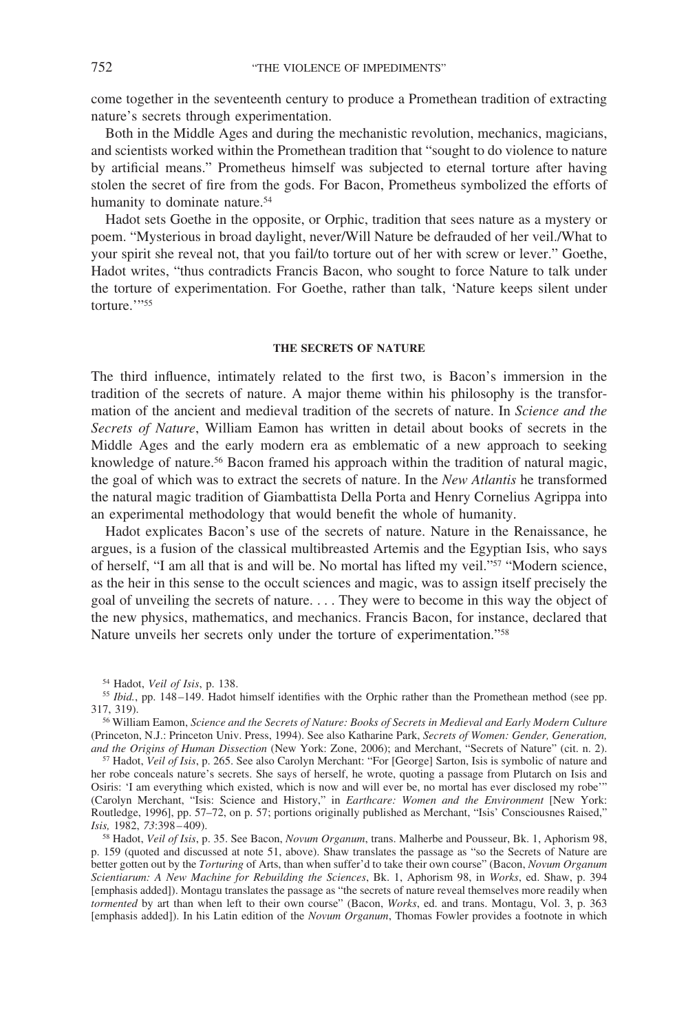come together in the seventeenth century to produce a Promethean tradition of extracting nature's secrets through experimentation.

Both in the Middle Ages and during the mechanistic revolution, mechanics, magicians, and scientists worked within the Promethean tradition that "sought to do violence to nature by artificial means." Prometheus himself was subjected to eternal torture after having stolen the secret of fire from the gods. For Bacon, Prometheus symbolized the efforts of humanity to dominate nature.<sup>54</sup>

Hadot sets Goethe in the opposite, or Orphic, tradition that sees nature as a mystery or poem. "Mysterious in broad daylight, never/Will Nature be defrauded of her veil./What to your spirit she reveal not, that you fail/to torture out of her with screw or lever." Goethe, Hadot writes, "thus contradicts Francis Bacon, who sought to force Nature to talk under the torture of experimentation. For Goethe, rather than talk, 'Nature keeps silent under torture.'"55

#### **THE SECRETS OF NATURE**

The third influence, intimately related to the first two, is Bacon's immersion in the tradition of the secrets of nature. A major theme within his philosophy is the transformation of the ancient and medieval tradition of the secrets of nature. In *Science and the Secrets of Nature*, William Eamon has written in detail about books of secrets in the Middle Ages and the early modern era as emblematic of a new approach to seeking knowledge of nature.56 Bacon framed his approach within the tradition of natural magic, the goal of which was to extract the secrets of nature. In the *New Atlantis* he transformed the natural magic tradition of Giambattista Della Porta and Henry Cornelius Agrippa into an experimental methodology that would benefit the whole of humanity.

Hadot explicates Bacon's use of the secrets of nature. Nature in the Renaissance, he argues, is a fusion of the classical multibreasted Artemis and the Egyptian Isis, who says of herself, "I am all that is and will be. No mortal has lifted my veil."57 "Modern science, as the heir in this sense to the occult sciences and magic, was to assign itself precisely the goal of unveiling the secrets of nature. . . . They were to become in this way the object of the new physics, mathematics, and mechanics. Francis Bacon, for instance, declared that Nature unveils her secrets only under the torture of experimentation."58

<sup>54</sup> Hadot, *Veil of Isis*, p. 138.

<sup>56</sup> William Eamon, *Science and the Secrets of Nature: Books of Secrets in Medieval and Early Modern Culture* (Princeton, N.J.: Princeton Univ. Press, 1994). See also Katharine Park, *Secrets of Women: Gender, Generation, and the Origins of Human Dissection* (New York: Zone, 2006); and Merchant, "Secrets of Nature" (cit. n. 2).

<sup>57</sup> Hadot, *Veil of Isis*, p. 265. See also Carolyn Merchant: "For [George] Sarton, Isis is symbolic of nature and her robe conceals nature's secrets. She says of herself, he wrote, quoting a passage from Plutarch on Isis and Osiris: 'I am everything which existed, which is now and will ever be, no mortal has ever disclosed my robe'" (Carolyn Merchant, "Isis: Science and History," in *Earthcare: Women and the Environment* [New York: Routledge, 1996], pp. 57–72, on p. 57; portions originally published as Merchant, "Isis' Consciousnes Raised," *Isis,* 1982, *73*:398 – 409).

<sup>58</sup> Hadot, *Veil of Isis*, p. 35. See Bacon, *Novum Organum*, trans. Malherbe and Pousseur, Bk. 1, Aphorism 98, p. 159 (quoted and discussed at note 51, above). Shaw translates the passage as "so the Secrets of Nature are better gotten out by the *Torturing* of Arts, than when suffer'd to take their own course" (Bacon, *Novum Organum Scientiarum: A New Machine for Rebuilding the Sciences*, Bk. 1, Aphorism 98, in *Works*, ed. Shaw, p. 394 [emphasis added]). Montagu translates the passage as "the secrets of nature reveal themselves more readily when *tormented* by art than when left to their own course" (Bacon, *Works*, ed. and trans. Montagu, Vol. 3, p. 363 [emphasis added]). In his Latin edition of the *Novum Organum*, Thomas Fowler provides a footnote in which

<sup>55</sup> *Ibid.*, pp. 148 –149. Hadot himself identifies with the Orphic rather than the Promethean method (see pp. 317, 319).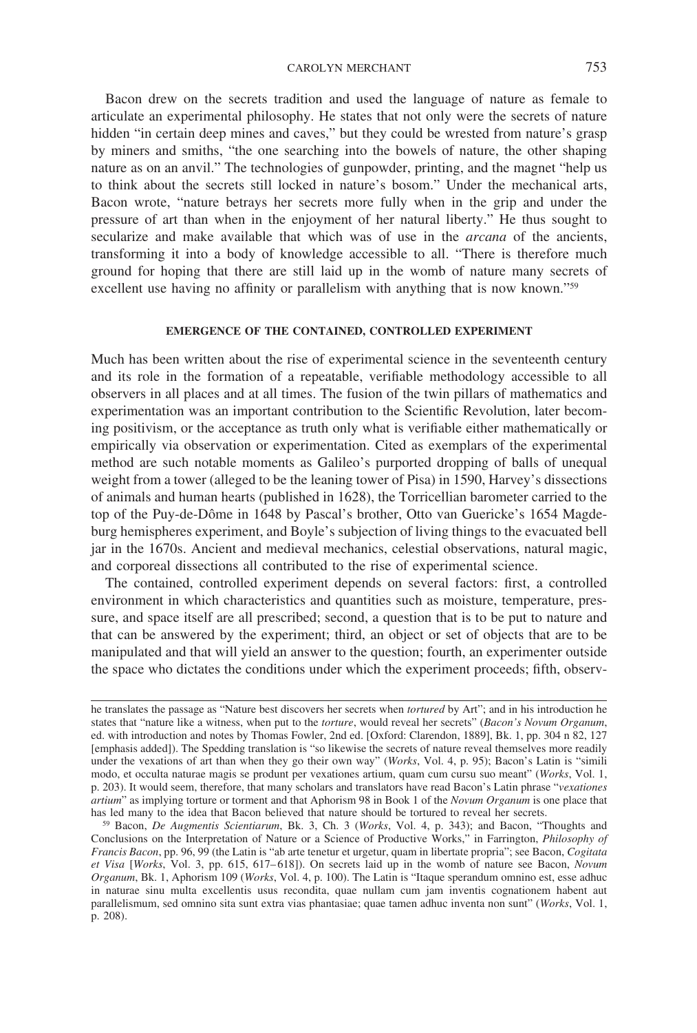## CAROLYN MERCHANT 753

Bacon drew on the secrets tradition and used the language of nature as female to articulate an experimental philosophy. He states that not only were the secrets of nature hidden "in certain deep mines and caves," but they could be wrested from nature's grasp by miners and smiths, "the one searching into the bowels of nature, the other shaping nature as on an anvil." The technologies of gunpowder, printing, and the magnet "help us to think about the secrets still locked in nature's bosom." Under the mechanical arts, Bacon wrote, "nature betrays her secrets more fully when in the grip and under the pressure of art than when in the enjoyment of her natural liberty." He thus sought to secularize and make available that which was of use in the *arcana* of the ancients, transforming it into a body of knowledge accessible to all. "There is therefore much ground for hoping that there are still laid up in the womb of nature many secrets of excellent use having no affinity or parallelism with anything that is now known."59

## **EMERGENCE OF THE CONTAINED, CONTROLLED EXPERIMENT**

Much has been written about the rise of experimental science in the seventeenth century and its role in the formation of a repeatable, verifiable methodology accessible to all observers in all places and at all times. The fusion of the twin pillars of mathematics and experimentation was an important contribution to the Scientific Revolution, later becoming positivism, or the acceptance as truth only what is verifiable either mathematically or empirically via observation or experimentation. Cited as exemplars of the experimental method are such notable moments as Galileo's purported dropping of balls of unequal weight from a tower (alleged to be the leaning tower of Pisa) in 1590, Harvey's dissections of animals and human hearts (published in 1628), the Torricellian barometer carried to the top of the Puy-de-Dôme in 1648 by Pascal's brother, Otto van Guericke's 1654 Magdeburg hemispheres experiment, and Boyle's subjection of living things to the evacuated bell jar in the 1670s. Ancient and medieval mechanics, celestial observations, natural magic, and corporeal dissections all contributed to the rise of experimental science.

The contained, controlled experiment depends on several factors: first, a controlled environment in which characteristics and quantities such as moisture, temperature, pressure, and space itself are all prescribed; second, a question that is to be put to nature and that can be answered by the experiment; third, an object or set of objects that are to be manipulated and that will yield an answer to the question; fourth, an experimenter outside the space who dictates the conditions under which the experiment proceeds; fifth, observ-

he translates the passage as "Nature best discovers her secrets when *tortured* by Art"; and in his introduction he states that "nature like a witness, when put to the *torture*, would reveal her secrets" (*Bacon's Novum Organum*, ed. with introduction and notes by Thomas Fowler, 2nd ed. [Oxford: Clarendon, 1889], Bk. 1, pp. 304 n 82, 127 [emphasis added]). The Spedding translation is "so likewise the secrets of nature reveal themselves more readily under the vexations of art than when they go their own way" (*Works*, Vol. 4, p. 95); Bacon's Latin is "simili modo, et occulta naturae magis se produnt per vexationes artium, quam cum cursu suo meant" (*Works*, Vol. 1, p. 203). It would seem, therefore, that many scholars and translators have read Bacon's Latin phrase "*vexationes artium*" as implying torture or torment and that Aphorism 98 in Book 1 of the *Novum Organum* is one place that has led many to the idea that Bacon believed that nature should be tortured to reveal her secrets.

<sup>59</sup> Bacon, *De Augmentis Scientiarum*, Bk. 3, Ch. 3 (*Works*, Vol. 4, p. 343); and Bacon, "Thoughts and Conclusions on the Interpretation of Nature or a Science of Productive Works," in Farrington, *Philosophy of Francis Bacon*, pp. 96, 99 (the Latin is "ab arte tenetur et urgetur, quam in libertate propria"; see Bacon, *Cogitata et Visa* [*Works*, Vol. 3, pp. 615, 617– 618]). On secrets laid up in the womb of nature see Bacon, *Novum Organum*, Bk. 1, Aphorism 109 (*Works*, Vol. 4, p. 100). The Latin is "Itaque sperandum omnino est, esse adhuc in naturae sinu multa excellentis usus recondita, quae nullam cum jam inventis cognationem habent aut parallelismum, sed omnino sita sunt extra vias phantasiae; quae tamen adhuc inventa non sunt" (*Works*, Vol. 1, p. 208).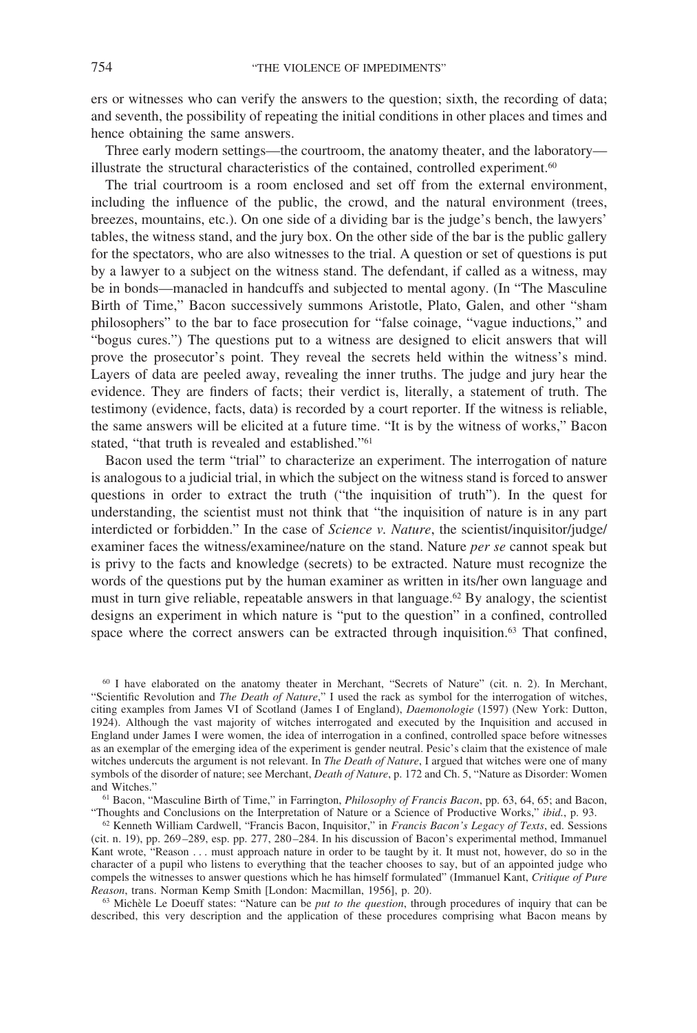ers or witnesses who can verify the answers to the question; sixth, the recording of data; and seventh, the possibility of repeating the initial conditions in other places and times and hence obtaining the same answers.

Three early modern settings—the courtroom, the anatomy theater, and the laboratory illustrate the structural characteristics of the contained, controlled experiment.<sup>60</sup>

The trial courtroom is a room enclosed and set off from the external environment, including the influence of the public, the crowd, and the natural environment (trees, breezes, mountains, etc.). On one side of a dividing bar is the judge's bench, the lawyers' tables, the witness stand, and the jury box. On the other side of the bar is the public gallery for the spectators, who are also witnesses to the trial. A question or set of questions is put by a lawyer to a subject on the witness stand. The defendant, if called as a witness, may be in bonds—manacled in handcuffs and subjected to mental agony. (In "The Masculine Birth of Time," Bacon successively summons Aristotle, Plato, Galen, and other "sham philosophers" to the bar to face prosecution for "false coinage, "vague inductions," and "bogus cures.") The questions put to a witness are designed to elicit answers that will prove the prosecutor's point. They reveal the secrets held within the witness's mind. Layers of data are peeled away, revealing the inner truths. The judge and jury hear the evidence. They are finders of facts; their verdict is, literally, a statement of truth. The testimony (evidence, facts, data) is recorded by a court reporter. If the witness is reliable, the same answers will be elicited at a future time. "It is by the witness of works," Bacon stated, "that truth is revealed and established."61

Bacon used the term "trial" to characterize an experiment. The interrogation of nature is analogous to a judicial trial, in which the subject on the witness stand is forced to answer questions in order to extract the truth ("the inquisition of truth"). In the quest for understanding, the scientist must not think that "the inquisition of nature is in any part interdicted or forbidden." In the case of *Science v. Nature*, the scientist/inquisitor/judge/ examiner faces the witness/examinee/nature on the stand. Nature *per se* cannot speak but is privy to the facts and knowledge (secrets) to be extracted. Nature must recognize the words of the questions put by the human examiner as written in its/her own language and must in turn give reliable, repeatable answers in that language.<sup> $62$ </sup> By analogy, the scientist designs an experiment in which nature is "put to the question" in a confined, controlled space where the correct answers can be extracted through inquisition.<sup>63</sup> That confined,

<sup>61</sup> Bacon, "Masculine Birth of Time," in Farrington, *Philosophy of Francis Bacon*, pp. 63, 64, 65; and Bacon, "Thoughts and Conclusions on the Interpretation of Nature or a Science of Productive Works," *ibid.*, p. 93.

<sup>62</sup> Kenneth William Cardwell, "Francis Bacon, Inquisitor," in *Francis Bacon's Legacy of Texts*, ed. Sessions (cit. n. 19), pp. 269 –289, esp. pp. 277, 280 –284. In his discussion of Bacon's experimental method, Immanuel Kant wrote, "Reason . . . must approach nature in order to be taught by it. It must not, however, do so in the character of a pupil who listens to everything that the teacher chooses to say, but of an appointed judge who compels the witnesses to answer questions which he has himself formulated" (Immanuel Kant, *Critique of Pure Reason*, trans. Norman Kemp Smith [London: Macmillan, 1956], p. 20).

<sup>63</sup> Michèle Le Doeuff states: "Nature can be *put to the question*, through procedures of inquiry that can be described, this very description and the application of these procedures comprising what Bacon means by

<sup>&</sup>lt;sup>60</sup> I have elaborated on the anatomy theater in Merchant, "Secrets of Nature" (cit. n. 2). In Merchant, "Scientific Revolution and *The Death of Nature*," I used the rack as symbol for the interrogation of witches, citing examples from James VI of Scotland (James I of England), *Daemonologie* (1597) (New York: Dutton, 1924). Although the vast majority of witches interrogated and executed by the Inquisition and accused in England under James I were women, the idea of interrogation in a confined, controlled space before witnesses as an exemplar of the emerging idea of the experiment is gender neutral. Pesic's claim that the existence of male witches undercuts the argument is not relevant. In *The Death of Nature*, I argued that witches were one of many symbols of the disorder of nature; see Merchant, *Death of Nature*, p. 172 and Ch. 5, "Nature as Disorder: Women and Witches."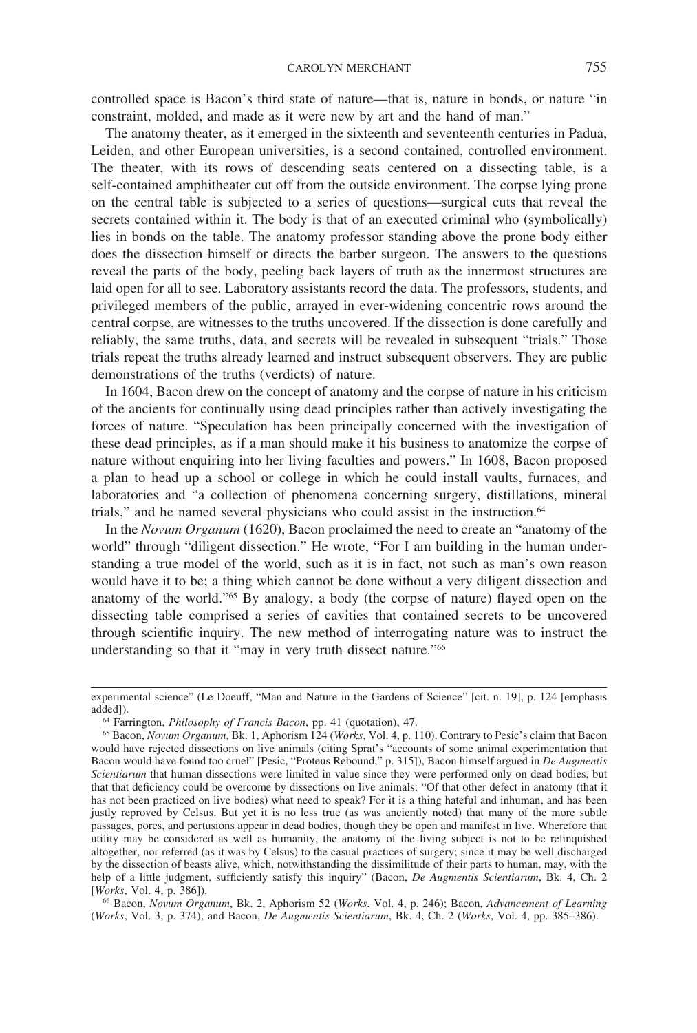controlled space is Bacon's third state of nature—that is, nature in bonds, or nature "in constraint, molded, and made as it were new by art and the hand of man."

The anatomy theater, as it emerged in the sixteenth and seventeenth centuries in Padua, Leiden, and other European universities, is a second contained, controlled environment. The theater, with its rows of descending seats centered on a dissecting table, is a self-contained amphitheater cut off from the outside environment. The corpse lying prone on the central table is subjected to a series of questions—surgical cuts that reveal the secrets contained within it. The body is that of an executed criminal who (symbolically) lies in bonds on the table. The anatomy professor standing above the prone body either does the dissection himself or directs the barber surgeon. The answers to the questions reveal the parts of the body, peeling back layers of truth as the innermost structures are laid open for all to see. Laboratory assistants record the data. The professors, students, and privileged members of the public, arrayed in ever-widening concentric rows around the central corpse, are witnesses to the truths uncovered. If the dissection is done carefully and reliably, the same truths, data, and secrets will be revealed in subsequent "trials." Those trials repeat the truths already learned and instruct subsequent observers. They are public demonstrations of the truths (verdicts) of nature.

In 1604, Bacon drew on the concept of anatomy and the corpse of nature in his criticism of the ancients for continually using dead principles rather than actively investigating the forces of nature. "Speculation has been principally concerned with the investigation of these dead principles, as if a man should make it his business to anatomize the corpse of nature without enquiring into her living faculties and powers." In 1608, Bacon proposed a plan to head up a school or college in which he could install vaults, furnaces, and laboratories and "a collection of phenomena concerning surgery, distillations, mineral trials," and he named several physicians who could assist in the instruction.<sup>64</sup>

In the *Novum Organum* (1620), Bacon proclaimed the need to create an "anatomy of the world" through "diligent dissection." He wrote, "For I am building in the human understanding a true model of the world, such as it is in fact, not such as man's own reason would have it to be; a thing which cannot be done without a very diligent dissection and anatomy of the world."65 By analogy, a body (the corpse of nature) flayed open on the dissecting table comprised a series of cavities that contained secrets to be uncovered through scientific inquiry. The new method of interrogating nature was to instruct the understanding so that it "may in very truth dissect nature."66

<sup>66</sup> Bacon, *Novum Organum*, Bk. 2, Aphorism 52 (*Works*, Vol. 4, p. 246); Bacon, *Advancement of Learning* (*Works*, Vol. 3, p. 374); and Bacon, *De Augmentis Scientiarum*, Bk. 4, Ch. 2 (*Works*, Vol. 4, pp. 385–386).

experimental science" (Le Doeuff, "Man and Nature in the Gardens of Science" [cit. n. 19], p. 124 [emphasis added]).

<sup>64</sup> Farrington, *Philosophy of Francis Bacon*, pp. 41 (quotation), 47.

<sup>65</sup> Bacon, *Novum Organum*, Bk. 1, Aphorism 124 (*Works*, Vol. 4, p. 110). Contrary to Pesic's claim that Bacon would have rejected dissections on live animals (citing Sprat's "accounts of some animal experimentation that Bacon would have found too cruel" [Pesic, "Proteus Rebound," p. 315]), Bacon himself argued in *De Augmentis Scientiarum* that human dissections were limited in value since they were performed only on dead bodies, but that that deficiency could be overcome by dissections on live animals: "Of that other defect in anatomy (that it has not been practiced on live bodies) what need to speak? For it is a thing hateful and inhuman, and has been justly reproved by Celsus. But yet it is no less true (as was anciently noted) that many of the more subtle passages, pores, and pertusions appear in dead bodies, though they be open and manifest in live. Wherefore that utility may be considered as well as humanity, the anatomy of the living subject is not to be relinquished altogether, nor referred (as it was by Celsus) to the casual practices of surgery; since it may be well discharged by the dissection of beasts alive, which, notwithstanding the dissimilitude of their parts to human, may, with the help of a little judgment, sufficiently satisfy this inquiry" (Bacon, *De Augmentis Scientiarum*, Bk. 4, Ch. 2 [*Works*, Vol. 4, p. 386]).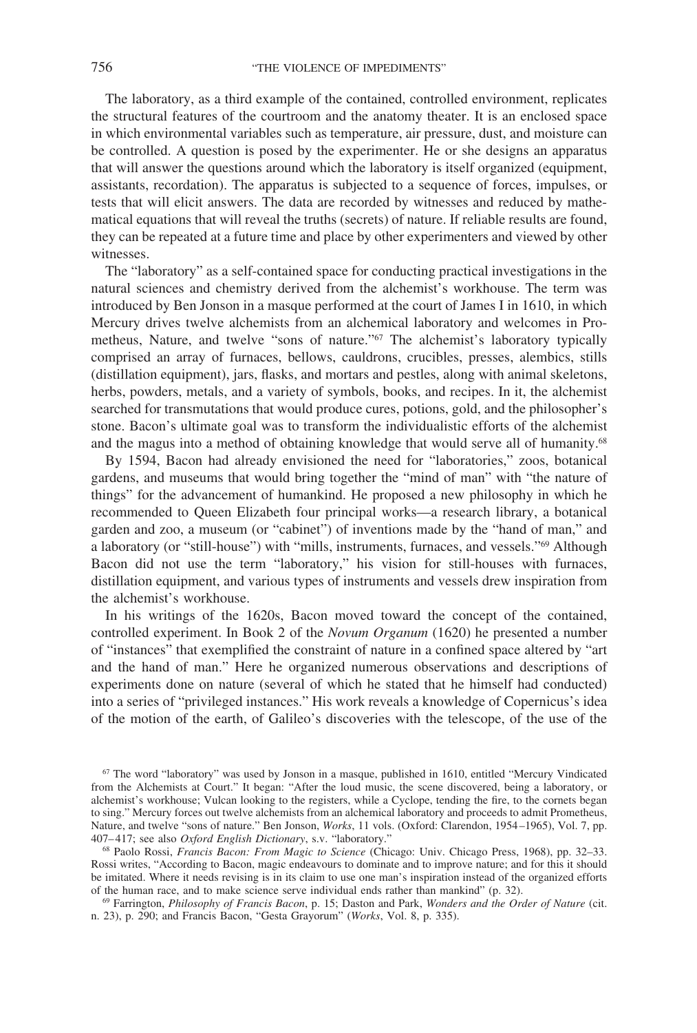The laboratory, as a third example of the contained, controlled environment, replicates the structural features of the courtroom and the anatomy theater. It is an enclosed space in which environmental variables such as temperature, air pressure, dust, and moisture can be controlled. A question is posed by the experimenter. He or she designs an apparatus that will answer the questions around which the laboratory is itself organized (equipment, assistants, recordation). The apparatus is subjected to a sequence of forces, impulses, or tests that will elicit answers. The data are recorded by witnesses and reduced by mathematical equations that will reveal the truths (secrets) of nature. If reliable results are found, they can be repeated at a future time and place by other experimenters and viewed by other witnesses.

The "laboratory" as a self-contained space for conducting practical investigations in the natural sciences and chemistry derived from the alchemist's workhouse. The term was introduced by Ben Jonson in a masque performed at the court of James I in 1610, in which Mercury drives twelve alchemists from an alchemical laboratory and welcomes in Prometheus, Nature, and twelve "sons of nature."67 The alchemist's laboratory typically comprised an array of furnaces, bellows, cauldrons, crucibles, presses, alembics, stills (distillation equipment), jars, flasks, and mortars and pestles, along with animal skeletons, herbs, powders, metals, and a variety of symbols, books, and recipes. In it, the alchemist searched for transmutations that would produce cures, potions, gold, and the philosopher's stone. Bacon's ultimate goal was to transform the individualistic efforts of the alchemist and the magus into a method of obtaining knowledge that would serve all of humanity.68

By 1594, Bacon had already envisioned the need for "laboratories," zoos, botanical gardens, and museums that would bring together the "mind of man" with "the nature of things" for the advancement of humankind. He proposed a new philosophy in which he recommended to Queen Elizabeth four principal works—a research library, a botanical garden and zoo, a museum (or "cabinet") of inventions made by the "hand of man," and a laboratory (or "still-house") with "mills, instruments, furnaces, and vessels."69 Although Bacon did not use the term "laboratory," his vision for still-houses with furnaces, distillation equipment, and various types of instruments and vessels drew inspiration from the alchemist's workhouse.

In his writings of the 1620s, Bacon moved toward the concept of the contained, controlled experiment. In Book 2 of the *Novum Organum* (1620) he presented a number of "instances" that exemplified the constraint of nature in a confined space altered by "art and the hand of man." Here he organized numerous observations and descriptions of experiments done on nature (several of which he stated that he himself had conducted) into a series of "privileged instances." His work reveals a knowledge of Copernicus's idea of the motion of the earth, of Galileo's discoveries with the telescope, of the use of the

<sup>69</sup> Farrington, *Philosophy of Francis Bacon*, p. 15; Daston and Park, *Wonders and the Order of Nature* (cit. n. 23), p. 290; and Francis Bacon, "Gesta Grayorum" (*Works*, Vol. 8, p. 335).

<sup>67</sup> The word "laboratory" was used by Jonson in a masque, published in 1610, entitled "Mercury Vindicated from the Alchemists at Court." It began: "After the loud music, the scene discovered, being a laboratory, or alchemist's workhouse; Vulcan looking to the registers, while a Cyclope, tending the fire, to the cornets began to sing." Mercury forces out twelve alchemists from an alchemical laboratory and proceeds to admit Prometheus, Nature, and twelve "sons of nature." Ben Jonson, *Works*, 11 vols. (Oxford: Clarendon, 1954 –1965), Vol. 7, pp. 407– 417; see also *Oxford English Dictionary*, s.v. "laboratory."

<sup>68</sup> Paolo Rossi, *Francis Bacon: From Magic to Science* (Chicago: Univ. Chicago Press, 1968), pp. 32–33. Rossi writes, "According to Bacon, magic endeavours to dominate and to improve nature; and for this it should be imitated. Where it needs revising is in its claim to use one man's inspiration instead of the organized efforts of the human race, and to make science serve individual ends rather than mankind" (p. 32).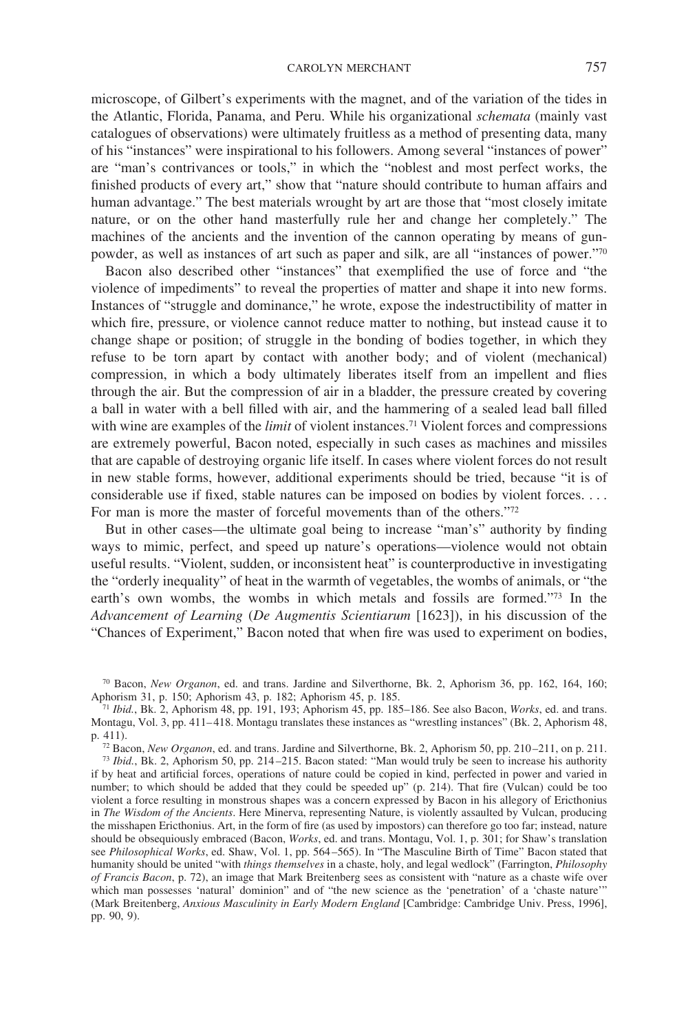microscope, of Gilbert's experiments with the magnet, and of the variation of the tides in the Atlantic, Florida, Panama, and Peru. While his organizational *schemata* (mainly vast catalogues of observations) were ultimately fruitless as a method of presenting data, many of his "instances" were inspirational to his followers. Among several "instances of power" are "man's contrivances or tools," in which the "noblest and most perfect works, the finished products of every art," show that "nature should contribute to human affairs and human advantage." The best materials wrought by art are those that "most closely imitate nature, or on the other hand masterfully rule her and change her completely." The machines of the ancients and the invention of the cannon operating by means of gunpowder, as well as instances of art such as paper and silk, are all "instances of power."70

Bacon also described other "instances" that exemplified the use of force and "the violence of impediments" to reveal the properties of matter and shape it into new forms. Instances of "struggle and dominance," he wrote, expose the indestructibility of matter in which fire, pressure, or violence cannot reduce matter to nothing, but instead cause it to change shape or position; of struggle in the bonding of bodies together, in which they refuse to be torn apart by contact with another body; and of violent (mechanical) compression, in which a body ultimately liberates itself from an impellent and flies through the air. But the compression of air in a bladder, the pressure created by covering a ball in water with a bell filled with air, and the hammering of a sealed lead ball filled with wine are examples of the *limit* of violent instances.<sup>71</sup> Violent forces and compressions are extremely powerful, Bacon noted, especially in such cases as machines and missiles that are capable of destroying organic life itself. In cases where violent forces do not result in new stable forms, however, additional experiments should be tried, because "it is of considerable use if fixed, stable natures can be imposed on bodies by violent forces. . . . For man is more the master of forceful movements than of the others."72

But in other cases—the ultimate goal being to increase "man's" authority by finding ways to mimic, perfect, and speed up nature's operations—violence would not obtain useful results. "Violent, sudden, or inconsistent heat" is counterproductive in investigating the "orderly inequality" of heat in the warmth of vegetables, the wombs of animals, or "the earth's own wombs, the wombs in which metals and fossils are formed."73 In the *Advancement of Learning* (*De Augmentis Scientiarum* [1623]), in his discussion of the "Chances of Experiment," Bacon noted that when fire was used to experiment on bodies,

<sup>70</sup> Bacon, *New Organon*, ed. and trans. Jardine and Silverthorne, Bk. 2, Aphorism 36, pp. 162, 164, 160; Aphorism 31, p. 150; Aphorism 43, p. 182; Aphorism 45, p. 185.

<sup>72</sup> Bacon, *New Organon*, ed. and trans. Jardine and Silverthorne, Bk. 2, Aphorism 50, pp. 210 –211, on p. 211.

<sup>71</sup> *Ibid.*, Bk. 2, Aphorism 48, pp. 191, 193; Aphorism 45, pp. 185–186. See also Bacon, *Works*, ed. and trans. Montagu, Vol. 3, pp. 411–418. Montagu translates these instances as "wrestling instances" (Bk. 2, Aphorism 48, p. 411).

<sup>73</sup> *Ibid.*, Bk. 2, Aphorism 50, pp. 214 –215. Bacon stated: "Man would truly be seen to increase his authority if by heat and artificial forces, operations of nature could be copied in kind, perfected in power and varied in number; to which should be added that they could be speeded up" (p. 214). That fire (Vulcan) could be too violent a force resulting in monstrous shapes was a concern expressed by Bacon in his allegory of Ericthonius in *The Wisdom of the Ancients*. Here Minerva, representing Nature, is violently assaulted by Vulcan, producing the misshapen Ericthonius. Art, in the form of fire (as used by impostors) can therefore go too far; instead, nature should be obsequiously embraced (Bacon, *Works*, ed. and trans. Montagu, Vol. 1, p. 301; for Shaw's translation see *Philosophical Works*, ed. Shaw, Vol. 1, pp. 564 –565). In "The Masculine Birth of Time" Bacon stated that humanity should be united "with *things themselves* in a chaste, holy, and legal wedlock" (Farrington, *Philosophy of Francis Bacon*, p. 72), an image that Mark Breitenberg sees as consistent with "nature as a chaste wife over which man possesses 'natural' dominion" and of "the new science as the 'penetration' of a 'chaste nature'" (Mark Breitenberg, *Anxious Masculinity in Early Modern England* [Cambridge: Cambridge Univ. Press, 1996], pp. 90, 9).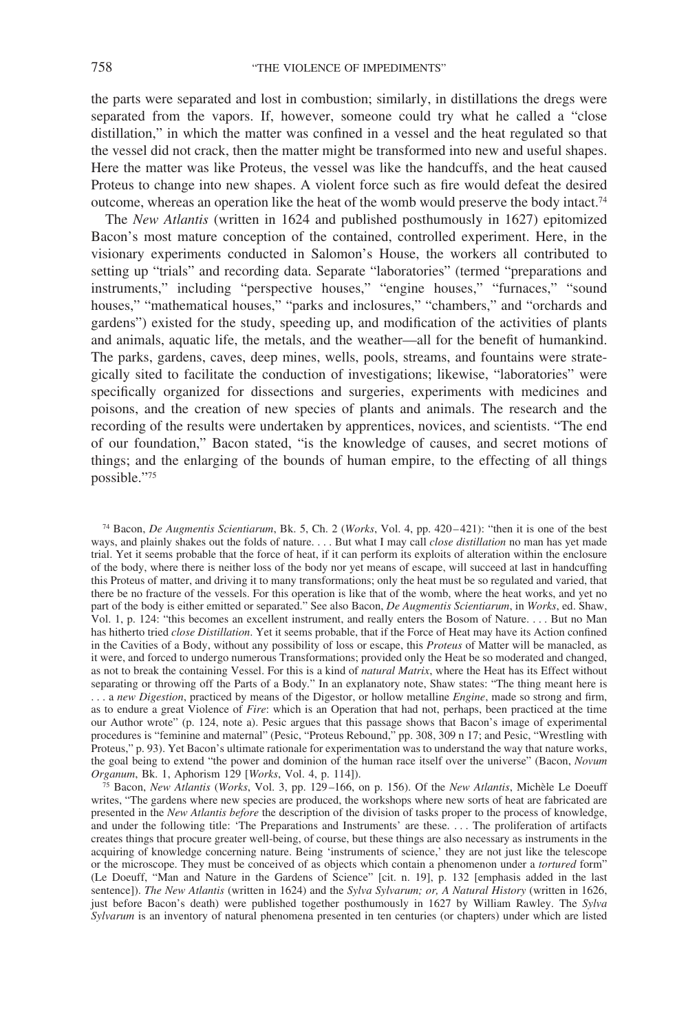the parts were separated and lost in combustion; similarly, in distillations the dregs were separated from the vapors. If, however, someone could try what he called a "close distillation," in which the matter was confined in a vessel and the heat regulated so that the vessel did not crack, then the matter might be transformed into new and useful shapes. Here the matter was like Proteus, the vessel was like the handcuffs, and the heat caused Proteus to change into new shapes. A violent force such as fire would defeat the desired outcome, whereas an operation like the heat of the womb would preserve the body intact.74

The *New Atlantis* (written in 1624 and published posthumously in 1627) epitomized Bacon's most mature conception of the contained, controlled experiment. Here, in the visionary experiments conducted in Salomon's House, the workers all contributed to setting up "trials" and recording data. Separate "laboratories" (termed "preparations and instruments," including "perspective houses," "engine houses," "furnaces," "sound houses," "mathematical houses," "parks and inclosures," "chambers," and "orchards and gardens") existed for the study, speeding up, and modification of the activities of plants and animals, aquatic life, the metals, and the weather—all for the benefit of humankind. The parks, gardens, caves, deep mines, wells, pools, streams, and fountains were strategically sited to facilitate the conduction of investigations; likewise, "laboratories" were specifically organized for dissections and surgeries, experiments with medicines and poisons, and the creation of new species of plants and animals. The research and the recording of the results were undertaken by apprentices, novices, and scientists. "The end of our foundation," Bacon stated, "is the knowledge of causes, and secret motions of things; and the enlarging of the bounds of human empire, to the effecting of all things possible."75

<sup>74</sup> Bacon, *De Augmentis Scientiarum*, Bk. 5, Ch. 2 (*Works*, Vol. 4, pp. 420 – 421): "then it is one of the best ways, and plainly shakes out the folds of nature. . . . But what I may call *close distillation* no man has yet made trial. Yet it seems probable that the force of heat, if it can perform its exploits of alteration within the enclosure of the body, where there is neither loss of the body nor yet means of escape, will succeed at last in handcuffing this Proteus of matter, and driving it to many transformations; only the heat must be so regulated and varied, that there be no fracture of the vessels. For this operation is like that of the womb, where the heat works, and yet no part of the body is either emitted or separated." See also Bacon, *De Augmentis Scientiarum*, in *Works*, ed. Shaw, Vol. 1, p. 124: "this becomes an excellent instrument, and really enters the Bosom of Nature. . . . But no Man has hitherto tried *close Distillation*. Yet it seems probable, that if the Force of Heat may have its Action confined in the Cavities of a Body, without any possibility of loss or escape, this *Proteus* of Matter will be manacled, as it were, and forced to undergo numerous Transformations; provided only the Heat be so moderated and changed, as not to break the containing Vessel. For this is a kind of *natural Matrix*, where the Heat has its Effect without separating or throwing off the Parts of a Body*.*" In an explanatory note, Shaw states: "The thing meant here is . . . a *new Digestion*, practiced by means of the Digestor, or hollow metalline *Engine*, made so strong and firm, as to endure a great Violence of *Fire*: which is an Operation that had not, perhaps, been practiced at the time our Author wrote" (p. 124, note a). Pesic argues that this passage shows that Bacon's image of experimental procedures is "feminine and maternal" (Pesic, "Proteus Rebound," pp. 308, 309 n 17; and Pesic, "Wrestling with Proteus," p. 93). Yet Bacon's ultimate rationale for experimentation was to understand the way that nature works, the goal being to extend "the power and dominion of the human race itself over the universe" (Bacon, *Novum Organum*, Bk. 1, Aphorism 129 [*Works*, Vol. 4, p. 114]).

<sup>75</sup> Bacon, *New Atlantis* (*Works*, Vol. 3, pp. 129–166, on p. 156). Of the *New Atlantis*, Michèle Le Doeuff writes, "The gardens where new species are produced, the workshops where new sorts of heat are fabricated are presented in the *New Atlantis before* the description of the division of tasks proper to the process of knowledge, and under the following title: 'The Preparations and Instruments' are these. . . . The proliferation of artifacts creates things that procure greater well-being, of course, but these things are also necessary as instruments in the acquiring of knowledge concerning nature. Being 'instruments of science,' they are not just like the telescope or the microscope. They must be conceived of as objects which contain a phenomenon under a *tortured* form" (Le Doeuff, "Man and Nature in the Gardens of Science" [cit. n. 19], p. 132 [emphasis added in the last sentence]). *The New Atlantis* (written in 1624) and the *Sylva Sylvarum; or, A Natural History* (written in 1626, just before Bacon's death) were published together posthumously in 1627 by William Rawley. The *Sylva Sylvarum* is an inventory of natural phenomena presented in ten centuries (or chapters) under which are listed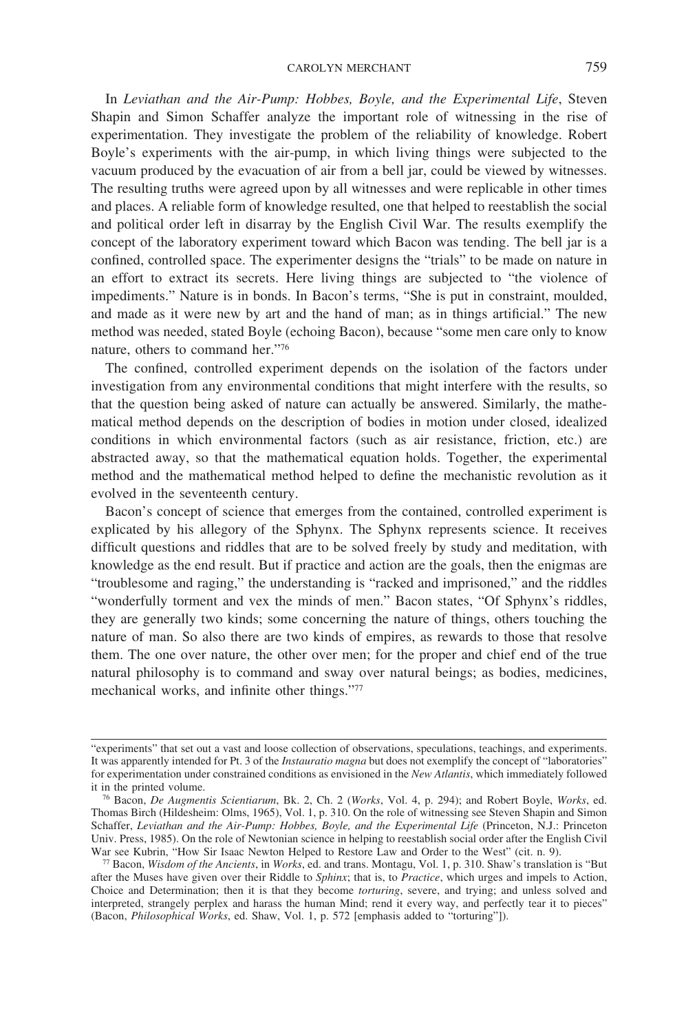## CAROLYN MERCHANT 759

In *Leviathan and the Air-Pump: Hobbes, Boyle, and the Experimental Life*, Steven Shapin and Simon Schaffer analyze the important role of witnessing in the rise of experimentation. They investigate the problem of the reliability of knowledge. Robert Boyle's experiments with the air-pump, in which living things were subjected to the vacuum produced by the evacuation of air from a bell jar, could be viewed by witnesses. The resulting truths were agreed upon by all witnesses and were replicable in other times and places. A reliable form of knowledge resulted, one that helped to reestablish the social and political order left in disarray by the English Civil War. The results exemplify the concept of the laboratory experiment toward which Bacon was tending. The bell jar is a confined, controlled space. The experimenter designs the "trials" to be made on nature in an effort to extract its secrets. Here living things are subjected to "the violence of impediments." Nature is in bonds. In Bacon's terms, "She is put in constraint, moulded, and made as it were new by art and the hand of man; as in things artificial." The new method was needed, stated Boyle (echoing Bacon), because "some men care only to know nature, others to command her."76

The confined, controlled experiment depends on the isolation of the factors under investigation from any environmental conditions that might interfere with the results, so that the question being asked of nature can actually be answered. Similarly, the mathematical method depends on the description of bodies in motion under closed, idealized conditions in which environmental factors (such as air resistance, friction, etc.) are abstracted away, so that the mathematical equation holds. Together, the experimental method and the mathematical method helped to define the mechanistic revolution as it evolved in the seventeenth century.

Bacon's concept of science that emerges from the contained, controlled experiment is explicated by his allegory of the Sphynx. The Sphynx represents science. It receives difficult questions and riddles that are to be solved freely by study and meditation, with knowledge as the end result. But if practice and action are the goals, then the enigmas are "troublesome and raging," the understanding is "racked and imprisoned," and the riddles "wonderfully torment and vex the minds of men." Bacon states, "Of Sphynx's riddles, they are generally two kinds; some concerning the nature of things, others touching the nature of man. So also there are two kinds of empires, as rewards to those that resolve them. The one over nature, the other over men; for the proper and chief end of the true natural philosophy is to command and sway over natural beings; as bodies, medicines, mechanical works, and infinite other things."77

<sup>&</sup>quot;experiments" that set out a vast and loose collection of observations, speculations, teachings, and experiments. It was apparently intended for Pt. 3 of the *Instauratio magna* but does not exemplify the concept of "laboratories" for experimentation under constrained conditions as envisioned in the *New Atlantis*, which immediately followed it in the printed volume.

<sup>76</sup> Bacon, *De Augmentis Scientiarum*, Bk. 2, Ch. 2 (*Works*, Vol. 4, p. 294); and Robert Boyle, *Works*, ed. Thomas Birch (Hildesheim: Olms, 1965), Vol. 1, p. 310. On the role of witnessing see Steven Shapin and Simon Schaffer, *Leviathan and the Air-Pump: Hobbes, Boyle, and the Experimental Life* (Princeton, N.J.: Princeton Univ. Press, 1985). On the role of Newtonian science in helping to reestablish social order after the English Civil War see Kubrin, "How Sir Isaac Newton Helped to Restore Law and Order to the West" (cit. n. 9).

<sup>77</sup> Bacon, *Wisdom of the Ancients*, in *Works*, ed. and trans. Montagu, Vol. 1, p. 310. Shaw's translation is "But after the Muses have given over their Riddle to *Sphinx*; that is, to *Practice*, which urges and impels to Action, Choice and Determination; then it is that they become *torturing*, severe, and trying; and unless solved and interpreted, strangely perplex and harass the human Mind; rend it every way, and perfectly tear it to pieces" (Bacon, *Philosophical Works*, ed. Shaw, Vol. 1, p. 572 [emphasis added to "torturing"]).